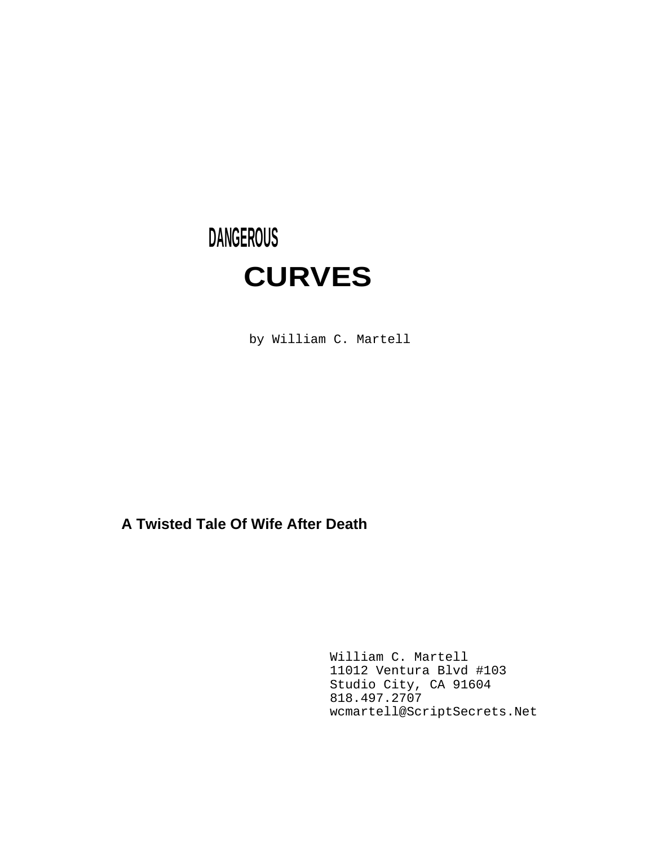# **DANGEROUS CURVES**

by William C. Martell

# **A Twisted Tale Of Wife After Death**

William C. Martell 11012 Ventura Blvd #103 Studio City, CA 91604 818.497.2707 wcmartell@ScriptSecrets.Net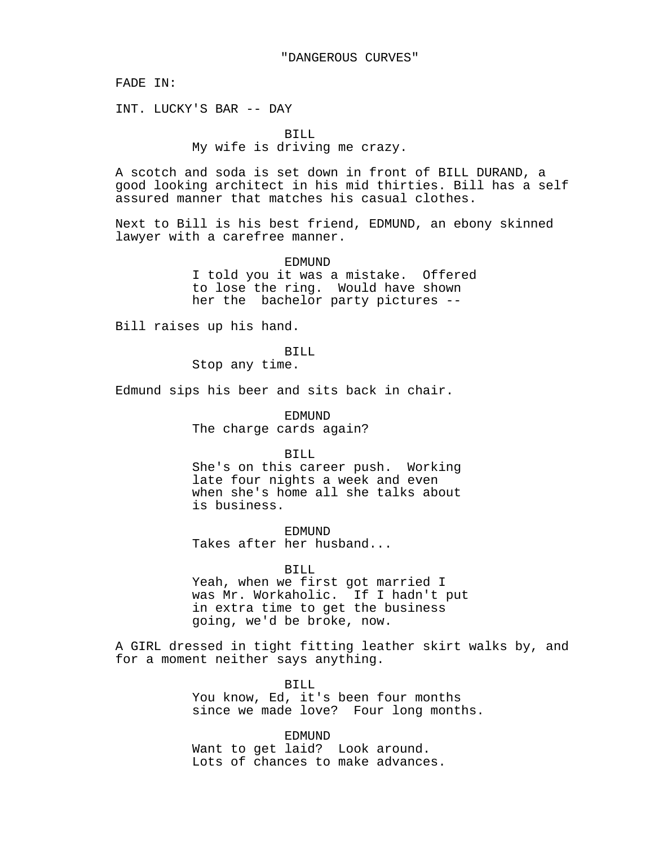FADE IN:

INT. LUCKY'S BAR -- DAY

#### BILL

# My wife is driving me crazy.

A scotch and soda is set down in front of BILL DURAND, a good looking architect in his mid thirties. Bill has a self assured manner that matches his casual clothes.

Next to Bill is his best friend, EDMUND, an ebony skinned lawyer with a carefree manner.

EDMUND

I told you it was a mistake. Offered to lose the ring. Would have shown her the bachelor party pictures --

Bill raises up his hand.

BILL Stop any time.

Edmund sips his beer and sits back in chair.

EDMUND The charge cards again?

BILL

She's on this career push. Working late four nights a week and even when she's home all she talks about is business.

EDMUND Takes after her husband...

# BILL

Yeah, when we first got married I was Mr. Workaholic. If I hadn't put in extra time to get the business going, we'd be broke, now.

A GIRL dressed in tight fitting leather skirt walks by, and for a moment neither says anything.

> BILL You know, Ed, it's been four months since we made love? Four long months.

EDMUND Want to get laid? Look around. Lots of chances to make advances.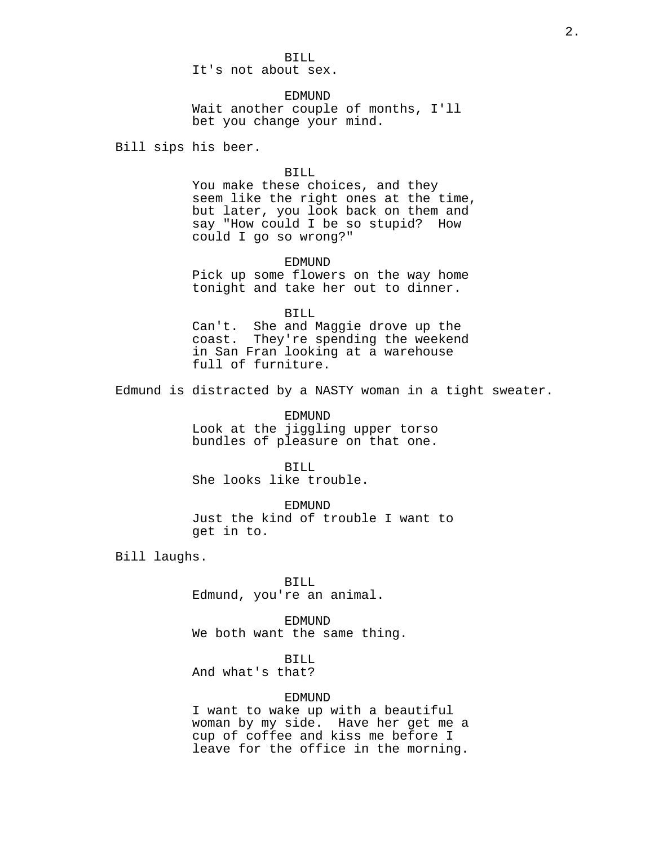It's not about sex.

**EDMUND** Wait another couple of months, I'll bet you change your mind.

Bill sips his beer.

# BILL

You make these choices, and they seem like the right ones at the time, but later, you look back on them and say "How could I be so stupid? How could I go so wrong?"

EDMUND Pick up some flowers on the way home tonight and take her out to dinner.

BILL

Can't. She and Maggie drove up the coast. They're spending the weekend in San Fran looking at a warehouse full of furniture.

Edmund is distracted by a NASTY woman in a tight sweater.

EDMUND Look at the jiggling upper torso bundles of pleasure on that one.

BILL She looks like trouble.

EDMUND Just the kind of trouble I want to get in to.

Bill laughs.

BILL Edmund, you're an animal.

EDMUND We both want the same thing.

BILL

And what's that?

# EDMUND

I want to wake up with a beautiful woman by my side. Have her get me a cup of coffee and kiss me before I leave for the office in the morning.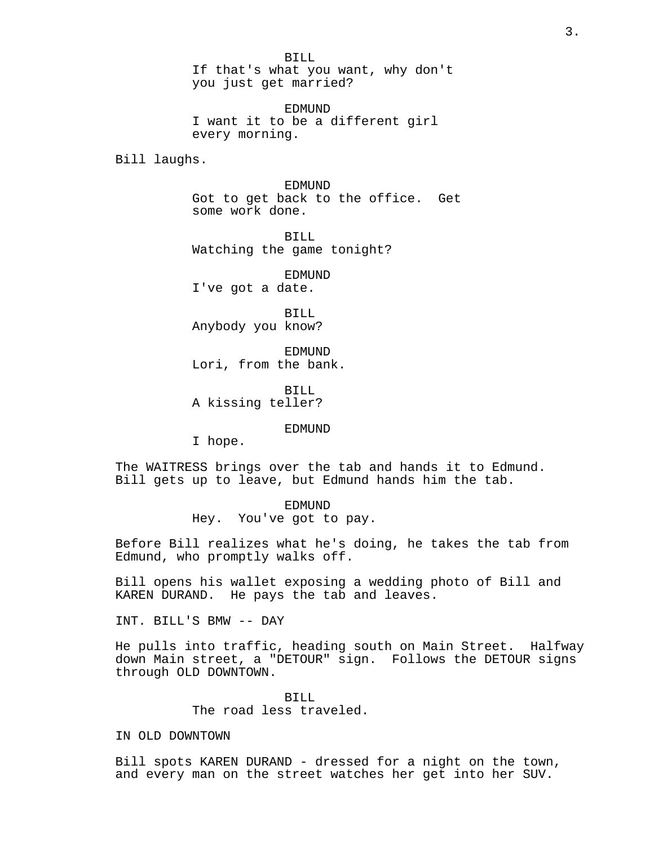BILL If that's what you want, why don't you just get married?

EDMUND I want it to be a different girl every morning.

Bill laughs.

EDMUND Got to get back to the office. Get some work done.

BILL Watching the game tonight?

EDMUND I've got a date.

BILL Anybody you know?

EDMUND Lori, from the bank.

BILL A kissing teller?

EDMUND

I hope.

The WAITRESS brings over the tab and hands it to Edmund. Bill gets up to leave, but Edmund hands him the tab.

> EDMUND Hey. You've got to pay.

Before Bill realizes what he's doing, he takes the tab from Edmund, who promptly walks off.

Bill opens his wallet exposing a wedding photo of Bill and KAREN DURAND. He pays the tab and leaves.

INT. BILL'S BMW -- DAY

He pulls into traffic, heading south on Main Street. Halfway down Main street, a "DETOUR" sign. Follows the DETOUR signs through OLD DOWNTOWN.

> BILL The road less traveled.

IN OLD DOWNTOWN

Bill spots KAREN DURAND - dressed for a night on the town, and every man on the street watches her get into her SUV.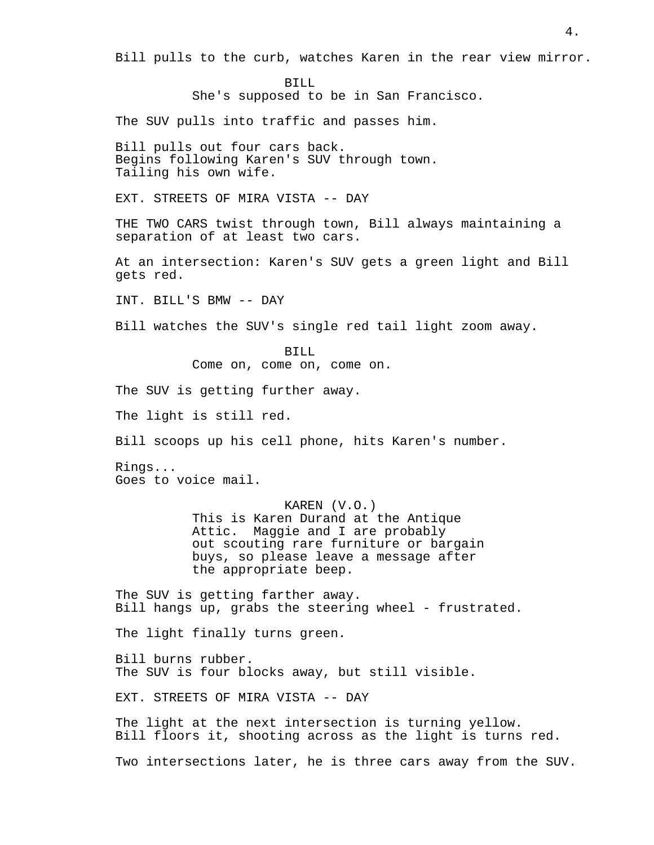Bill pulls to the curb, watches Karen in the rear view mirror.

BILL She's supposed to be in San Francisco.

The SUV pulls into traffic and passes him.

Bill pulls out four cars back. Begins following Karen's SUV through town. Tailing his own wife.

EXT. STREETS OF MIRA VISTA -- DAY

THE TWO CARS twist through town, Bill always maintaining a separation of at least two cars.

At an intersection: Karen's SUV gets a green light and Bill gets red.

INT. BILL'S BMW -- DAY

Bill watches the SUV's single red tail light zoom away.

BILL Come on, come on, come on.

The SUV is getting further away.

The light is still red.

Bill scoops up his cell phone, hits Karen's number.

Rings... Goes to voice mail.

KAREN (V.O.)

This is Karen Durand at the Antique Attic. Maggie and I are probably out scouting rare furniture or bargain buys, so please leave a message after the appropriate beep.

The SUV is getting farther away. Bill hangs up, grabs the steering wheel - frustrated.

The light finally turns green.

Bill burns rubber. The SUV is four blocks away, but still visible.

EXT. STREETS OF MIRA VISTA -- DAY

The light at the next intersection is turning yellow. Bill floors it, shooting across as the light is turns red.

Two intersections later, he is three cars away from the SUV.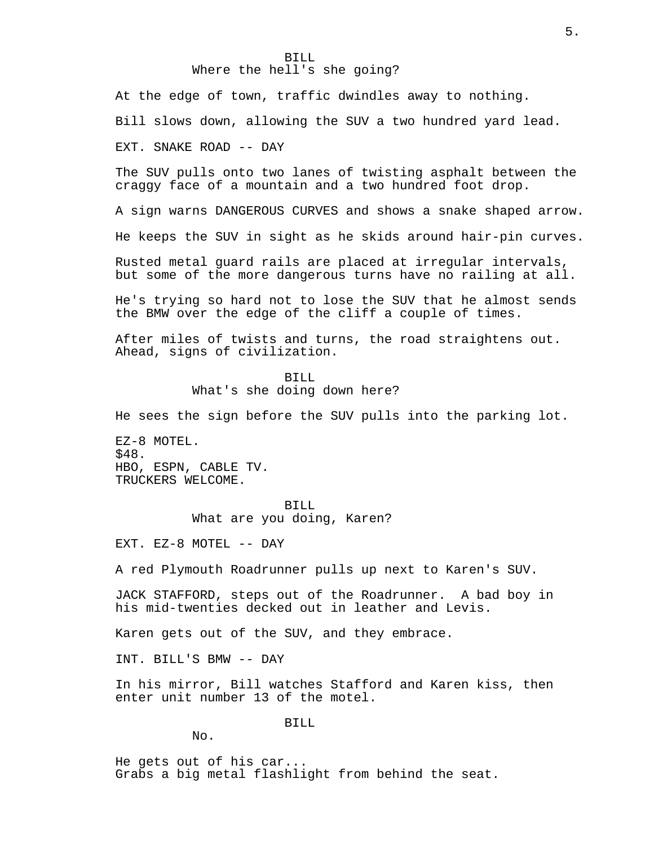# BILL Where the hell's she going?

At the edge of town, traffic dwindles away to nothing.

Bill slows down, allowing the SUV a two hundred yard lead.

EXT. SNAKE ROAD -- DAY

The SUV pulls onto two lanes of twisting asphalt between the craggy face of a mountain and a two hundred foot drop.

A sign warns DANGEROUS CURVES and shows a snake shaped arrow.

He keeps the SUV in sight as he skids around hair-pin curves.

Rusted metal guard rails are placed at irregular intervals, but some of the more dangerous turns have no railing at all.

He's trying so hard not to lose the SUV that he almost sends the BMW over the edge of the cliff a couple of times.

After miles of twists and turns, the road straightens out. Ahead, signs of civilization.

#### BILL

What's she doing down here?

He sees the sign before the SUV pulls into the parking lot.

EZ-8 MOTEL. \$48. HBO, ESPN, CABLE TV. TRUCKERS WELCOME.

> BILL What are you doing, Karen?

EXT. EZ-8 MOTEL -- DAY

A red Plymouth Roadrunner pulls up next to Karen's SUV.

JACK STAFFORD, steps out of the Roadrunner. A bad boy in his mid-twenties decked out in leather and Levis.

Karen gets out of the SUV, and they embrace.

INT. BILL'S BMW -- DAY

In his mirror, Bill watches Stafford and Karen kiss, then enter unit number 13 of the motel.

BILL

No.

He gets out of his car... Grabs a big metal flashlight from behind the seat.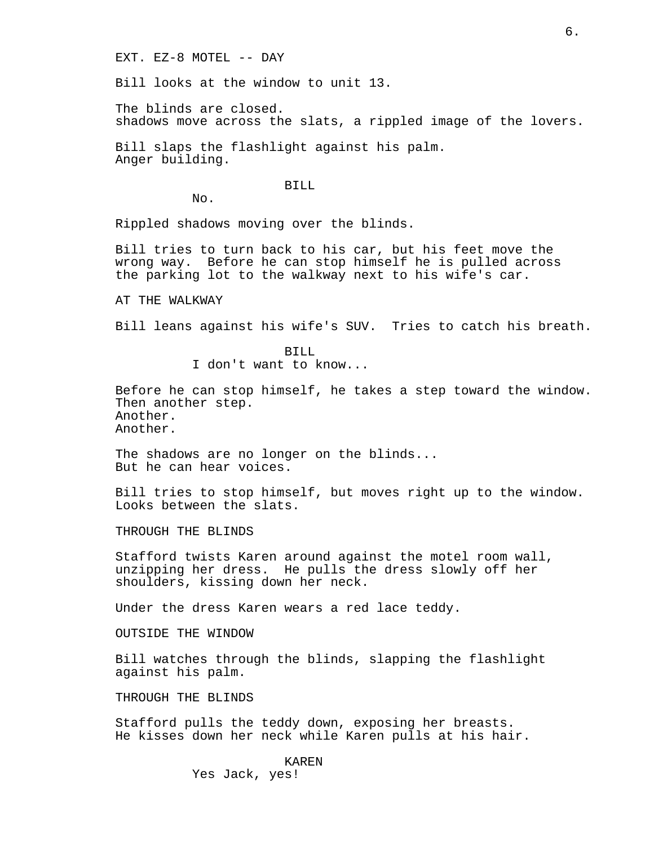EXT. EZ-8 MOTEL -- DAY

Bill looks at the window to unit 13.

The blinds are closed. shadows move across the slats, a rippled image of the lovers.

Bill slaps the flashlight against his palm. Anger building.

BILL

No.

Rippled shadows moving over the blinds.

Bill tries to turn back to his car, but his feet move the wrong way. Before he can stop himself he is pulled across the parking lot to the walkway next to his wife's car.

AT THE WALKWAY

Bill leans against his wife's SUV. Tries to catch his breath.

BILL I don't want to know...

Before he can stop himself, he takes a step toward the window. Then another step. Another. Another.

The shadows are no longer on the blinds... But he can hear voices.

Bill tries to stop himself, but moves right up to the window. Looks between the slats.

THROUGH THE BLINDS

Stafford twists Karen around against the motel room wall, unzipping her dress. He pulls the dress slowly off her shoulders, kissing down her neck.

Under the dress Karen wears a red lace teddy.

OUTSIDE THE WINDOW

Bill watches through the blinds, slapping the flashlight against his palm.

THROUGH THE BLINDS

Stafford pulls the teddy down, exposing her breasts. He kisses down her neck while Karen pulls at his hair.

> KAREN Yes Jack, yes!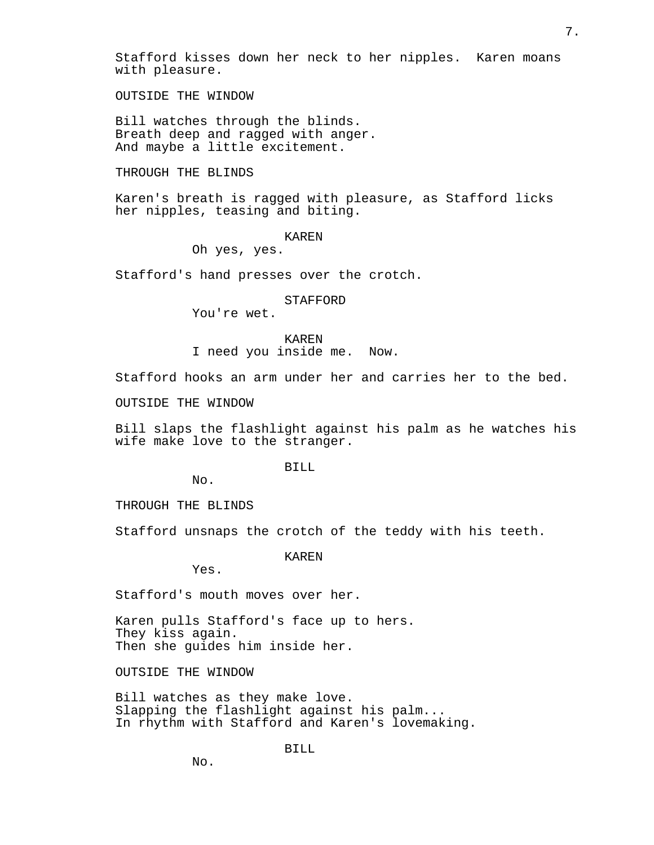Stafford kisses down her neck to her nipples. Karen moans with pleasure.

OUTSIDE THE WINDOW

Bill watches through the blinds. Breath deep and ragged with anger. And maybe a little excitement.

THROUGH THE BLINDS

Karen's breath is ragged with pleasure, as Stafford licks her nipples, teasing and biting.

#### KAREN

Oh yes, yes.

Stafford's hand presses over the crotch.

#### STAFFORD

You're wet.

KAREN I need you inside me. Now.

Stafford hooks an arm under her and carries her to the bed.

OUTSIDE THE WINDOW

Bill slaps the flashlight against his palm as he watches his wife make love to the stranger.

BILL

No.

THROUGH THE BLINDS

Stafford unsnaps the crotch of the teddy with his teeth.

KAREN

Yes.

Stafford's mouth moves over her.

Karen pulls Stafford's face up to hers. They kiss again. Then she guides him inside her.

OUTSIDE THE WINDOW

Bill watches as they make love. Slapping the flashlight against his palm... In rhythm with Stafford and Karen's lovemaking.

BILL

No.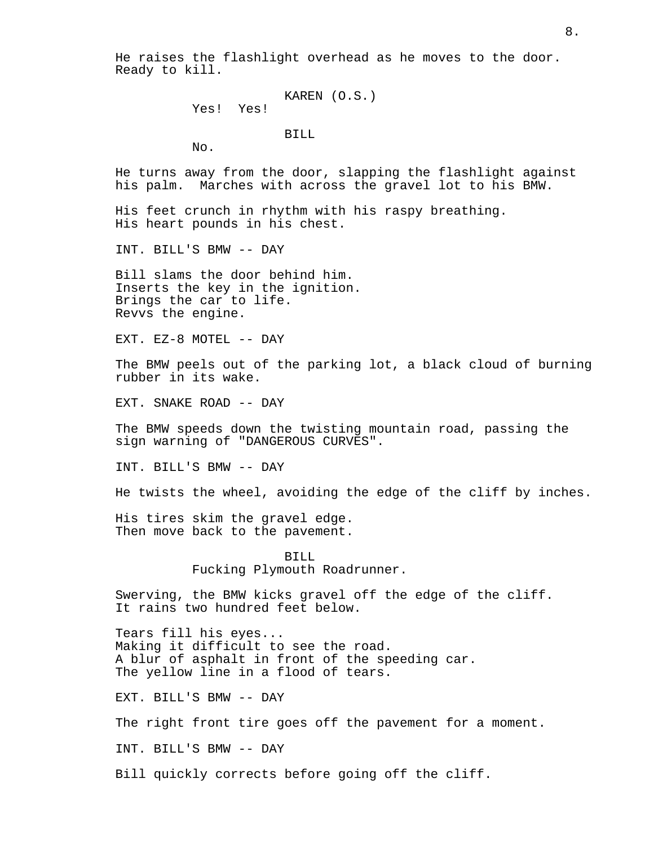He raises the flashlight overhead as he moves to the door. Ready to kill.

```
KAREN (O.S.)
```
Yes! Yes!

BILL

No.

He turns away from the door, slapping the flashlight against his palm. Marches with across the gravel lot to his BMW.

His feet crunch in rhythm with his raspy breathing. His heart pounds in his chest.

INT. BILL'S BMW -- DAY

Bill slams the door behind him. Inserts the key in the ignition. Brings the car to life. Revvs the engine.

EXT. EZ-8 MOTEL -- DAY

The BMW peels out of the parking lot, a black cloud of burning rubber in its wake.

EXT. SNAKE ROAD -- DAY

The BMW speeds down the twisting mountain road, passing the sign warning of "DANGEROUS CURVES".

INT. BILL'S BMW -- DAY

He twists the wheel, avoiding the edge of the cliff by inches.

His tires skim the gravel edge. Then move back to the pavement.

> BILL Fucking Plymouth Roadrunner.

Swerving, the BMW kicks gravel off the edge of the cliff. It rains two hundred feet below.

Tears fill his eyes... Making it difficult to see the road. A blur of asphalt in front of the speeding car. The yellow line in a flood of tears.

EXT. BILL'S BMW -- DAY

The right front tire goes off the pavement for a moment.

INT. BILL'S BMW -- DAY

Bill quickly corrects before going off the cliff.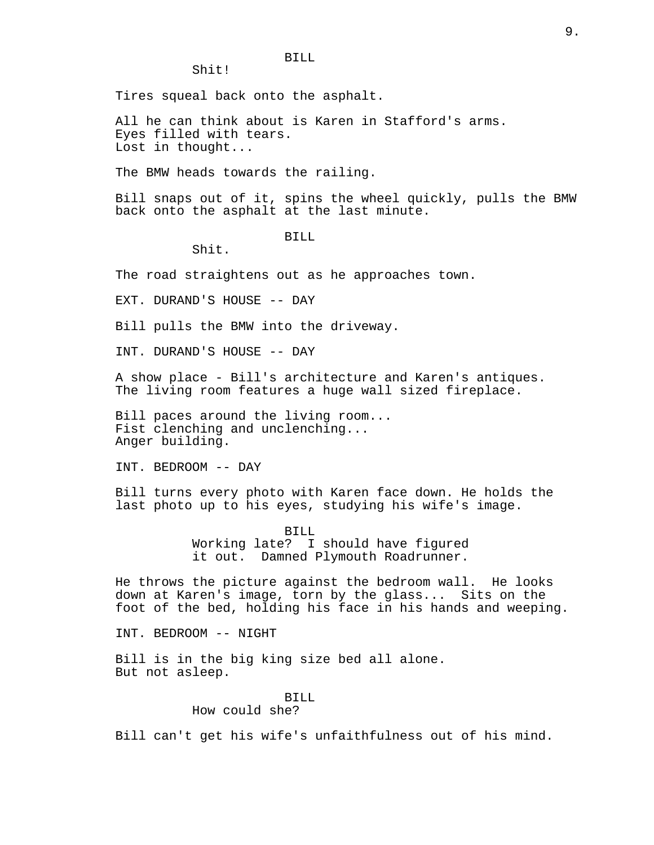Shit!

Tires squeal back onto the asphalt.

All he can think about is Karen in Stafford's arms. Eyes filled with tears. Lost in thought...

The BMW heads towards the railing.

Bill snaps out of it, spins the wheel quickly, pulls the BMW back onto the asphalt at the last minute.

BILL

Shit.

The road straightens out as he approaches town.

EXT. DURAND'S HOUSE -- DAY

Bill pulls the BMW into the driveway.

INT. DURAND'S HOUSE -- DAY

A show place - Bill's architecture and Karen's antiques. The living room features a huge wall sized fireplace.

Bill paces around the living room... Fist clenching and unclenching... Anger building.

INT. BEDROOM -- DAY

Bill turns every photo with Karen face down. He holds the last photo up to his eyes, studying his wife's image.

> BILL Working late? I should have figured it out. Damned Plymouth Roadrunner.

He throws the picture against the bedroom wall. He looks down at Karen's image, torn by the glass... Sits on the foot of the bed, holding his face in his hands and weeping.

INT. BEDROOM -- NIGHT

Bill is in the big king size bed all alone. But not asleep.

# BILL

How could she?

Bill can't get his wife's unfaithfulness out of his mind.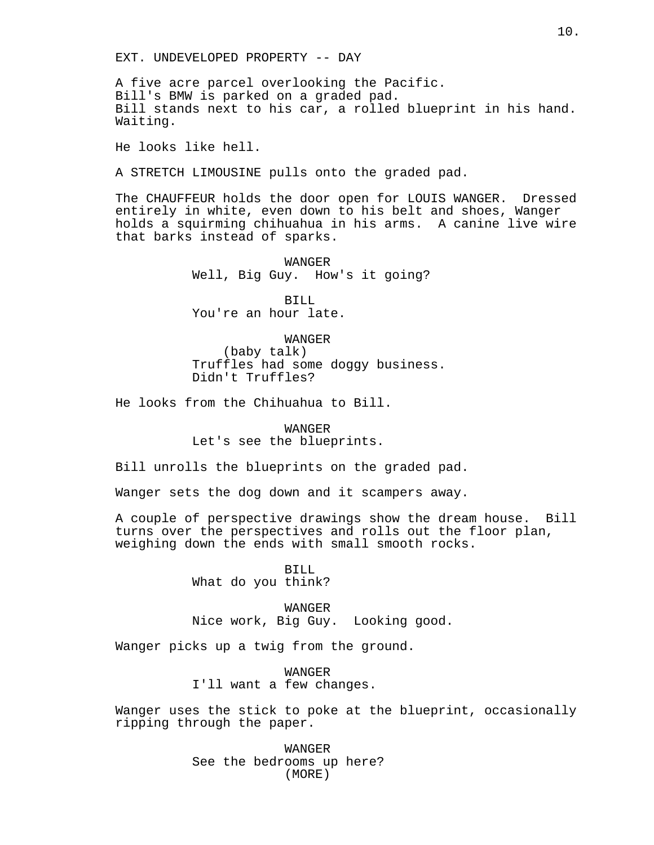EXT. UNDEVELOPED PROPERTY -- DAY

A five acre parcel overlooking the Pacific. Bill's BMW is parked on a graded pad. Bill stands next to his car, a rolled blueprint in his hand. Waiting.

He looks like hell.

A STRETCH LIMOUSINE pulls onto the graded pad.

The CHAUFFEUR holds the door open for LOUIS WANGER. Dressed entirely in white, even down to his belt and shoes, Wanger holds a squirming chihuahua in his arms. A canine live wire that barks instead of sparks.

> WANGER Well, Big Guy. How's it going?

BILL You're an hour late.

WANGER

(baby talk) Truffles had some doggy business. Didn't Truffles?

He looks from the Chihuahua to Bill.

WANGER Let's see the blueprints.

Bill unrolls the blueprints on the graded pad.

Wanger sets the dog down and it scampers away.

A couple of perspective drawings show the dream house. Bill turns over the perspectives and rolls out the floor plan, weighing down the ends with small smooth rocks.

> BILL What do you think?

WANGER Nice work, Big Guy. Looking good.

Wanger picks up a twig from the ground.

WANGER I'll want a few changes.

Wanger uses the stick to poke at the blueprint, occasionally ripping through the paper.

> WANGER See the bedrooms up here? (MORE)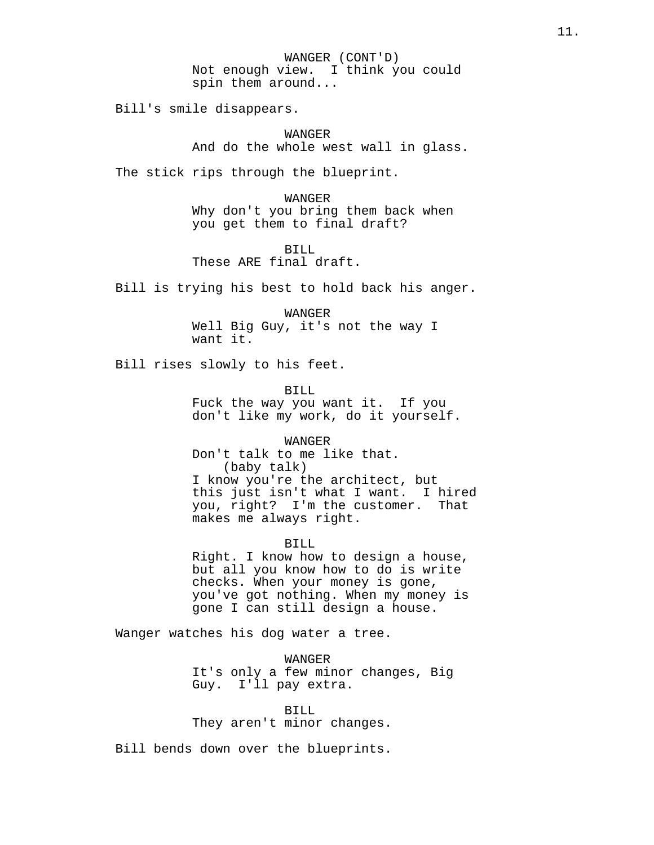WANGER (CONT'D) Not enough view. I think you could spin them around...

Bill's smile disappears.

WANGER And do the whole west wall in glass.

The stick rips through the blueprint.

WANGER Why don't you bring them back when you get them to final draft?

BILL These ARE final draft.

Bill is trying his best to hold back his anger.

WANGER Well Big Guy, it's not the way I want it.

Bill rises slowly to his feet.

BILL Fuck the way you want it. If you don't like my work, do it yourself.

WANGER Don't talk to me like that. (baby talk) I know you're the architect, but this just isn't what I want. I hired you, right? I'm the customer. That makes me always right.

BILL

Right. I know how to design a house, but all you know how to do is write checks. When your money is gone, you've got nothing. When my money is gone I can still design a house.

Wanger watches his dog water a tree.

**WANGER** It's only a few minor changes, Big Guy. I'll pay extra.

BILL They aren't minor changes.

Bill bends down over the blueprints.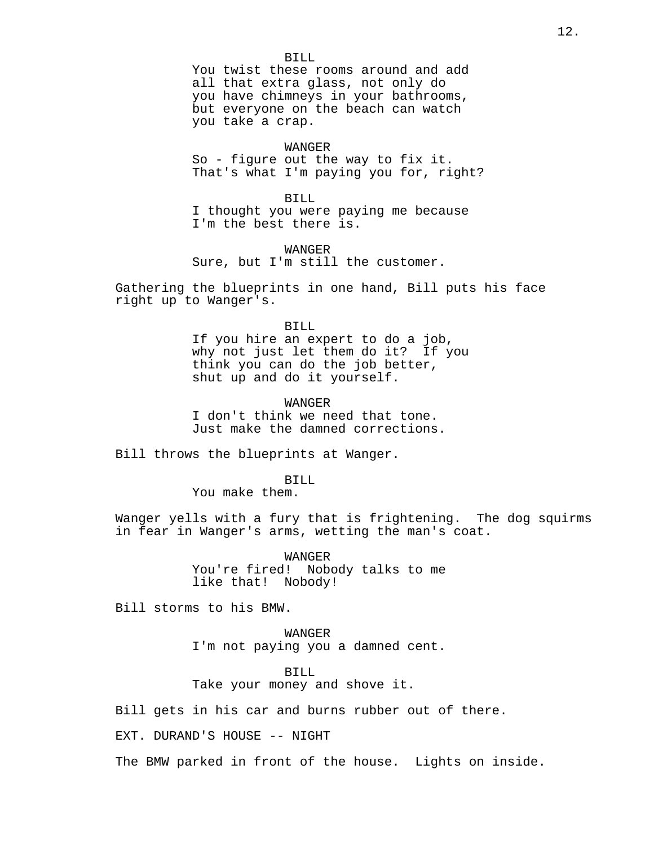BILL You twist these rooms around and add all that extra glass, not only do you have chimneys in your bathrooms, but everyone on the beach can watch you take a crap.

# WANGER

So - figure out the way to fix it. That's what I'm paying you for, right?

BILL I thought you were paying me because I'm the best there is.

WANGER Sure, but I'm still the customer.

Gathering the blueprints in one hand, Bill puts his face right up to Wanger's.

#### BILL

If you hire an expert to do a job, why not just let them do it? If you think you can do the job better, shut up and do it yourself.

WANGER

I don't think we need that tone. Just make the damned corrections.

Bill throws the blueprints at Wanger.

BILL

You make them.

Wanger yells with a fury that is frightening. The dog squirms in fear in Wanger's arms, wetting the man's coat.

> WANGER You're fired! Nobody talks to me like that! Nobody!

Bill storms to his BMW.

WANGER I'm not paying you a damned cent.

BILL Take your money and shove it.

Bill gets in his car and burns rubber out of there.

EXT. DURAND'S HOUSE -- NIGHT

The BMW parked in front of the house. Lights on inside.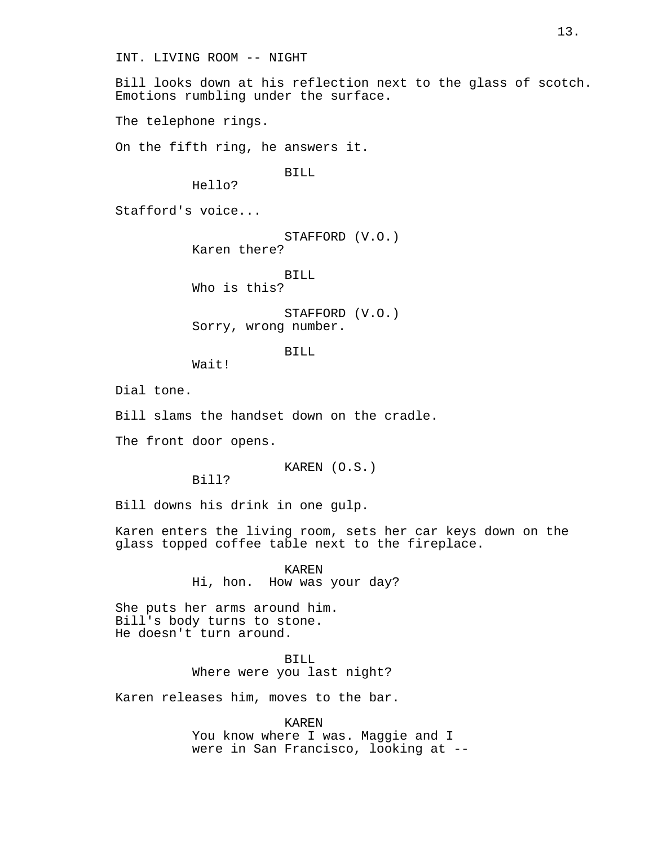INT. LIVING ROOM -- NIGHT

Bill looks down at his reflection next to the glass of scotch. Emotions rumbling under the surface.

The telephone rings.

On the fifth ring, he answers it.

BILL

Hello?

Stafford's voice...

STAFFORD (V.O.) Karen there?

BILL

Who is this?

STAFFORD (V.O.) Sorry, wrong number.

BILL

Wait!

Dial tone.

Bill slams the handset down on the cradle.

The front door opens.

KAREN (O.S.)

Bill?

Bill downs his drink in one gulp.

Karen enters the living room, sets her car keys down on the glass topped coffee table next to the fireplace.

> KAREN Hi, hon. How was your day?

She puts her arms around him. Bill's body turns to stone. He doesn't turn around.

> BILL Where were you last night?

Karen releases him, moves to the bar.

KAREN You know where I was. Maggie and I were in San Francisco, looking at --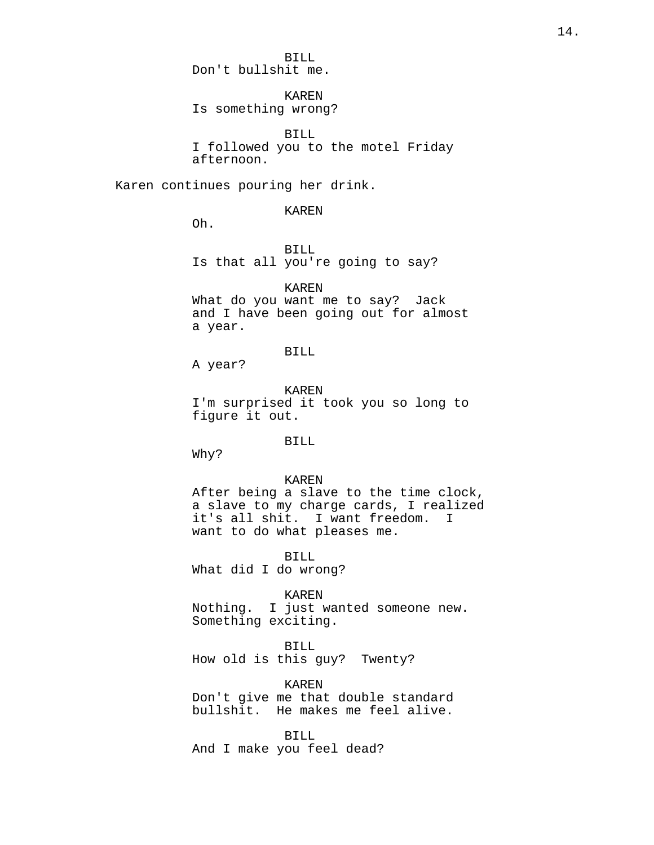BILL Don't bullshit me.

KAREN Is something wrong?

BILL I followed you to the motel Friday afternoon.

Karen continues pouring her drink.

# KAREN

Oh.

BILL Is that all you're going to say?

KAREN

What do you want me to say? Jack and I have been going out for almost a year.

# BILL

A year?

KAREN I'm surprised it took you so long to figure it out.

#### BILL

Why?

#### KAREN

After being a slave to the time clock, a slave to my charge cards, I realized it's all shit. I want freedom. I want to do what pleases me.

BILL

What did I do wrong?

# KAREN

Nothing. I just wanted someone new. Something exciting.

BILL

How old is this guy? Twenty?

KAREN

Don't give me that double standard bullshit. He makes me feel alive.

BILL And I make you feel dead?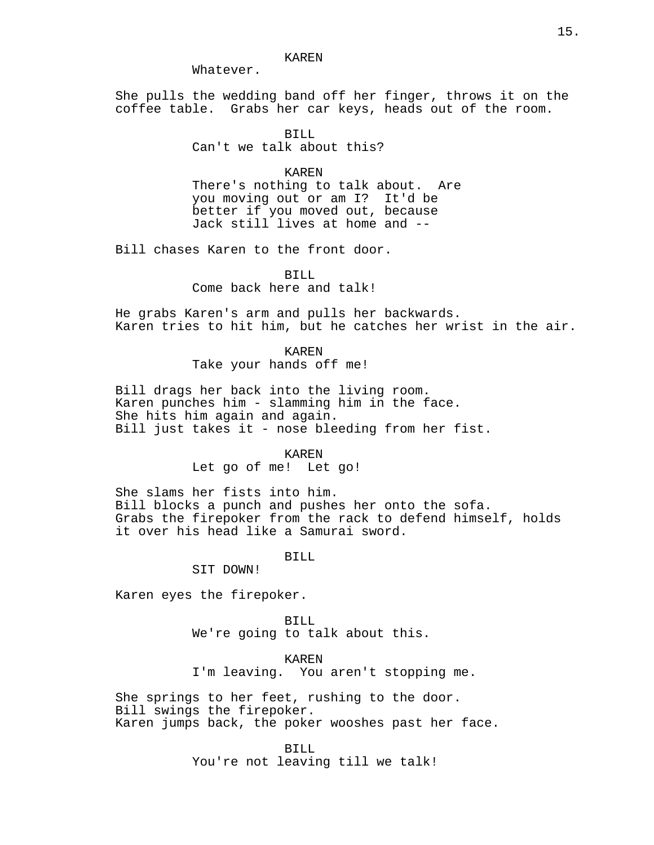#### KAREN

Whatever.

She pulls the wedding band off her finger, throws it on the coffee table. Grabs her car keys, heads out of the room.

# BILL

Can't we talk about this?

#### KAREN

There's nothing to talk about. Are you moving out or am I? It'd be better if you moved out, because Jack still lives at home and --

Bill chases Karen to the front door.

BILL

Come back here and talk!

He grabs Karen's arm and pulls her backwards. Karen tries to hit him, but he catches her wrist in the air.

> KAREN Take your hands off me!

Bill drags her back into the living room. Karen punches him - slamming him in the face. She hits him again and again. Bill just takes it - nose bleeding from her fist.

#### KAREN

Let go of me! Let go!

She slams her fists into him. Bill blocks a punch and pushes her onto the sofa. Grabs the firepoker from the rack to defend himself, holds it over his head like a Samurai sword.

BILL

SIT DOWN!

Karen eyes the firepoker.

BILL We're going to talk about this.

KAREN I'm leaving. You aren't stopping me.

She springs to her feet, rushing to the door. Bill swings the firepoker. Karen jumps back, the poker wooshes past her face.

BILL

You're not leaving till we talk!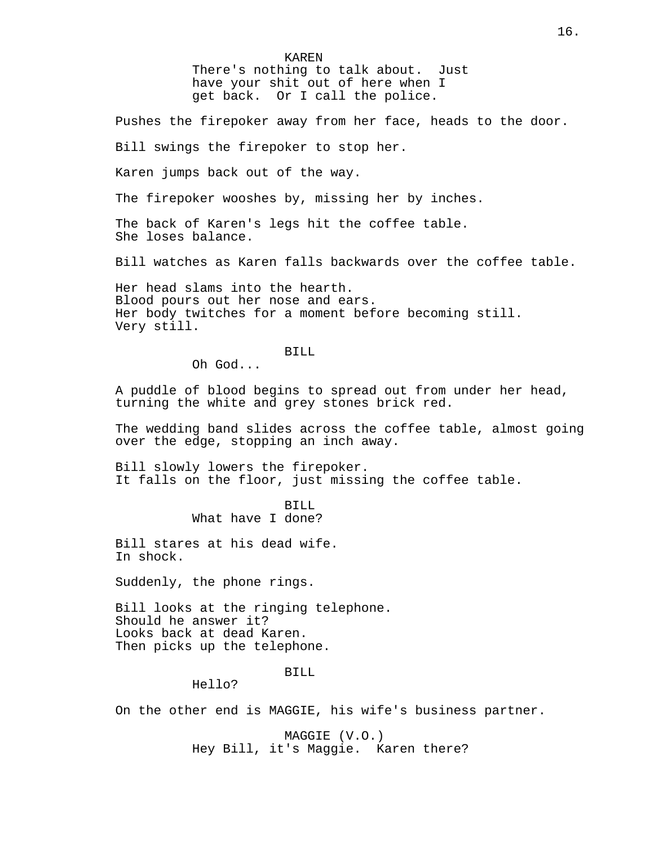KAREN There's nothing to talk about. Just have your shit out of here when I get back. Or I call the police.

Pushes the firepoker away from her face, heads to the door.

Bill swings the firepoker to stop her.

Karen jumps back out of the way.

The firepoker wooshes by, missing her by inches.

The back of Karen's legs hit the coffee table. She loses balance.

Bill watches as Karen falls backwards over the coffee table.

Her head slams into the hearth. Blood pours out her nose and ears. Her body twitches for a moment before becoming still. Very still.

BILL

Oh God...

A puddle of blood begins to spread out from under her head, turning the white and grey stones brick red.

The wedding band slides across the coffee table, almost going over the edge, stopping an inch away.

Bill slowly lowers the firepoker. It falls on the floor, just missing the coffee table.

> BILL What have I done?

Bill stares at his dead wife. In shock.

Suddenly, the phone rings.

Bill looks at the ringing telephone. Should he answer it? Looks back at dead Karen. Then picks up the telephone.

BILL

Hello?

On the other end is MAGGIE, his wife's business partner.

MAGGIE (V.O.) Hey Bill, it's Maggie. Karen there?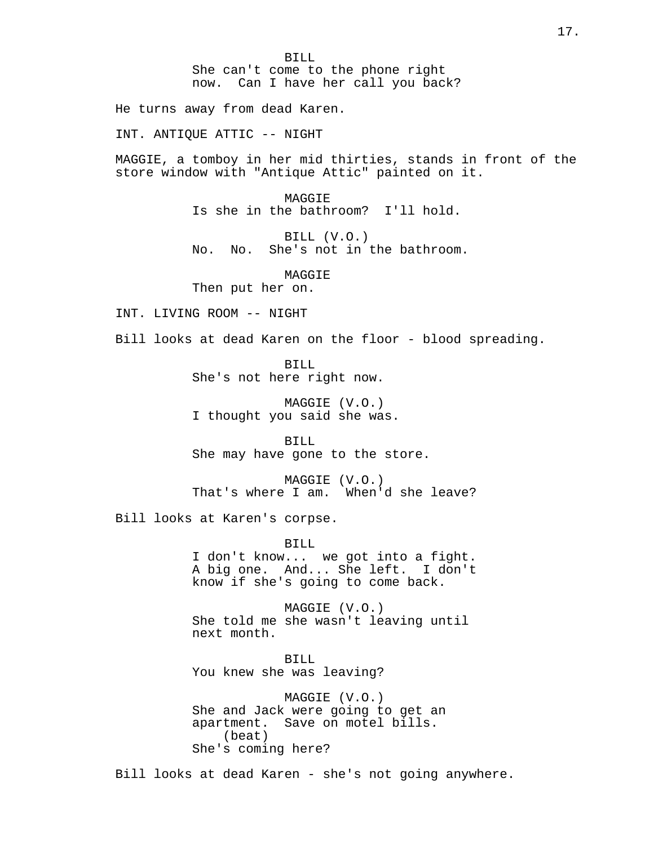BILL She can't come to the phone right now. Can I have her call you back?

He turns away from dead Karen.

INT. ANTIQUE ATTIC -- NIGHT

MAGGIE, a tomboy in her mid thirties, stands in front of the store window with "Antique Attic" painted on it.

> MAGGIE Is she in the bathroom? I'll hold.

BILL (V.O.) No. No. She's not in the bathroom.

MAGGIE Then put her on.

INT. LIVING ROOM -- NIGHT

Bill looks at dead Karen on the floor - blood spreading.

BILL She's not here right now.

MAGGIE (V.O.) I thought you said she was.

BILL She may have gone to the store.

MAGGIE (V.O.) That's where I am. When'd she leave?

Bill looks at Karen's corpse.

#### BILL

I don't know... we got into a fight. A big one. And... She left. I don't know if she's going to come back.

MAGGIE (V.O.) She told me she wasn't leaving until next month.

BILL You knew she was leaving?

MAGGIE (V.O.) She and Jack were going to get an apartment. Save on motel bills. (beat) She's coming here?

Bill looks at dead Karen - she's not going anywhere.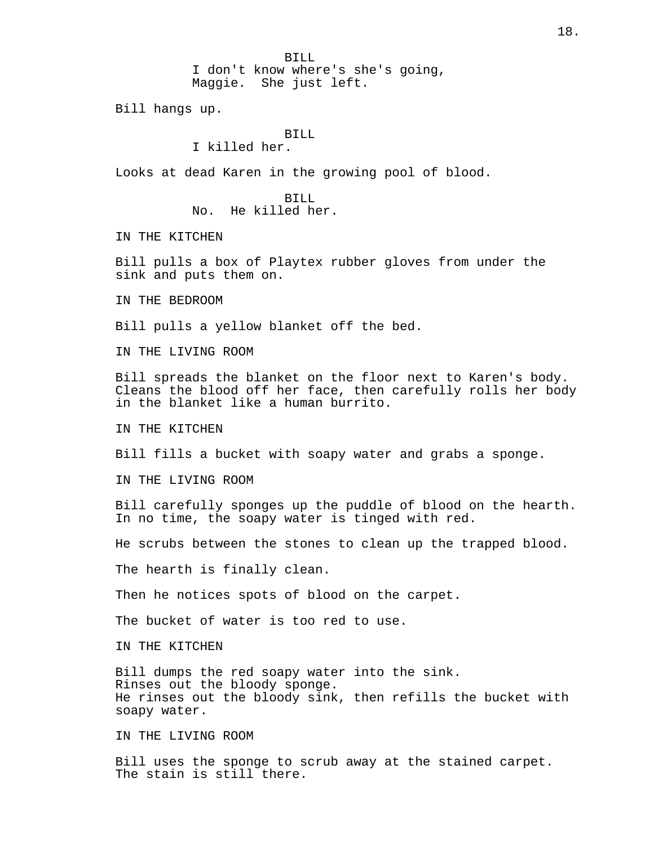BILL

I don't know where's she's going, Maggie. She just left.

Bill hangs up.

## BILL

I killed her.

Looks at dead Karen in the growing pool of blood.

BILL No. He killed her.

IN THE KITCHEN

Bill pulls a box of Playtex rubber gloves from under the sink and puts them on.

IN THE BEDROOM

Bill pulls a yellow blanket off the bed.

IN THE LIVING ROOM

Bill spreads the blanket on the floor next to Karen's body. Cleans the blood off her face, then carefully rolls her body in the blanket like a human burrito.

IN THE KITCHEN

Bill fills a bucket with soapy water and grabs a sponge.

IN THE LIVING ROOM

Bill carefully sponges up the puddle of blood on the hearth. In no time, the soapy water is tinged with red.

He scrubs between the stones to clean up the trapped blood.

The hearth is finally clean.

Then he notices spots of blood on the carpet.

The bucket of water is too red to use.

IN THE KITCHEN

Bill dumps the red soapy water into the sink. Rinses out the bloody sponge. He rinses out the bloody sink, then refills the bucket with soapy water.

IN THE LIVING ROOM

Bill uses the sponge to scrub away at the stained carpet. The stain is still there.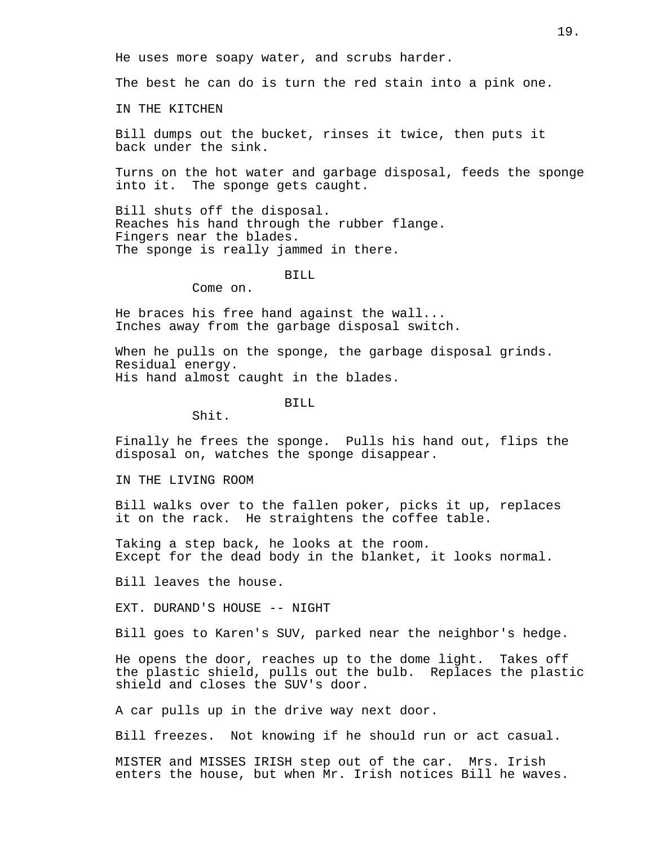He uses more soapy water, and scrubs harder.

The best he can do is turn the red stain into a pink one.

IN THE KITCHEN

Bill dumps out the bucket, rinses it twice, then puts it back under the sink.

Turns on the hot water and garbage disposal, feeds the sponge into it. The sponge gets caught.

Bill shuts off the disposal. Reaches his hand through the rubber flange. Fingers near the blades. The sponge is really jammed in there.

#### BILL

Come on.

He braces his free hand against the wall... Inches away from the garbage disposal switch.

When he pulls on the sponge, the garbage disposal grinds. Residual energy. His hand almost caught in the blades.

BILL

Shit.

Finally he frees the sponge. Pulls his hand out, flips the disposal on, watches the sponge disappear.

IN THE LIVING ROOM

Bill walks over to the fallen poker, picks it up, replaces it on the rack. He straightens the coffee table.

Taking a step back, he looks at the room. Except for the dead body in the blanket, it looks normal.

Bill leaves the house.

EXT. DURAND'S HOUSE -- NIGHT

Bill goes to Karen's SUV, parked near the neighbor's hedge.

He opens the door, reaches up to the dome light. Takes off the plastic shield, pulls out the bulb. Replaces the plastic shield and closes the SUV's door.

A car pulls up in the drive way next door.

Bill freezes. Not knowing if he should run or act casual.

MISTER and MISSES IRISH step out of the car. Mrs. Irish enters the house, but when Mr. Irish notices Bill he waves.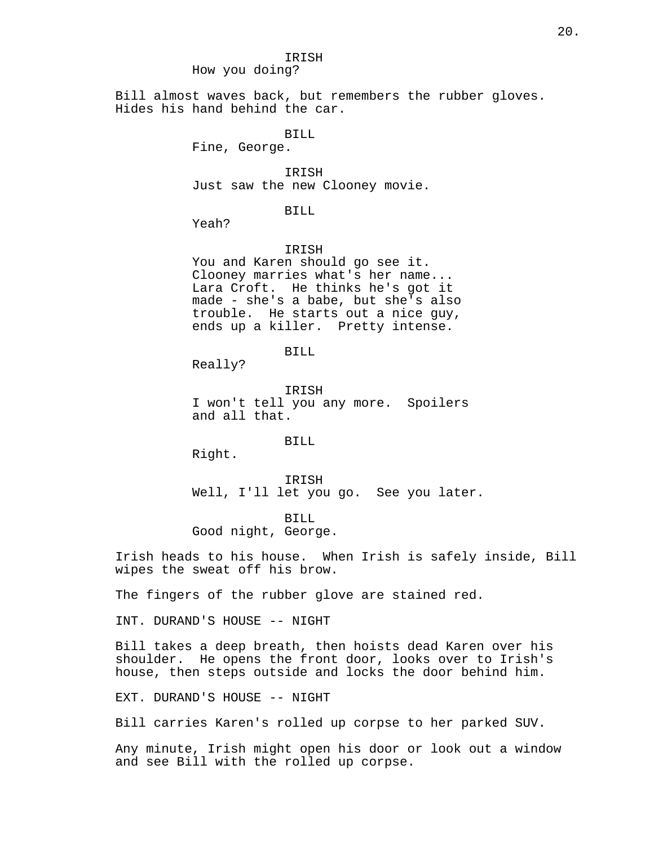How you doing?

Bill almost waves back, but remembers the rubber gloves. Hides his hand behind the car.

BILL

Fine, George.

IRISH Just saw the new Clooney movie.

BILL

Yeah?

IRISH

You and Karen should go see it. Clooney marries what's her name... Lara Croft. He thinks he's got it made - she's a babe, but she's also trouble. He starts out a nice guy, ends up a killer. Pretty intense.

BILL

Really?

IRISH I won't tell you any more. Spoilers and all that.

BILL

Right.

IRISH Well, I'll let you go. See you later.

BILL Good night, George.

Irish heads to his house. When Irish is safely inside, Bill wipes the sweat off his brow.

The fingers of the rubber glove are stained red.

INT. DURAND'S HOUSE -- NIGHT

Bill takes a deep breath, then hoists dead Karen over his shoulder. He opens the front door, looks over to Irish's house, then steps outside and locks the door behind him.

EXT. DURAND'S HOUSE -- NIGHT

Bill carries Karen's rolled up corpse to her parked SUV.

Any minute, Irish might open his door or look out a window and see Bill with the rolled up corpse.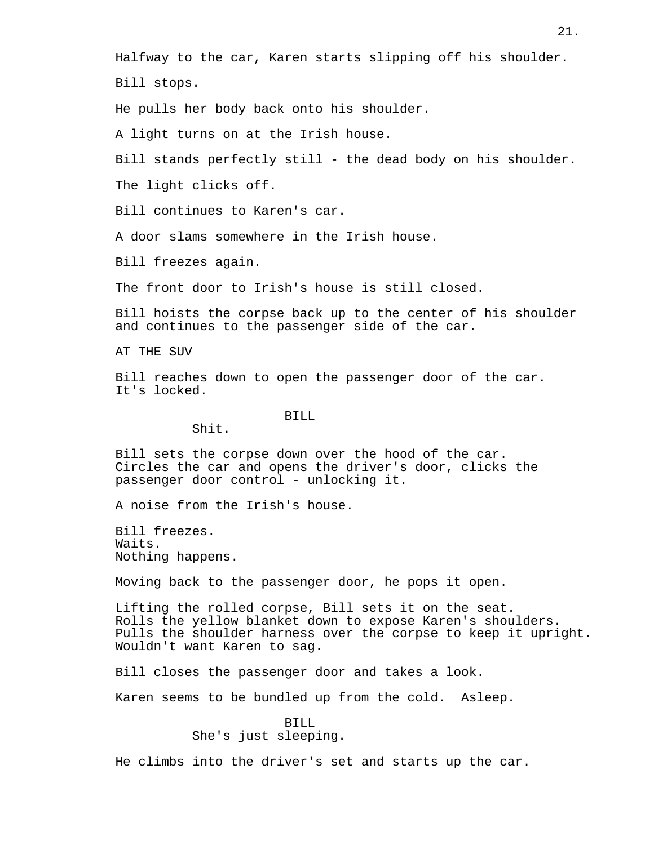Halfway to the car, Karen starts slipping off his shoulder.

Bill stops.

He pulls her body back onto his shoulder.

A light turns on at the Irish house.

Bill stands perfectly still - the dead body on his shoulder.

The light clicks off.

Bill continues to Karen's car.

A door slams somewhere in the Irish house.

Bill freezes again.

The front door to Irish's house is still closed.

Bill hoists the corpse back up to the center of his shoulder and continues to the passenger side of the car.

AT THE SUV

Bill reaches down to open the passenger door of the car. It's locked.

#### BILL

Shit.

Bill sets the corpse down over the hood of the car. Circles the car and opens the driver's door, clicks the passenger door control - unlocking it.

A noise from the Irish's house.

Bill freezes. Waits. Nothing happens.

Moving back to the passenger door, he pops it open.

Lifting the rolled corpse, Bill sets it on the seat. Rolls the yellow blanket down to expose Karen's shoulders. Pulls the shoulder harness over the corpse to keep it upright. Wouldn't want Karen to sag.

Bill closes the passenger door and takes a look.

Karen seems to be bundled up from the cold. Asleep.

BILL She's just sleeping.

He climbs into the driver's set and starts up the car.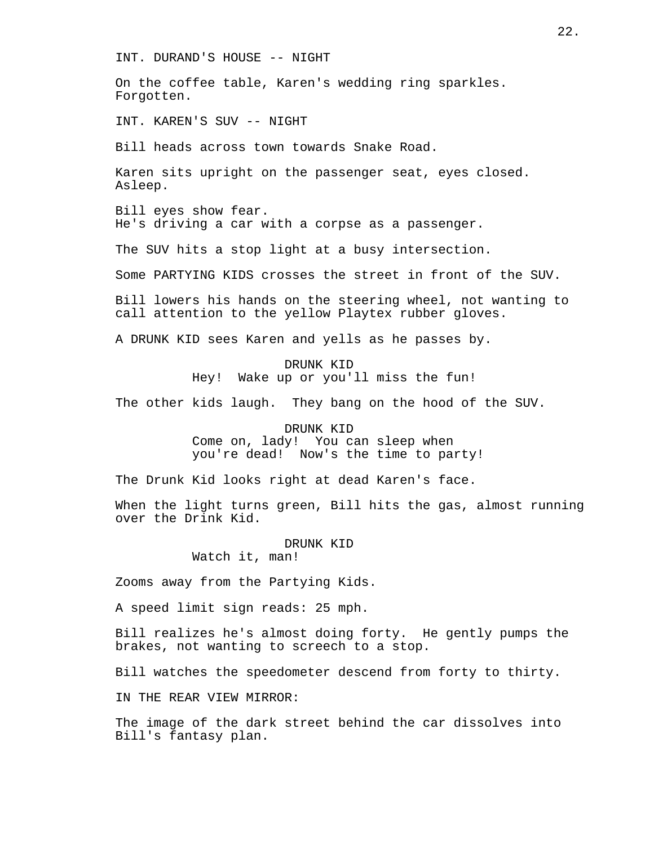INT. DURAND'S HOUSE -- NIGHT

On the coffee table, Karen's wedding ring sparkles. Forgotten.

INT. KAREN'S SUV -- NIGHT

Bill heads across town towards Snake Road.

Karen sits upright on the passenger seat, eyes closed. Asleep.

Bill eyes show fear. He's driving a car with a corpse as a passenger.

The SUV hits a stop light at a busy intersection.

Some PARTYING KIDS crosses the street in front of the SUV.

Bill lowers his hands on the steering wheel, not wanting to call attention to the yellow Playtex rubber gloves.

A DRUNK KID sees Karen and yells as he passes by.

DRUNK KID Hey! Wake up or you'll miss the fun!

The other kids laugh. They bang on the hood of the SUV.

DRUNK KID

Come on, lady! You can sleep when you're dead! Now's the time to party!

The Drunk Kid looks right at dead Karen's face.

When the light turns green, Bill hits the gas, almost running over the Drink Kid.

DRUNK KID

Watch it, man!

Zooms away from the Partying Kids.

A speed limit sign reads: 25 mph.

Bill realizes he's almost doing forty. He gently pumps the brakes, not wanting to screech to a stop.

Bill watches the speedometer descend from forty to thirty.

IN THE REAR VIEW MIRROR:

The image of the dark street behind the car dissolves into Bill's fantasy plan.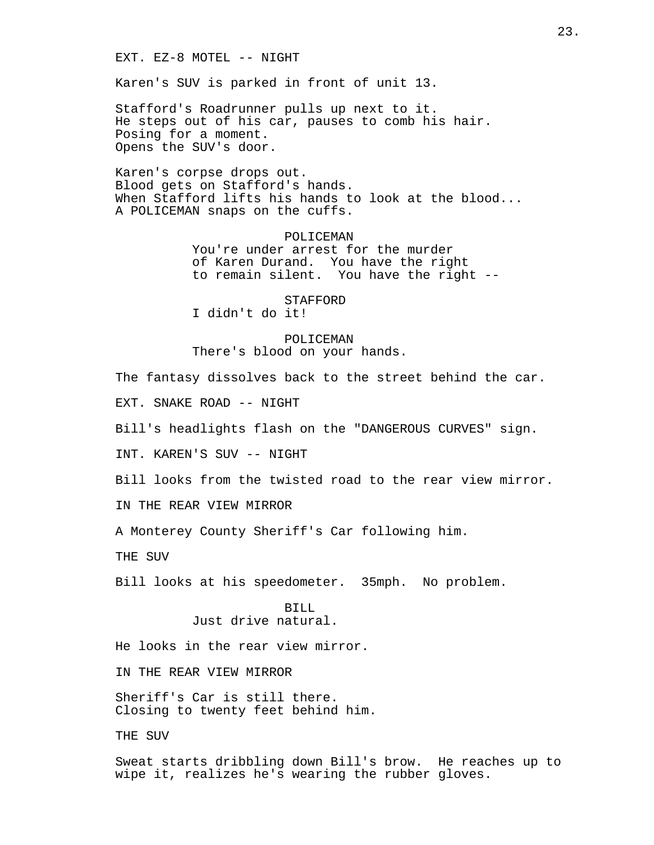EXT. EZ-8 MOTEL -- NIGHT

Karen's SUV is parked in front of unit 13.

Stafford's Roadrunner pulls up next to it. He steps out of his car, pauses to comb his hair. Posing for a moment. Opens the SUV's door.

Karen's corpse drops out. Blood gets on Stafford's hands. When Stafford lifts his hands to look at the blood... A POLICEMAN snaps on the cuffs.

> POLICEMAN You're under arrest for the murder of Karen Durand. You have the right to remain silent. You have the right --

STAFFORD I didn't do it!

POLICEMAN There's blood on your hands.

The fantasy dissolves back to the street behind the car.

EXT. SNAKE ROAD -- NIGHT

Bill's headlights flash on the "DANGEROUS CURVES" sign.

INT. KAREN'S SUV -- NIGHT

Bill looks from the twisted road to the rear view mirror.

IN THE REAR VIEW MIRROR

A Monterey County Sheriff's Car following him.

THE SUV

Bill looks at his speedometer. 35mph. No problem.

BILL Just drive natural.

He looks in the rear view mirror.

IN THE REAR VIEW MIRROR

Sheriff's Car is still there. Closing to twenty feet behind him.

THE SUV

Sweat starts dribbling down Bill's brow. He reaches up to wipe it, realizes he's wearing the rubber gloves.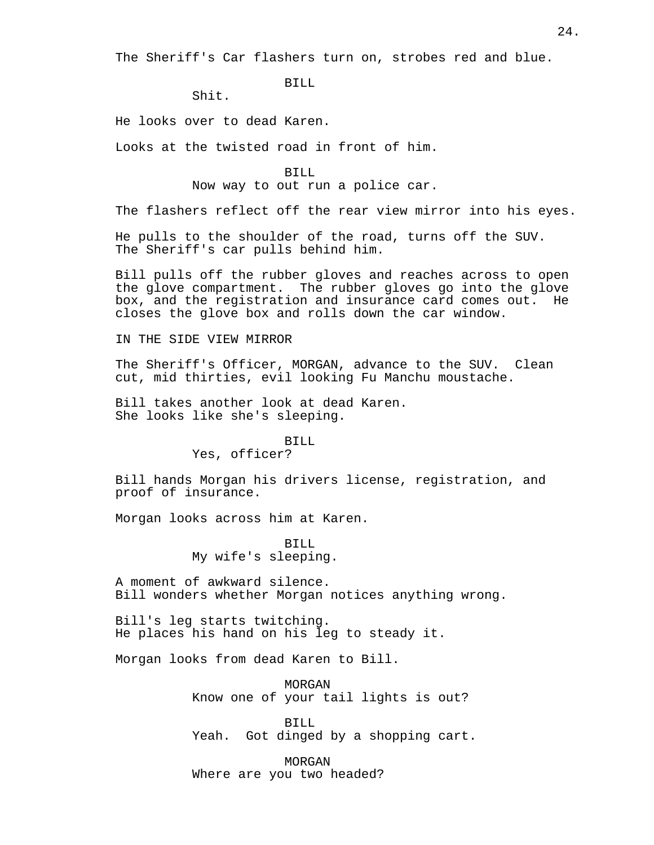The Sheriff's Car flashers turn on, strobes red and blue.

BILL

Shit.

He looks over to dead Karen.

Looks at the twisted road in front of him.

BILL

Now way to out run a police car.

The flashers reflect off the rear view mirror into his eyes.

He pulls to the shoulder of the road, turns off the SUV. The Sheriff's car pulls behind him.

Bill pulls off the rubber gloves and reaches across to open the glove compartment. The rubber gloves go into the glove box, and the registration and insurance card comes out. He closes the glove box and rolls down the car window.

IN THE SIDE VIEW MIRROR

The Sheriff's Officer, MORGAN, advance to the SUV. Clean cut, mid thirties, evil looking Fu Manchu moustache.

Bill takes another look at dead Karen. She looks like she's sleeping.

#### BILL

Yes, officer?

Bill hands Morgan his drivers license, registration, and proof of insurance.

Morgan looks across him at Karen.

BILL My wife's sleeping.

A moment of awkward silence. Bill wonders whether Morgan notices anything wrong.

Bill's leg starts twitching. He places his hand on his leg to steady it.

Morgan looks from dead Karen to Bill.

MORGAN Know one of your tail lights is out?

BILL Yeah. Got dinged by a shopping cart.

MORGAN Where are you two headed?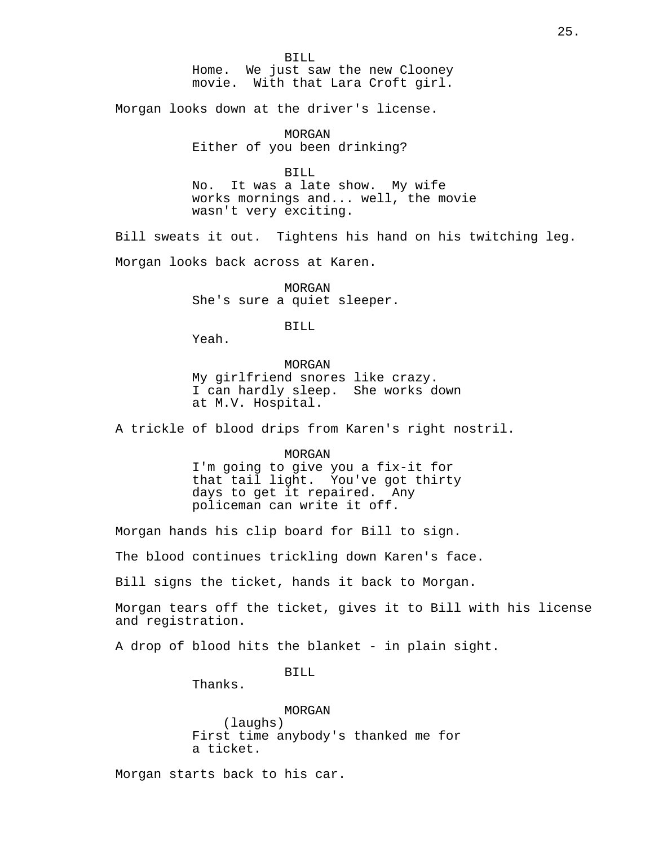BILL Home. We just saw the new Clooney movie. With that Lara Croft girl.

Morgan looks down at the driver's license.

MORGAN Either of you been drinking?

BILL No. It was a late show. My wife works mornings and... well, the movie wasn't very exciting.

Bill sweats it out. Tightens his hand on his twitching leg.

Morgan looks back across at Karen.

MORGAN She's sure a quiet sleeper.

BILL

Yeah.

MORGAN My girlfriend snores like crazy. I can hardly sleep. She works down at M.V. Hospital.

A trickle of blood drips from Karen's right nostril.

MORGAN

I'm going to give you a fix-it for that tail light. You've got thirty days to get it repaired. Any policeman can write it off.

Morgan hands his clip board for Bill to sign.

The blood continues trickling down Karen's face.

Bill signs the ticket, hands it back to Morgan.

Morgan tears off the ticket, gives it to Bill with his license and registration.

A drop of blood hits the blanket - in plain sight.

BILL

Thanks.

MORGAN (laughs) First time anybody's thanked me for a ticket.

Morgan starts back to his car.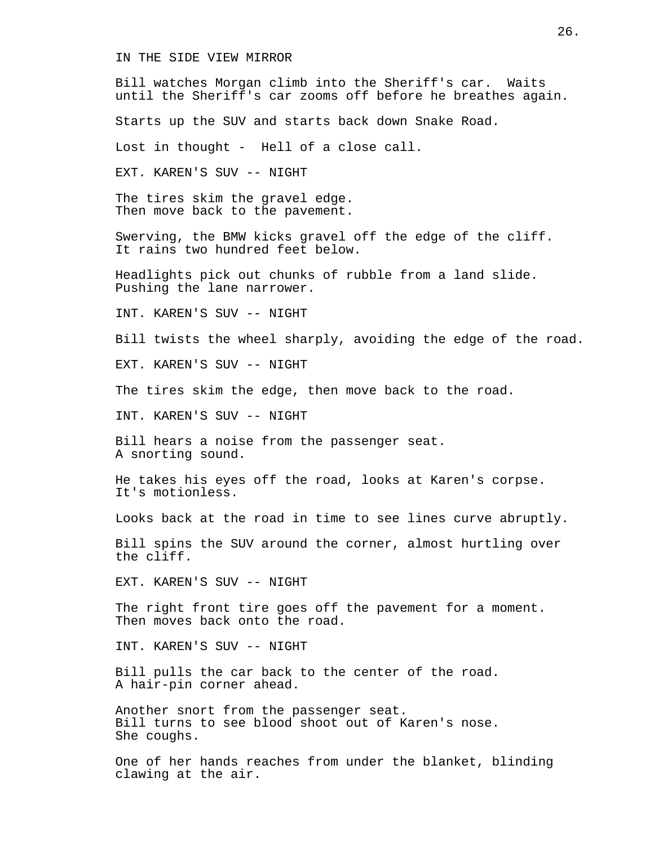IN THE SIDE VIEW MIRROR

Bill watches Morgan climb into the Sheriff's car. Waits until the Sheriff's car zooms off before he breathes again.

Starts up the SUV and starts back down Snake Road.

Lost in thought - Hell of a close call.

EXT. KAREN'S SUV -- NIGHT

The tires skim the gravel edge. Then move back to the pavement.

Swerving, the BMW kicks gravel off the edge of the cliff. It rains two hundred feet below.

Headlights pick out chunks of rubble from a land slide. Pushing the lane narrower.

INT. KAREN'S SUV -- NIGHT

Bill twists the wheel sharply, avoiding the edge of the road.

EXT. KAREN'S SUV -- NIGHT

The tires skim the edge, then move back to the road.

INT. KAREN'S SUV -- NIGHT

Bill hears a noise from the passenger seat. A snorting sound.

He takes his eyes off the road, looks at Karen's corpse. It's motionless.

Looks back at the road in time to see lines curve abruptly.

Bill spins the SUV around the corner, almost hurtling over the cliff.

EXT. KAREN'S SUV -- NIGHT

The right front tire goes off the pavement for a moment. Then moves back onto the road.

INT. KAREN'S SUV -- NIGHT

Bill pulls the car back to the center of the road. A hair-pin corner ahead.

Another snort from the passenger seat. Bill turns to see blood shoot out of Karen's nose. She coughs.

One of her hands reaches from under the blanket, blinding clawing at the air.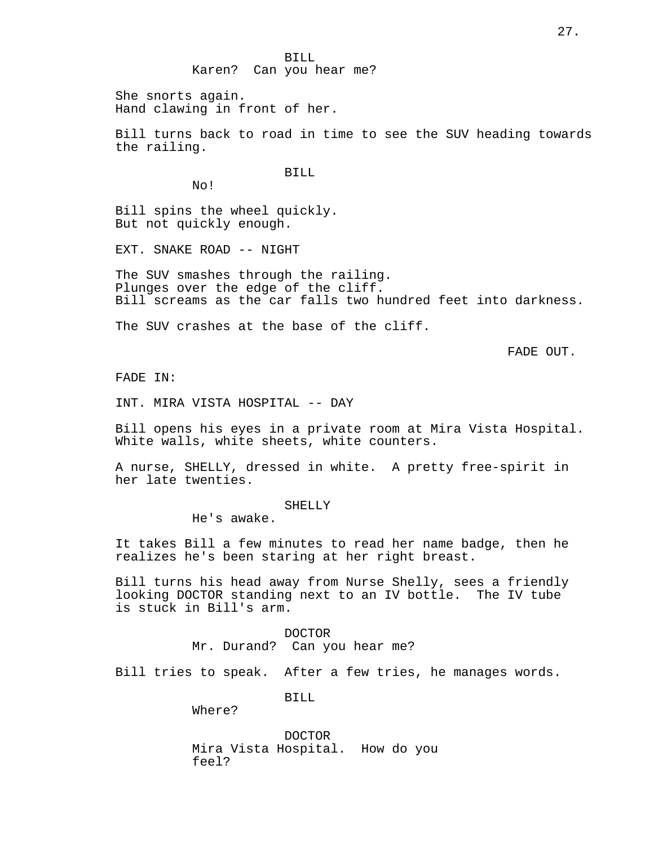BILL Karen? Can you hear me?

She snorts again. Hand clawing in front of her.

Bill turns back to road in time to see the SUV heading towards the railing.

BILL

No!

Bill spins the wheel quickly. But not quickly enough.

EXT. SNAKE ROAD -- NIGHT

The SUV smashes through the railing. Plunges over the edge of the cliff. Bill screams as the car falls two hundred feet into darkness.

The SUV crashes at the base of the cliff.

FADE OUT.

FADE IN:

INT. MIRA VISTA HOSPITAL -- DAY

Bill opens his eyes in a private room at Mira Vista Hospital. White walls, white sheets, white counters.

A nurse, SHELLY, dressed in white. A pretty free-spirit in her late twenties.

SHELLY

He's awake.

It takes Bill a few minutes to read her name badge, then he realizes he's been staring at her right breast.

Bill turns his head away from Nurse Shelly, sees a friendly looking DOCTOR standing next to an IV bottle. The IV tube is stuck in Bill's arm.

> DOCTOR Mr. Durand? Can you hear me?

Bill tries to speak. After a few tries, he manages words.

BILL

Where?

DOCTOR Mira Vista Hospital. How do you feel?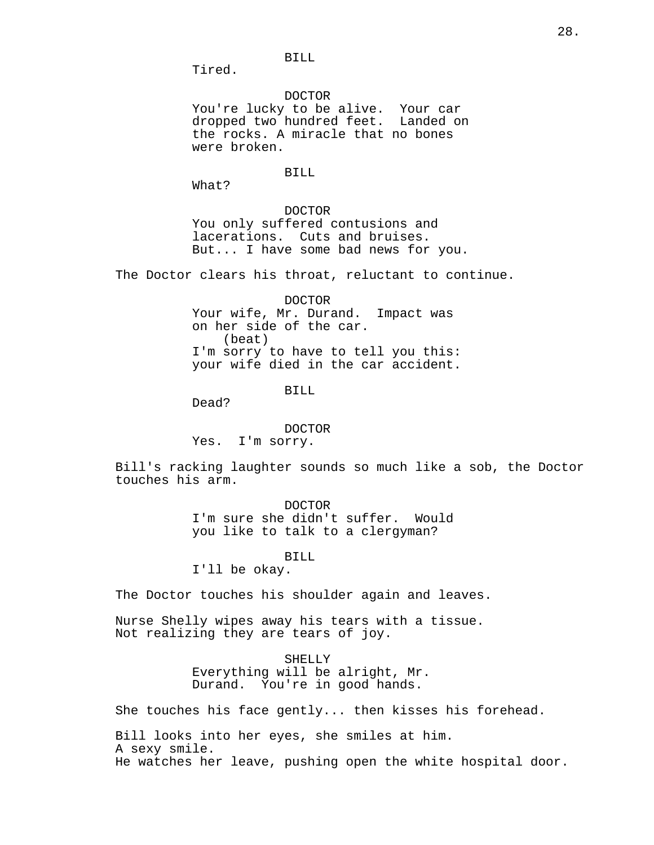BILL

Tired.

DOCTOR You're lucky to be alive. Your car dropped two hundred feet. Landed on the rocks. A miracle that no bones were broken.

# BILL

What?

DOCTOR You only suffered contusions and lacerations. Cuts and bruises. But... I have some bad news for you.

The Doctor clears his throat, reluctant to continue.

DOCTOR Your wife, Mr. Durand. Impact was on her side of the car. (beat) I'm sorry to have to tell you this: your wife died in the car accident.

BILL

Dead?

# DOCTOR

Yes. I'm sorry.

Bill's racking laughter sounds so much like a sob, the Doctor touches his arm.

> DOCTOR I'm sure she didn't suffer. Would you like to talk to a clergyman?

#### BILL

I'll be okay.

The Doctor touches his shoulder again and leaves.

Nurse Shelly wipes away his tears with a tissue. Not realizing they are tears of joy.

SHELLY

Everything will be alright, Mr. Durand. You're in good hands.

She touches his face gently... then kisses his forehead.

Bill looks into her eyes, she smiles at him. A sexy smile. He watches her leave, pushing open the white hospital door.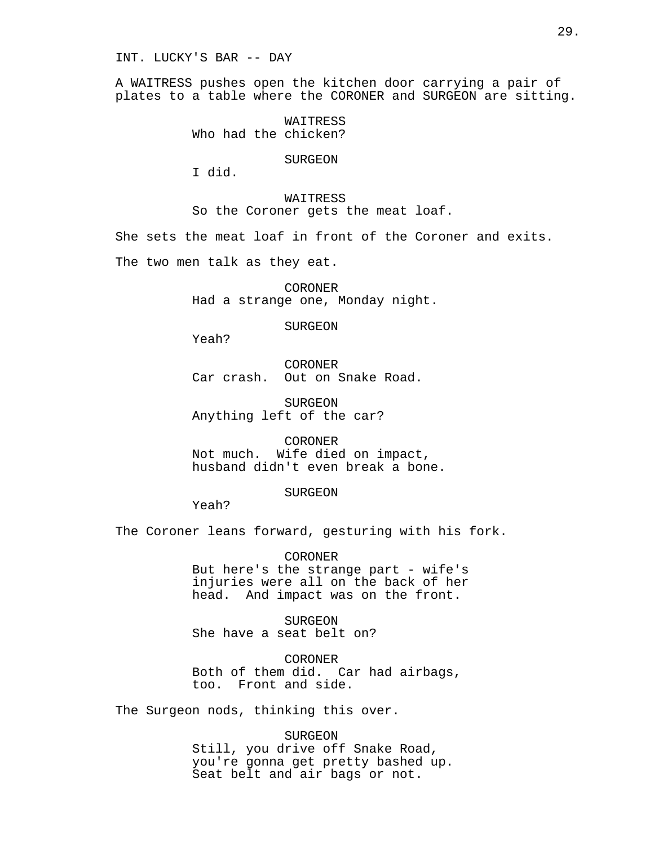INT. LUCKY'S BAR -- DAY

A WAITRESS pushes open the kitchen door carrying a pair of plates to a table where the CORONER and SURGEON are sitting.

> **WAITRESS** Who had the chicken?

> > SURGEON

I did.

WAITRESS

So the Coroner gets the meat loaf.

She sets the meat loaf in front of the Coroner and exits.

The two men talk as they eat.

CORONER Had a strange one, Monday night.

SURGEON

Yeah?

CORONER Car crash. Out on Snake Road.

SURGEON Anything left of the car?

CORONER Not much. Wife died on impact, husband didn't even break a bone.

# SURGEON

Yeah?

The Coroner leans forward, gesturing with his fork.

CORONER But here's the strange part - wife's injuries were all on the back of her head. And impact was on the front.

SURGEON She have a seat belt on?

CORONER Both of them did. Car had airbags, too. Front and side.

The Surgeon nods, thinking this over.

SURGEON Still, you drive off Snake Road, you're gonna get pretty bashed up. Seat belt and air bags or not.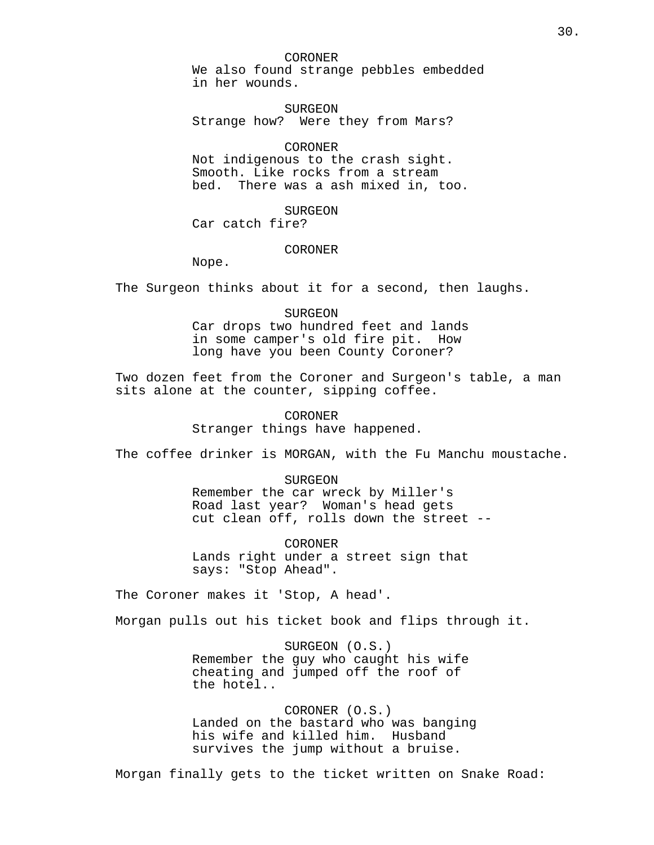CORONER We also found strange pebbles embedded in her wounds.

SURGEON Strange how? Were they from Mars?

# CORONER

Not indigenous to the crash sight. Smooth. Like rocks from a stream bed. There was a ash mixed in, too.

# SURGEON

Car catch fire?

#### CORONER

Nope.

The Surgeon thinks about it for a second, then laughs.

# SURGEON

Car drops two hundred feet and lands in some camper's old fire pit. How long have you been County Coroner?

Two dozen feet from the Coroner and Surgeon's table, a man sits alone at the counter, sipping coffee.

# CORONER

Stranger things have happened.

The coffee drinker is MORGAN, with the Fu Manchu moustache.

# SURGEON

Remember the car wreck by Miller's Road last year? Woman's head gets cut clean off, rolls down the street --

**CORONER** Lands right under a street sign that says: "Stop Ahead".

The Coroner makes it 'Stop, A head'.

Morgan pulls out his ticket book and flips through it.

SURGEON (O.S.) Remember the guy who caught his wife cheating and jumped off the roof of the hotel..

CORONER (O.S.) Landed on the bastard who was banging his wife and killed him. Husband survives the jump without a bruise.

Morgan finally gets to the ticket written on Snake Road: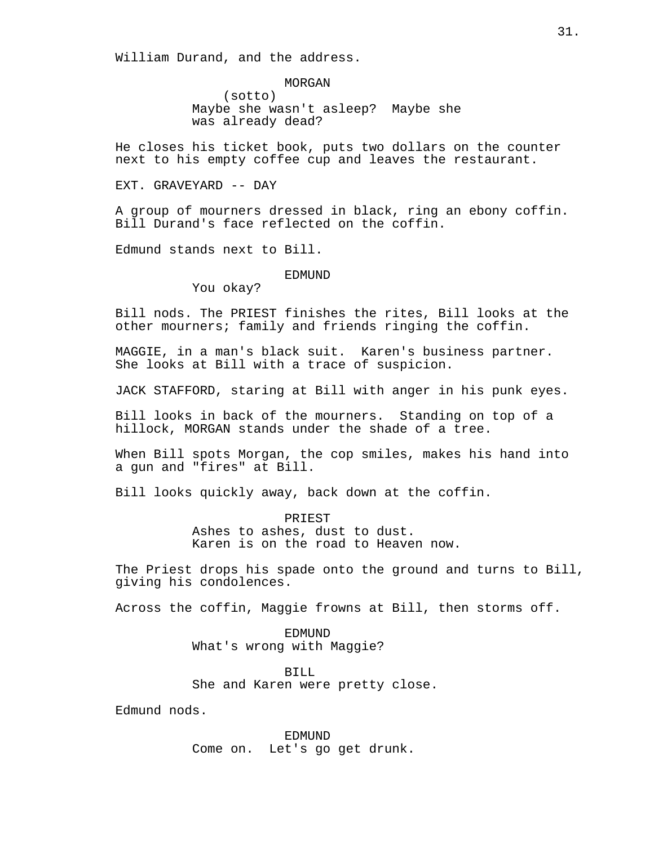William Durand, and the address.

MORGAN (sotto) Maybe she wasn't asleep? Maybe she was already dead?

He closes his ticket book, puts two dollars on the counter next to his empty coffee cup and leaves the restaurant.

EXT. GRAVEYARD -- DAY

A group of mourners dressed in black, ring an ebony coffin. Bill Durand's face reflected on the coffin.

Edmund stands next to Bill.

#### EDMUND

You okay?

Bill nods. The PRIEST finishes the rites, Bill looks at the other mourners; family and friends ringing the coffin.

MAGGIE, in a man's black suit. Karen's business partner. She looks at Bill with a trace of suspicion.

JACK STAFFORD, staring at Bill with anger in his punk eyes.

Bill looks in back of the mourners. Standing on top of a hillock, MORGAN stands under the shade of a tree.

When Bill spots Morgan, the cop smiles, makes his hand into a gun and "fires" at Bill.

Bill looks quickly away, back down at the coffin.

**PRIEST** Ashes to ashes, dust to dust. Karen is on the road to Heaven now.

The Priest drops his spade onto the ground and turns to Bill, giving his condolences.

Across the coffin, Maggie frowns at Bill, then storms off.

EDMUND What's wrong with Maggie?

BILL She and Karen were pretty close.

Edmund nods.

EDMUND Come on. Let's go get drunk.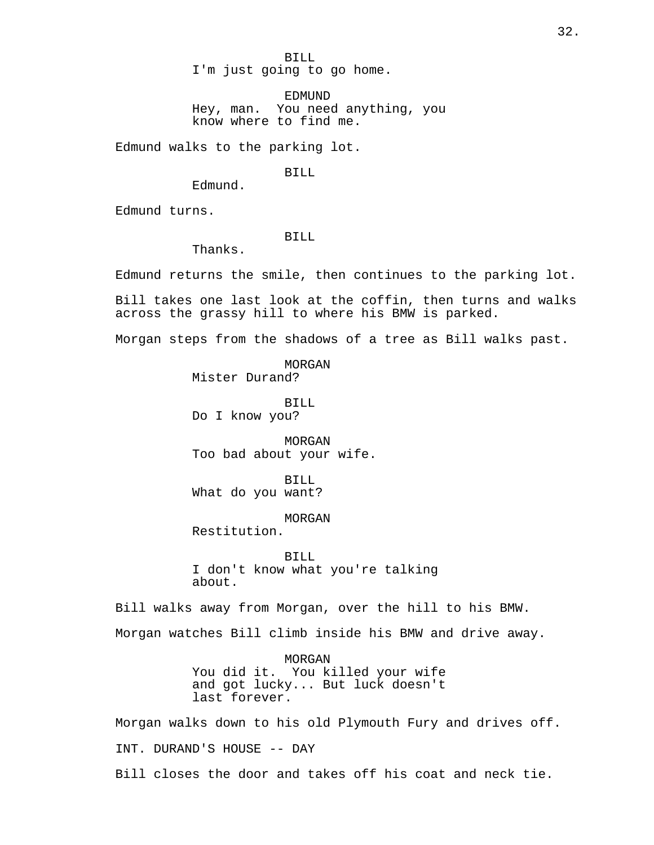BILL I'm just going to go home.

EDMUND Hey, man. You need anything, you know where to find me.

Edmund walks to the parking lot.

BILL

Edmund turns.

#### BILL

Thanks.

Edmund.

Edmund returns the smile, then continues to the parking lot.

Bill takes one last look at the coffin, then turns and walks across the grassy hill to where his BMW is parked.

Morgan steps from the shadows of a tree as Bill walks past.

MORGAN Mister Durand?

BILL Do I know you?

MORGAN Too bad about your wife.

BILL What do you want?

MORGAN

Restitution.

BILL I don't know what you're talking about.

Bill walks away from Morgan, over the hill to his BMW.

Morgan watches Bill climb inside his BMW and drive away.

MORGAN You did it. You killed your wife and got lucky... But luck doesn't last forever.

Morgan walks down to his old Plymouth Fury and drives off. INT. DURAND'S HOUSE -- DAY

Bill closes the door and takes off his coat and neck tie.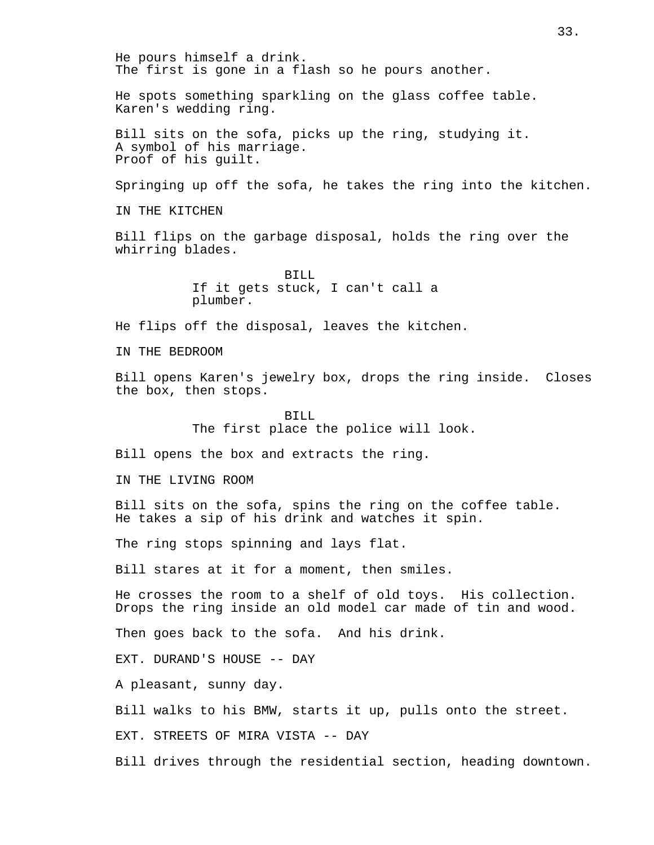He pours himself a drink. The first is gone in a flash so he pours another. He spots something sparkling on the glass coffee table. Karen's wedding ring. Bill sits on the sofa, picks up the ring, studying it. A symbol of his marriage. Proof of his guilt. Springing up off the sofa, he takes the ring into the kitchen. IN THE KITCHEN Bill flips on the garbage disposal, holds the ring over the whirring blades. BILL If it gets stuck, I can't call a plumber. He flips off the disposal, leaves the kitchen. IN THE BEDROOM Bill opens Karen's jewelry box, drops the ring inside. Closes the box, then stops. BILL The first place the police will look. Bill opens the box and extracts the ring. IN THE LIVING ROOM Bill sits on the sofa, spins the ring on the coffee table. He takes a sip of his drink and watches it spin. The ring stops spinning and lays flat. Bill stares at it for a moment, then smiles. He crosses the room to a shelf of old toys. His collection. Drops the ring inside an old model car made of tin and wood. Then goes back to the sofa. And his drink. EXT. DURAND'S HOUSE -- DAY A pleasant, sunny day. Bill walks to his BMW, starts it up, pulls onto the street. EXT. STREETS OF MIRA VISTA -- DAY Bill drives through the residential section, heading downtown.

33.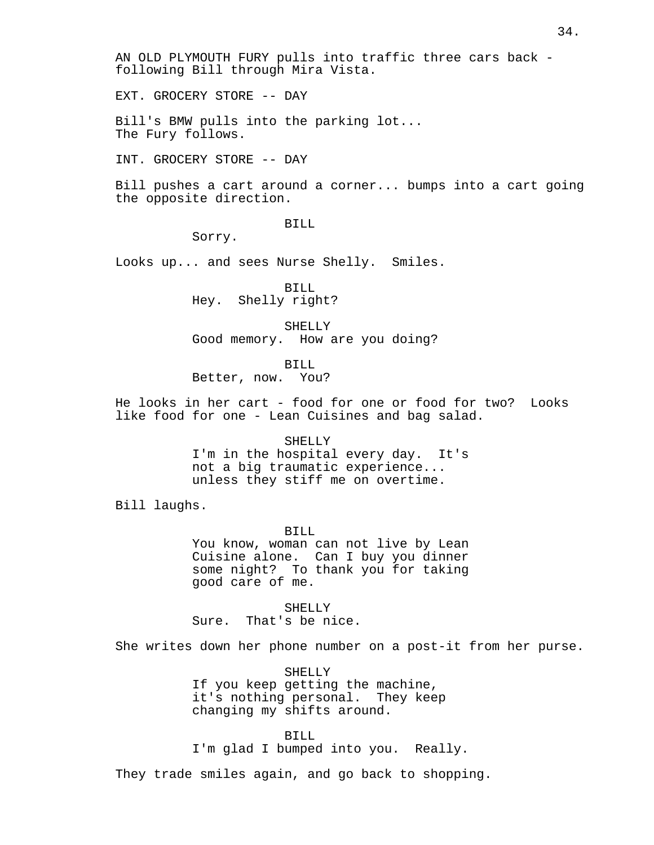AN OLD PLYMOUTH FURY pulls into traffic three cars back following Bill through Mira Vista.

EXT. GROCERY STORE -- DAY

Bill's BMW pulls into the parking lot... The Fury follows.

INT. GROCERY STORE -- DAY

Bill pushes a cart around a corner... bumps into a cart going the opposite direction.

BILL

Sorry.

Looks up... and sees Nurse Shelly. Smiles.

BILL Hey. Shelly right?

SHELLY Good memory. How are you doing?

BILL

Better, now. You?

He looks in her cart - food for one or food for two? Looks like food for one - Lean Cuisines and bag salad.

SHELLY

I'm in the hospital every day. It's not a big traumatic experience... unless they stiff me on overtime.

Bill laughs.

BILL You know, woman can not live by Lean Cuisine alone. Can I buy you dinner some night? To thank you for taking good care of me.

SHELLY Sure. That's be nice.

She writes down her phone number on a post-it from her purse.

SHELLY If you keep getting the machine, it's nothing personal. They keep changing my shifts around.

BILL I'm glad I bumped into you. Really.

They trade smiles again, and go back to shopping.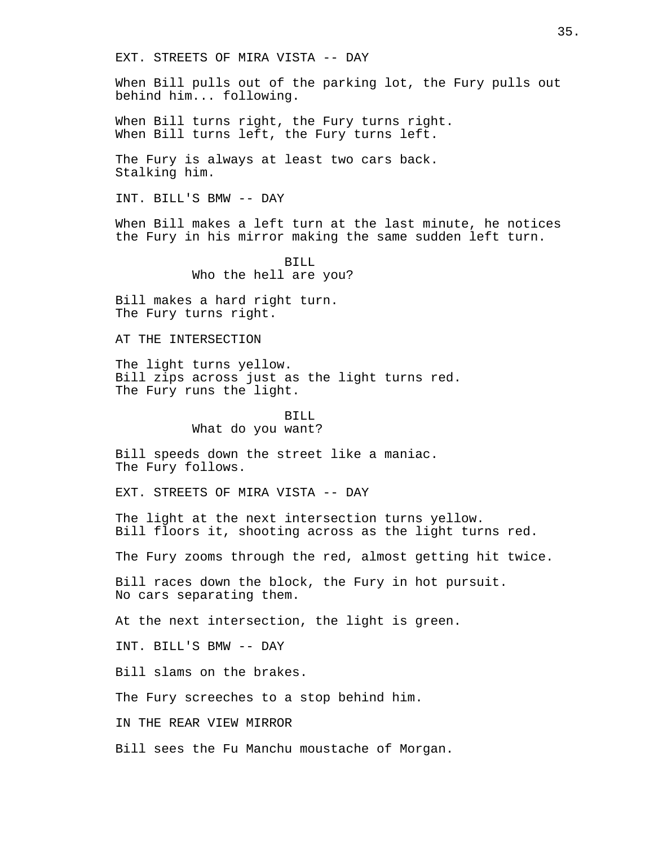EXT. STREETS OF MIRA VISTA -- DAY

When Bill pulls out of the parking lot, the Fury pulls out behind him... following.

When Bill turns right, the Fury turns right. When Bill turns left, the Fury turns left.

The Fury is always at least two cars back. Stalking him.

INT. BILL'S BMW -- DAY

When Bill makes a left turn at the last minute, he notices the Fury in his mirror making the same sudden left turn.

> BILL Who the hell are you?

Bill makes a hard right turn. The Fury turns right.

AT THE INTERSECTION

The light turns yellow. Bill zips across just as the light turns red. The Fury runs the light.

# BILL What do you want?

Bill speeds down the street like a maniac. The Fury follows.

EXT. STREETS OF MIRA VISTA -- DAY

The light at the next intersection turns yellow. Bill floors it, shooting across as the light turns red.

The Fury zooms through the red, almost getting hit twice.

Bill races down the block, the Fury in hot pursuit. No cars separating them.

At the next intersection, the light is green.

INT. BILL'S BMW -- DAY

Bill slams on the brakes.

The Fury screeches to a stop behind him.

IN THE REAR VIEW MIRROR

Bill sees the Fu Manchu moustache of Morgan.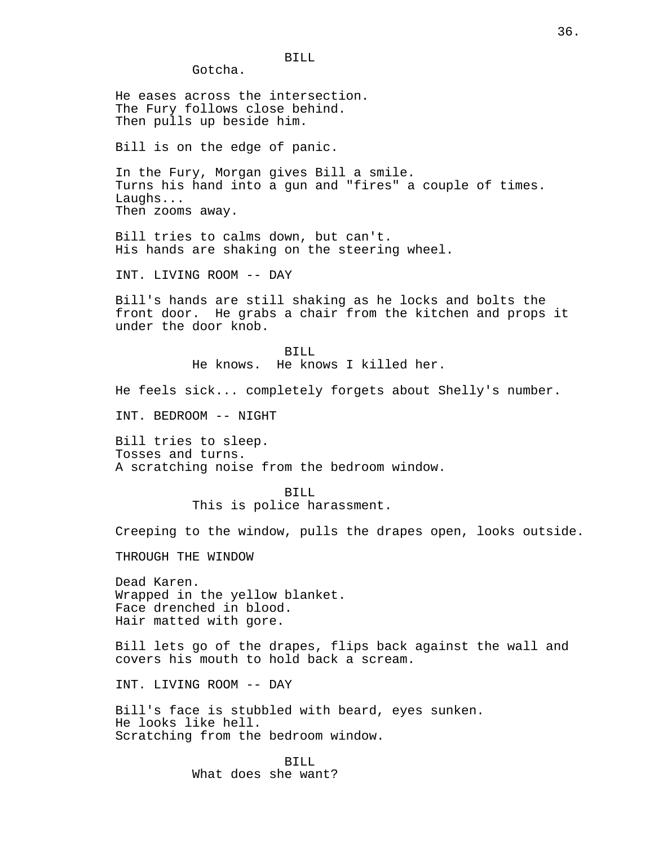Gotcha.

He eases across the intersection. The Fury follows close behind. Then pulls up beside him.

Bill is on the edge of panic.

In the Fury, Morgan gives Bill a smile. Turns his hand into a gun and "fires" a couple of times. Laughs... Then zooms away.

Bill tries to calms down, but can't. His hands are shaking on the steering wheel.

BILL

INT. LIVING ROOM -- DAY

Bill's hands are still shaking as he locks and bolts the front door. He grabs a chair from the kitchen and props it under the door knob.

> RTIJ. He knows. He knows I killed her.

He feels sick... completely forgets about Shelly's number.

INT. BEDROOM -- NIGHT

Bill tries to sleep. Tosses and turns. A scratching noise from the bedroom window.

> BILL This is police harassment.

Creeping to the window, pulls the drapes open, looks outside.

THROUGH THE WINDOW

Dead Karen. Wrapped in the yellow blanket. Face drenched in blood. Hair matted with gore.

Bill lets go of the drapes, flips back against the wall and covers his mouth to hold back a scream.

INT. LIVING ROOM -- DAY

Bill's face is stubbled with beard, eyes sunken. He looks like hell. Scratching from the bedroom window.

> RTIJ. What does she want?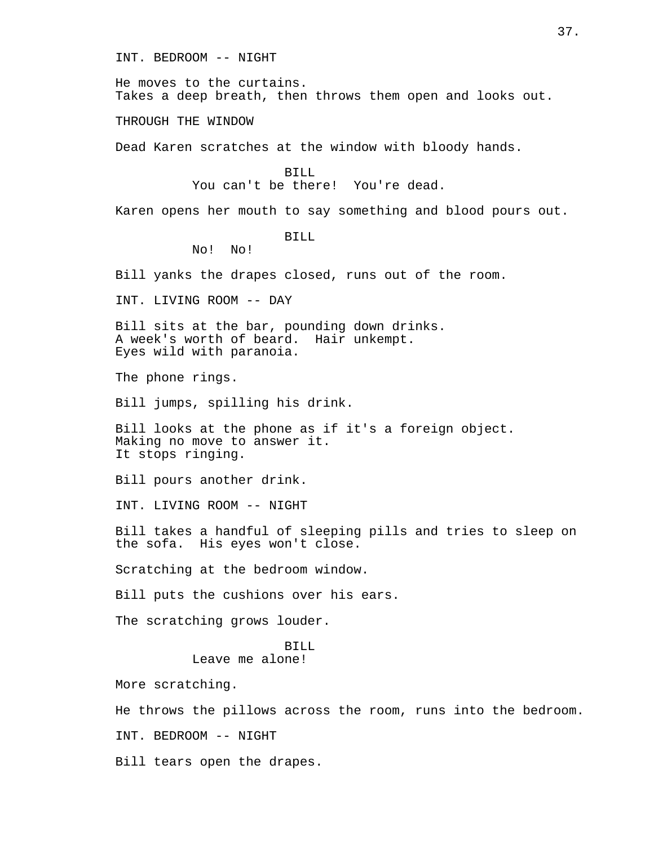INT. BEDROOM -- NIGHT

He moves to the curtains. Takes a deep breath, then throws them open and looks out.

THROUGH THE WINDOW

Dead Karen scratches at the window with bloody hands.

RTIJ.

You can't be there! You're dead.

Karen opens her mouth to say something and blood pours out.

## BILL

No! No!

Bill yanks the drapes closed, runs out of the room.

INT. LIVING ROOM -- DAY

Bill sits at the bar, pounding down drinks. A week's worth of beard. Hair unkempt. Eyes wild with paranoia.

The phone rings.

Bill jumps, spilling his drink.

Bill looks at the phone as if it's a foreign object. Making no move to answer it. It stops ringing.

Bill pours another drink.

INT. LIVING ROOM -- NIGHT

Bill takes a handful of sleeping pills and tries to sleep on the sofa. His eyes won't close.

Scratching at the bedroom window.

Bill puts the cushions over his ears.

The scratching grows louder.

## BILL Leave me alone!

More scratching.

He throws the pillows across the room, runs into the bedroom.

INT. BEDROOM -- NIGHT

Bill tears open the drapes.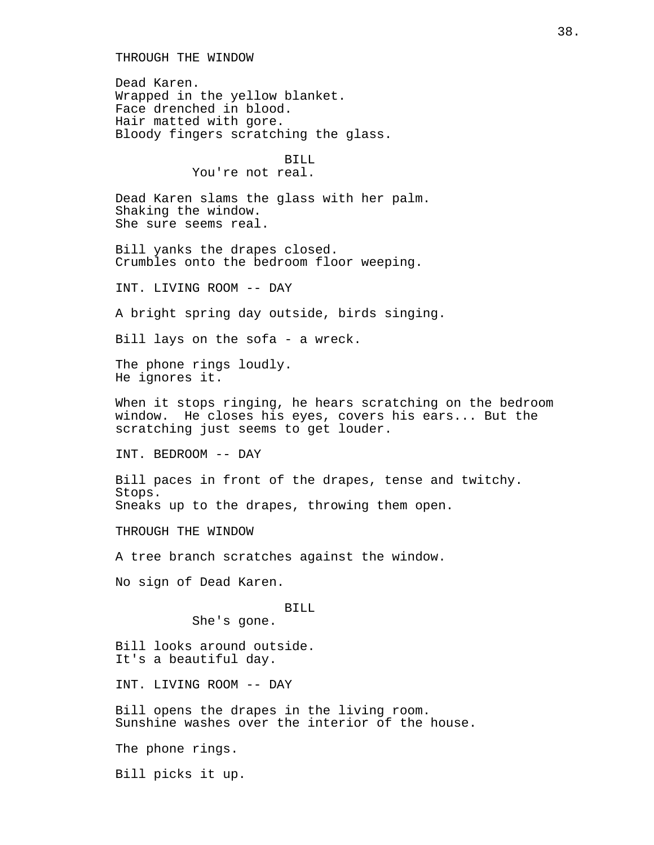THROUGH THE WINDOW

Dead Karen. Wrapped in the yellow blanket. Face drenched in blood. Hair matted with gore. Bloody fingers scratching the glass.

BILL

You're not real.

Dead Karen slams the glass with her palm. Shaking the window. She sure seems real.

Bill yanks the drapes closed. Crumbles onto the bedroom floor weeping.

INT. LIVING ROOM -- DAY

A bright spring day outside, birds singing.

Bill lays on the sofa - a wreck.

The phone rings loudly. He ignores it.

When it stops ringing, he hears scratching on the bedroom window. He closes his eyes, covers his ears... But the scratching just seems to get louder.

INT. BEDROOM -- DAY

Bill paces in front of the drapes, tense and twitchy. Stops. Sneaks up to the drapes, throwing them open.

THROUGH THE WINDOW

A tree branch scratches against the window.

No sign of Dead Karen.

BILL

She's gone.

Bill looks around outside. It's a beautiful day.

INT. LIVING ROOM -- DAY

Bill opens the drapes in the living room. Sunshine washes over the interior of the house.

The phone rings.

Bill picks it up.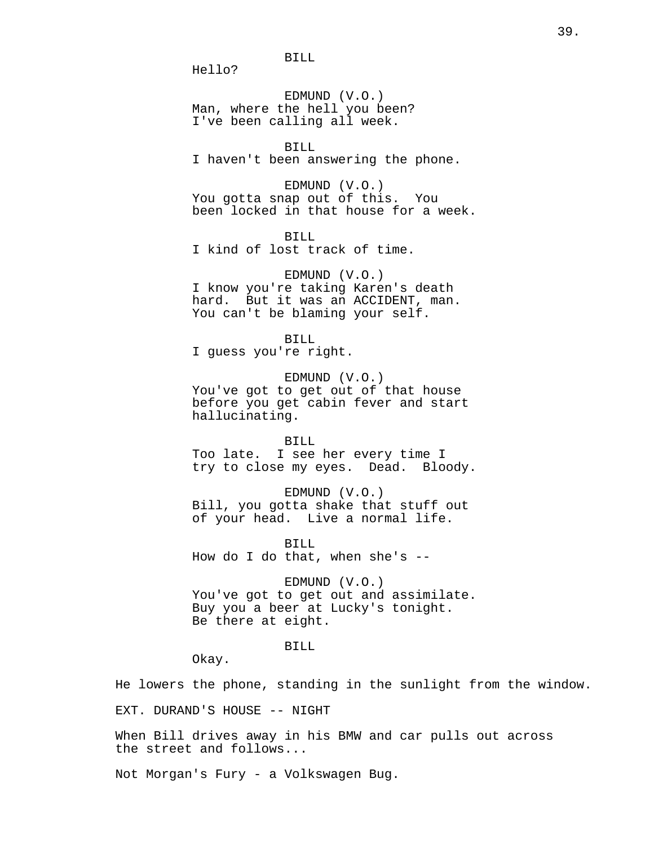BILL

Hello?

EDMUND (V.O.) Man, where the hell you been? I've been calling all week.

## BILL

I haven't been answering the phone.

EDMUND (V.O.) You gotta snap out of this. You been locked in that house for a week.

BILL I kind of lost track of time.

EDMUND (V.O.) I know you're taking Karen's death hard. But it was an ACCIDENT, man. You can't be blaming your self.

BILL

I guess you're right.

EDMUND (V.O.) You've got to get out of that house before you get cabin fever and start hallucinating.

BILL

Too late. I see her every time I try to close my eyes. Dead. Bloody.

EDMUND (V.O.) Bill, you gotta shake that stuff out of your head. Live a normal life.

BILL How do I do that, when she's --

EDMUND (V.O.) You've got to get out and assimilate. Buy you a beer at Lucky's tonight. Be there at eight.

BILL

Okay.

He lowers the phone, standing in the sunlight from the window.

EXT. DURAND'S HOUSE -- NIGHT

When Bill drives away in his BMW and car pulls out across the street and follows...

Not Morgan's Fury - a Volkswagen Bug.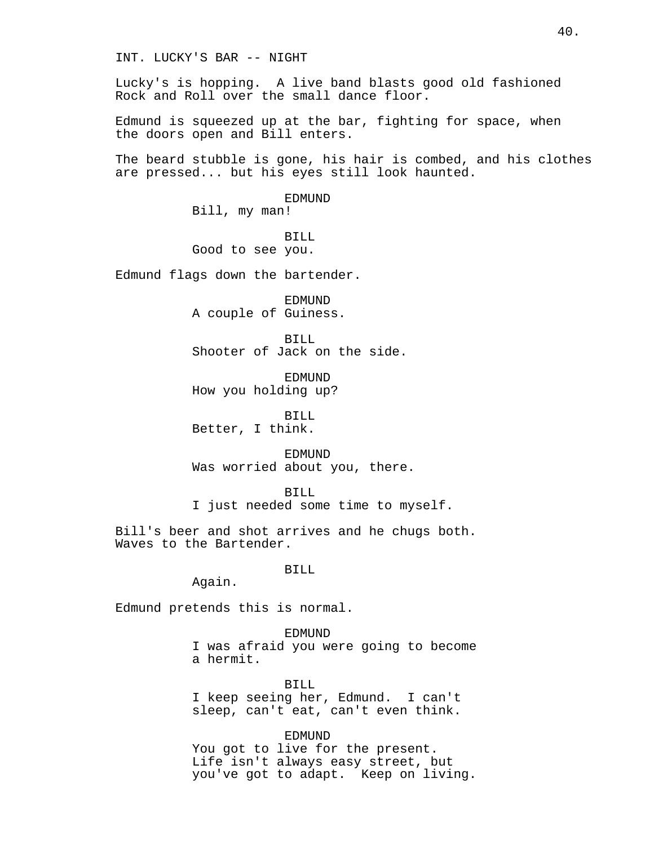INT. LUCKY'S BAR -- NIGHT

Lucky's is hopping. A live band blasts good old fashioned Rock and Roll over the small dance floor.

Edmund is squeezed up at the bar, fighting for space, when the doors open and Bill enters.

The beard stubble is gone, his hair is combed, and his clothes are pressed... but his eyes still look haunted.

> EDMUND Bill, my man!

BILL Good to see you.

Edmund flags down the bartender.

EDMUND A couple of Guiness.

BILL Shooter of Jack on the side.

EDMUND How you holding up?

BILL Better, I think.

**EDMUND** Was worried about you, there.

BILL I just needed some time to myself.

Bill's beer and shot arrives and he chugs both. Waves to the Bartender.

BILL

Again.

Edmund pretends this is normal.

EDMUND I was afraid you were going to become a hermit.

BILL I keep seeing her, Edmund. I can't sleep, can't eat, can't even think.

EDMUND You got to live for the present. Life isn't always easy street, but you've got to adapt. Keep on living.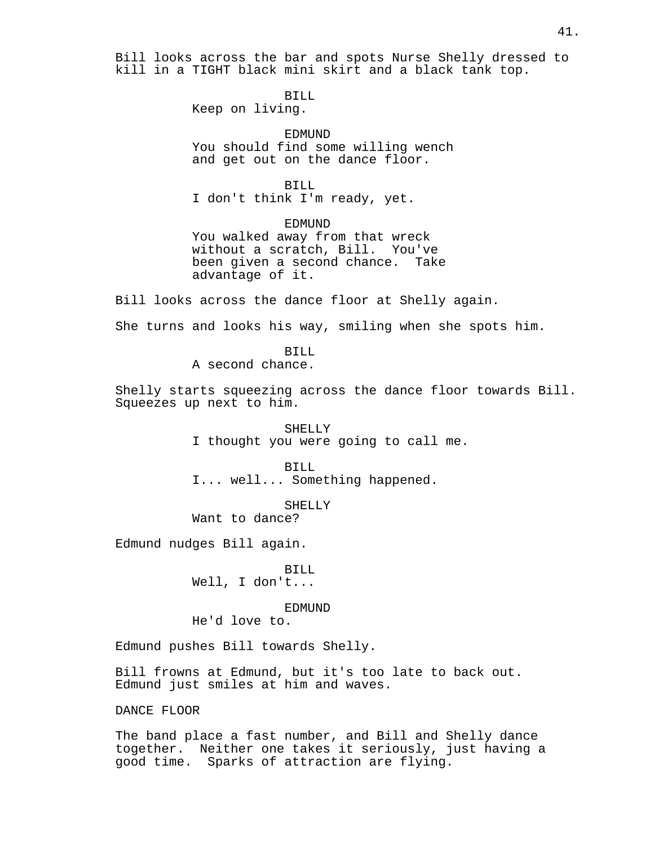Bill looks across the bar and spots Nurse Shelly dressed to kill in a TIGHT black mini skirt and a black tank top.

BILL

Keep on living.

EDMUND You should find some willing wench and get out on the dance floor.

BILL I don't think I'm ready, yet.

EDMUND You walked away from that wreck without a scratch, Bill. You've been given a second chance. Take advantage of it.

Bill looks across the dance floor at Shelly again.

She turns and looks his way, smiling when she spots him.

BILL A second chance.

Shelly starts squeezing across the dance floor towards Bill. Squeezes up next to him.

> SHELLY I thought you were going to call me.

BILL I... well... Something happened.

SHELLY

Want to dance?

Edmund nudges Bill again.

BILL Well, I don't...

EDMUND

He'd love to.

Edmund pushes Bill towards Shelly.

Bill frowns at Edmund, but it's too late to back out. Edmund just smiles at him and waves.

DANCE FLOOR

The band place a fast number, and Bill and Shelly dance together. Neither one takes it seriously, just having a good time. Sparks of attraction are flying.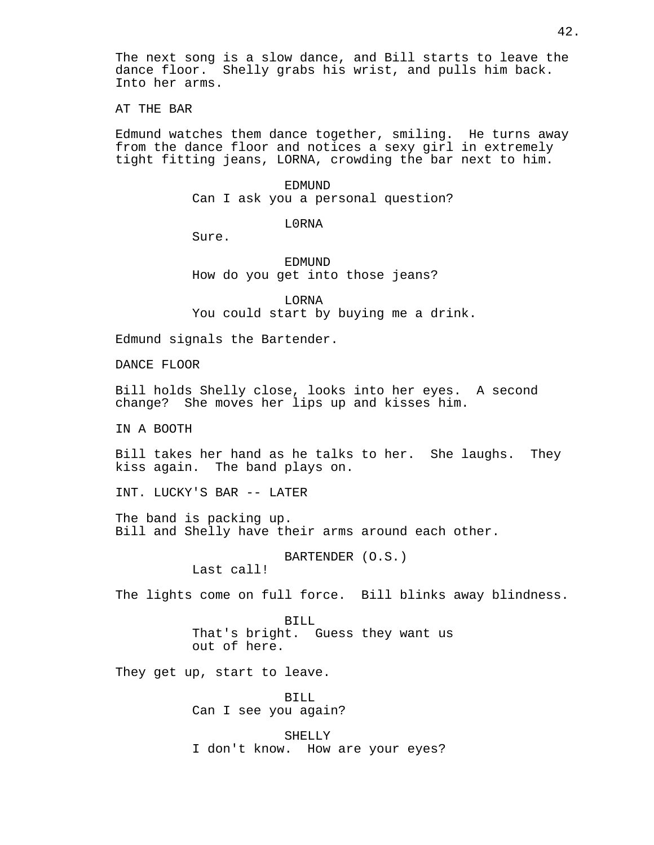The next song is a slow dance, and Bill starts to leave the dance floor. Shelly grabs his wrist, and pulls him back. Into her arms.

AT THE BAR

Edmund watches them dance together, smiling. He turns away from the dance floor and notices a sexy girl in extremely tight fitting jeans, LORNA, crowding the bar next to him.

> EDMUND Can I ask you a personal question?

> > L0RNA

Sure.

EDMUND How do you get into those jeans?

LORNA You could start by buying me a drink.

Edmund signals the Bartender.

DANCE FLOOR

Bill holds Shelly close, looks into her eyes. A second change? She moves her lips up and kisses him.

IN A BOOTH

Bill takes her hand as he talks to her. She laughs. They kiss again. The band plays on.

INT. LUCKY'S BAR -- LATER

The band is packing up. Bill and Shelly have their arms around each other.

BARTENDER (O.S.)

Last call!

The lights come on full force. Bill blinks away blindness.

BILL That's bright. Guess they want us out of here.

They get up, start to leave.

BILL Can I see you again?

SHELLY I don't know. How are your eyes?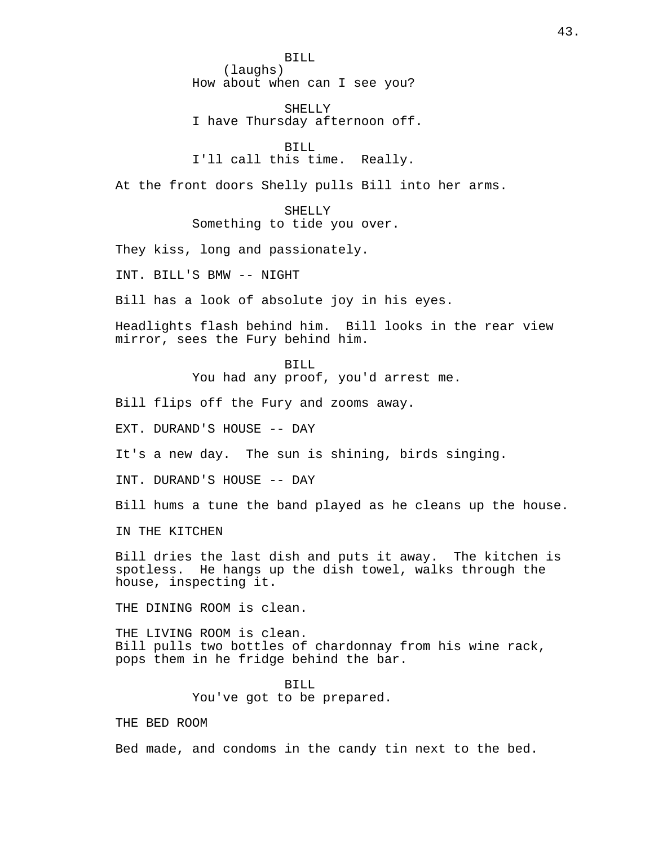BILL (laughs) How about when can I see you?

SHELLY I have Thursday afternoon off.

BILL I'll call this time. Really.

At the front doors Shelly pulls Bill into her arms.

SHELLY Something to tide you over.

They kiss, long and passionately.

INT. BILL'S BMW -- NIGHT

Bill has a look of absolute joy in his eyes.

Headlights flash behind him. Bill looks in the rear view mirror, sees the Fury behind him.

BILL

You had any proof, you'd arrest me.

Bill flips off the Fury and zooms away.

EXT. DURAND'S HOUSE -- DAY

It's a new day. The sun is shining, birds singing.

INT. DURAND'S HOUSE -- DAY

Bill hums a tune the band played as he cleans up the house.

IN THE KITCHEN

Bill dries the last dish and puts it away. The kitchen is spotless. He hangs up the dish towel, walks through the house, inspecting it.

THE DINING ROOM is clean.

THE LIVING ROOM is clean. Bill pulls two bottles of chardonnay from his wine rack, pops them in he fridge behind the bar.

> BILL You've got to be prepared.

THE BED ROOM

Bed made, and condoms in the candy tin next to the bed.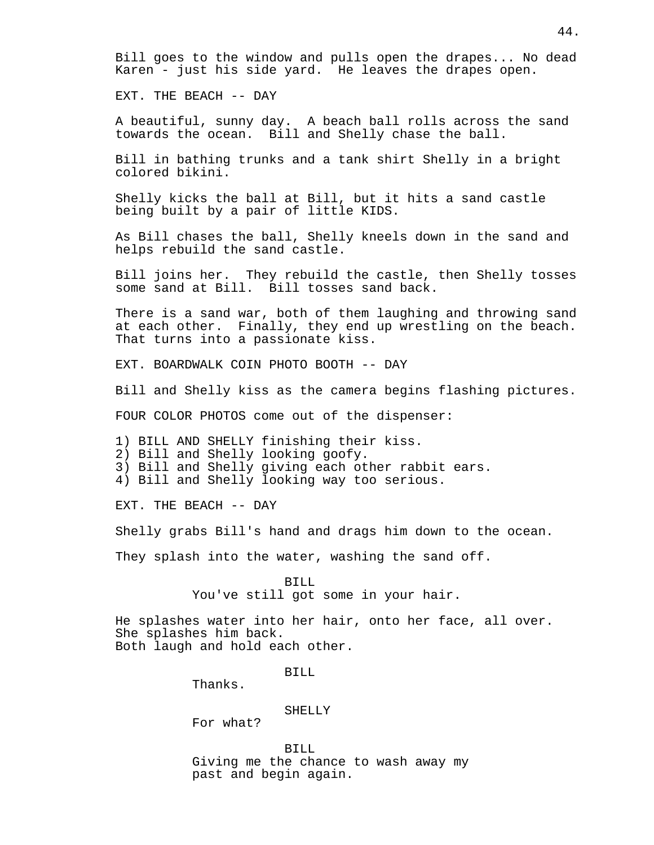Bill goes to the window and pulls open the drapes... No dead Karen - just his side yard. He leaves the drapes open.

EXT. THE BEACH -- DAY

A beautiful, sunny day. A beach ball rolls across the sand towards the ocean. Bill and Shelly chase the ball.

Bill in bathing trunks and a tank shirt Shelly in a bright colored bikini.

Shelly kicks the ball at Bill, but it hits a sand castle being built by a pair of little KIDS.

As Bill chases the ball, Shelly kneels down in the sand and helps rebuild the sand castle.

Bill joins her. They rebuild the castle, then Shelly tosses some sand at Bill. Bill tosses sand back.

There is a sand war, both of them laughing and throwing sand at each other. Finally, they end up wrestling on the beach. That turns into a passionate kiss.

EXT. BOARDWALK COIN PHOTO BOOTH -- DAY

Bill and Shelly kiss as the camera begins flashing pictures.

FOUR COLOR PHOTOS come out of the dispenser:

1) BILL AND SHELLY finishing their kiss.

2) Bill and Shelly looking goofy.

3) Bill and Shelly giving each other rabbit ears.

4) Bill and Shelly looking way too serious.

EXT. THE BEACH -- DAY

Shelly grabs Bill's hand and drags him down to the ocean.

They splash into the water, washing the sand off.

BILL You've still got some in your hair.

He splashes water into her hair, onto her face, all over. She splashes him back. Both laugh and hold each other.

BILL

Thanks.

## SHELLY

For what?

BILL Giving me the chance to wash away my past and begin again.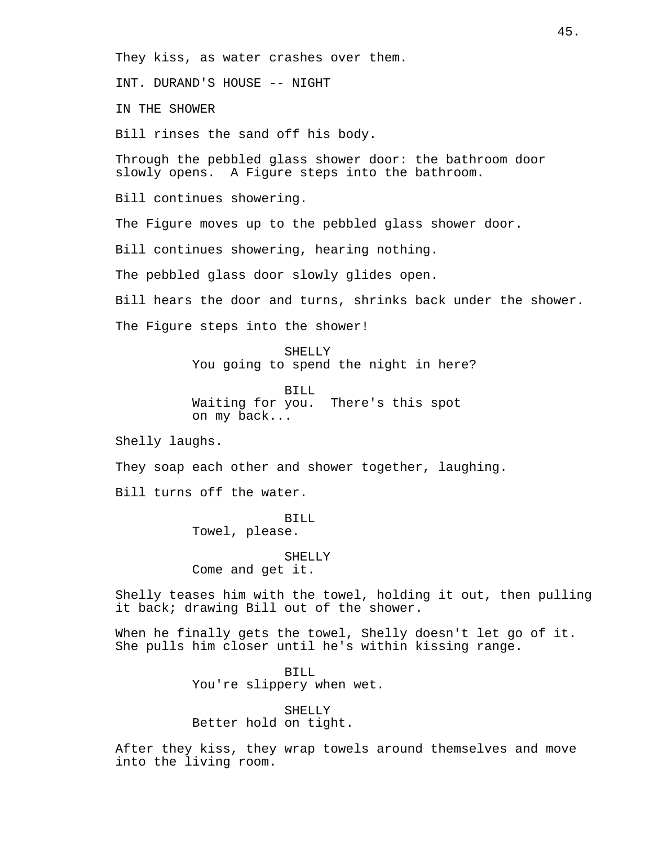They kiss, as water crashes over them.

INT. DURAND'S HOUSE -- NIGHT

IN THE SHOWER

Bill rinses the sand off his body.

Through the pebbled glass shower door: the bathroom door slowly opens. A Figure steps into the bathroom.

Bill continues showering.

The Figure moves up to the pebbled glass shower door.

Bill continues showering, hearing nothing.

The pebbled glass door slowly glides open.

Bill hears the door and turns, shrinks back under the shower.

The Figure steps into the shower!

SHELLY You going to spend the night in here?

BILL Waiting for you. There's this spot on my back...

Shelly laughs.

They soap each other and shower together, laughing.

Bill turns off the water.

BILL

Towel, please.

SHELLY

Come and get it.

Shelly teases him with the towel, holding it out, then pulling it back; drawing Bill out of the shower.

When he finally gets the towel, Shelly doesn't let go of it. She pulls him closer until he's within kissing range.

> BILL You're slippery when wet.

SHELLY Better hold on tight.

After they kiss, they wrap towels around themselves and move into the living room.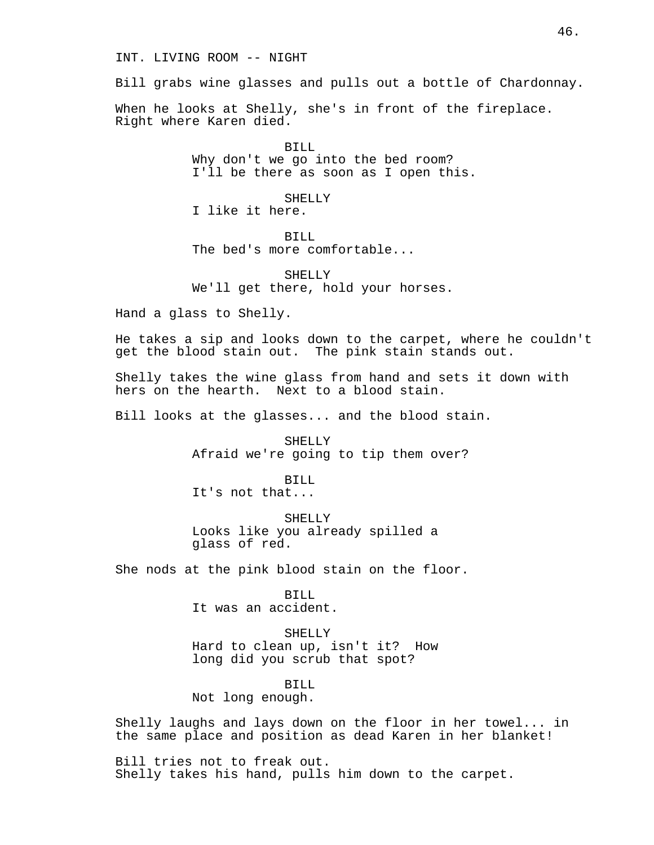INT. LIVING ROOM -- NIGHT

Bill grabs wine glasses and pulls out a bottle of Chardonnay.

When he looks at Shelly, she's in front of the fireplace. Right where Karen died.

> BILL Why don't we go into the bed room? I'll be there as soon as I open this.

> > SHELLY

I like it here.

BILL

The bed's more comfortable...

SHELLY We'll get there, hold your horses.

Hand a glass to Shelly.

He takes a sip and looks down to the carpet, where he couldn't get the blood stain out. The pink stain stands out.

Shelly takes the wine glass from hand and sets it down with hers on the hearth. Next to a blood stain.

Bill looks at the glasses... and the blood stain.

SHELLY Afraid we're going to tip them over?

BILL It's not that...

SHELLY Looks like you already spilled a glass of red.

She nods at the pink blood stain on the floor.

BILL It was an accident.

SHELLY Hard to clean up, isn't it? How long did you scrub that spot?

BILL Not long enough.

Shelly laughs and lays down on the floor in her towel... in the same place and position as dead Karen in her blanket!

Bill tries not to freak out. Shelly takes his hand, pulls him down to the carpet.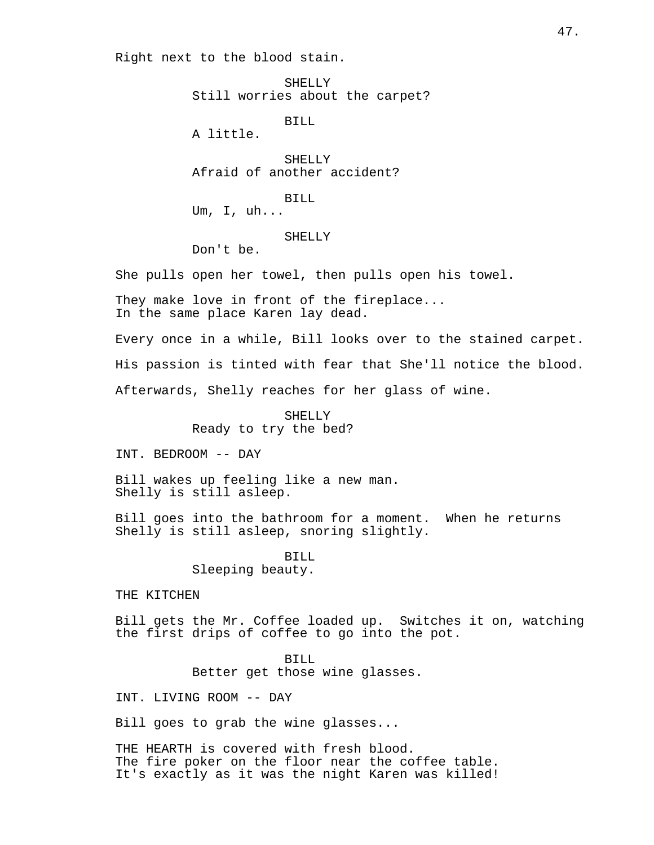Right next to the blood stain.

SHELLY Still worries about the carpet?

BILL

A little.

SHELLY Afraid of another accident?

BILL

Um, I, uh...

# SHELLY

Don't be.

She pulls open her towel, then pulls open his towel.

They make love in front of the fireplace... In the same place Karen lay dead.

Every once in a while, Bill looks over to the stained carpet.

His passion is tinted with fear that She'll notice the blood.

Afterwards, Shelly reaches for her glass of wine.

SHELLY Ready to try the bed?

INT. BEDROOM -- DAY

Bill wakes up feeling like a new man. Shelly is still asleep.

Bill goes into the bathroom for a moment. When he returns Shelly is still asleep, snoring slightly.

> BILL Sleeping beauty.

THE KITCHEN

Bill gets the Mr. Coffee loaded up. Switches it on, watching the first drips of coffee to go into the pot.

BILL

Better get those wine glasses.

INT. LIVING ROOM -- DAY

Bill goes to grab the wine glasses...

THE HEARTH is covered with fresh blood. The fire poker on the floor near the coffee table. It's exactly as it was the night Karen was killed!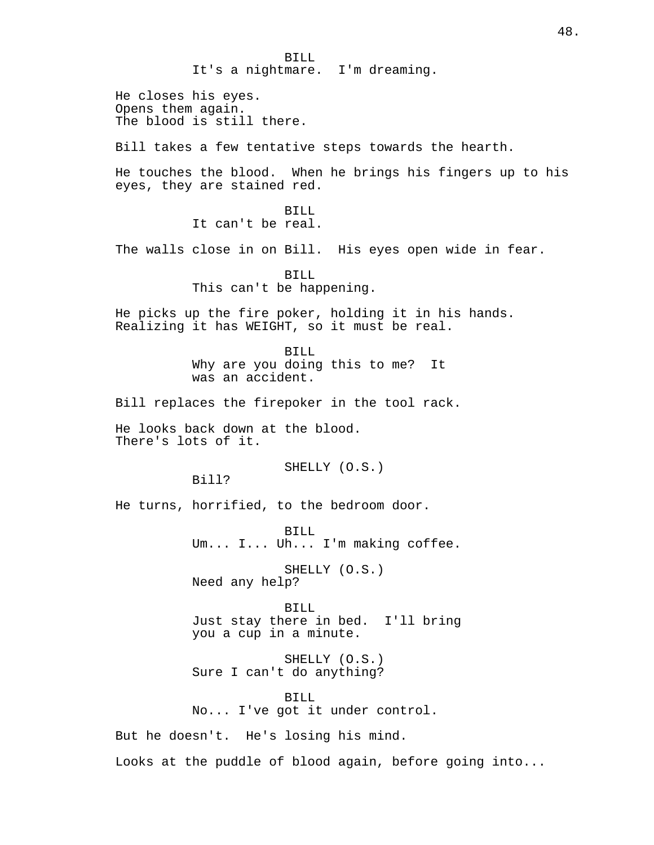BILL It's a nightmare. I'm dreaming. He closes his eyes. Opens them again. The blood is still there. Bill takes a few tentative steps towards the hearth. He touches the blood. When he brings his fingers up to his eyes, they are stained red. BILL It can't be real. The walls close in on Bill. His eyes open wide in fear. BILL This can't be happening. He picks up the fire poker, holding it in his hands. Realizing it has WEIGHT, so it must be real. BILL Why are you doing this to me? It was an accident. Bill replaces the firepoker in the tool rack. He looks back down at the blood. There's lots of it. SHELLY (O.S.) Bill? He turns, horrified, to the bedroom door. BILL Um... I... Uh... I'm making coffee. SHELLY (O.S.) Need any help? BILL Just stay there in bed. I'll bring you a cup in a minute. SHELLY (O.S.) Sure I can't do anything? BILL No... I've got it under control. But he doesn't. He's losing his mind. Looks at the puddle of blood again, before going into...

48.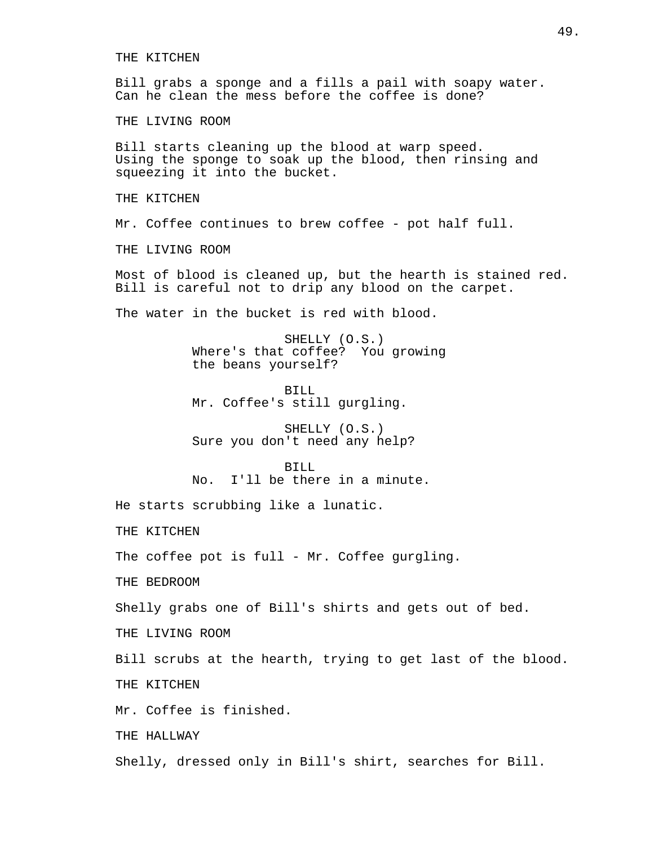THE KITCHEN Bill grabs a sponge and a fills a pail with soapy water. Can he clean the mess before the coffee is done? THE LIVING ROOM Bill starts cleaning up the blood at warp speed. Using the sponge to soak up the blood, then rinsing and squeezing it into the bucket. THE KITCHEN Mr. Coffee continues to brew coffee - pot half full. THE LIVING ROOM Most of blood is cleaned up, but the hearth is stained red. Bill is careful not to drip any blood on the carpet. The water in the bucket is red with blood. SHELLY (O.S.) Where's that coffee? You growing the beans yourself? BILL Mr. Coffee's still gurgling. SHELLY (O.S.) Sure you don't need any help? BILL No. I'll be there in a minute. He starts scrubbing like a lunatic. THE KITCHEN The coffee pot is full - Mr. Coffee gurgling. THE BEDROOM Shelly grabs one of Bill's shirts and gets out of bed. THE LIVING ROOM Bill scrubs at the hearth, trying to get last of the blood. THE KITCHEN Mr. Coffee is finished. THE HALLWAY

Shelly, dressed only in Bill's shirt, searches for Bill.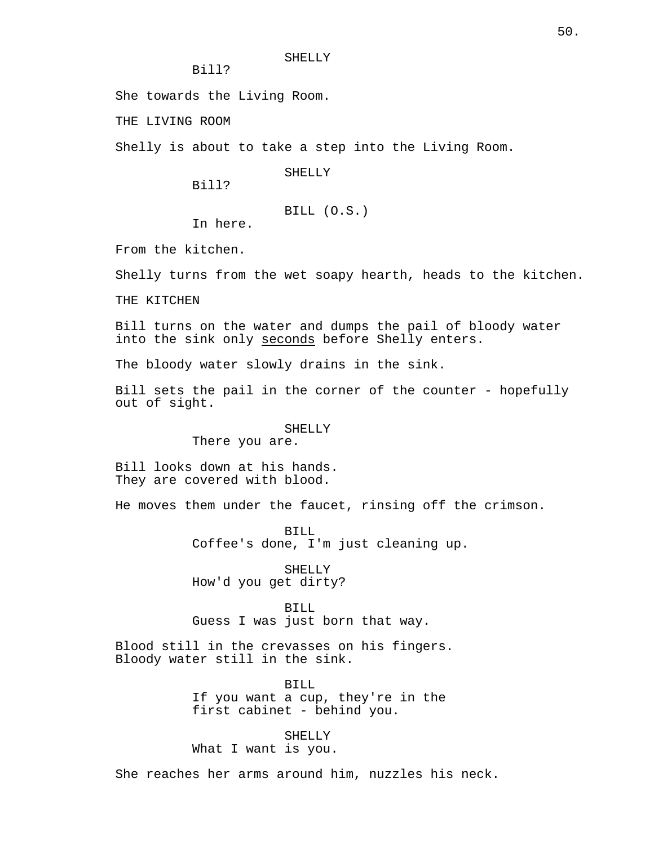Bill?

She towards the Living Room.

THE LIVING ROOM

Shelly is about to take a step into the Living Room.

SHELLY

Bill?

BILL (O.S.)

In here.

From the kitchen.

Shelly turns from the wet soapy hearth, heads to the kitchen.

THE KITCHEN

Bill turns on the water and dumps the pail of bloody water into the sink only seconds before Shelly enters.

The bloody water slowly drains in the sink.

Bill sets the pail in the corner of the counter - hopefully out of sight.

> SHELLY There you are.

Bill looks down at his hands. They are covered with blood.

He moves them under the faucet, rinsing off the crimson.

BILL Coffee's done, I'm just cleaning up.

SHELLY How'd you get dirty?

BILL Guess I was just born that way.

Blood still in the crevasses on his fingers. Bloody water still in the sink.

> BILL If you want a cup, they're in the first cabinet - behind you.

SHELLY What I want is you.

She reaches her arms around him, nuzzles his neck.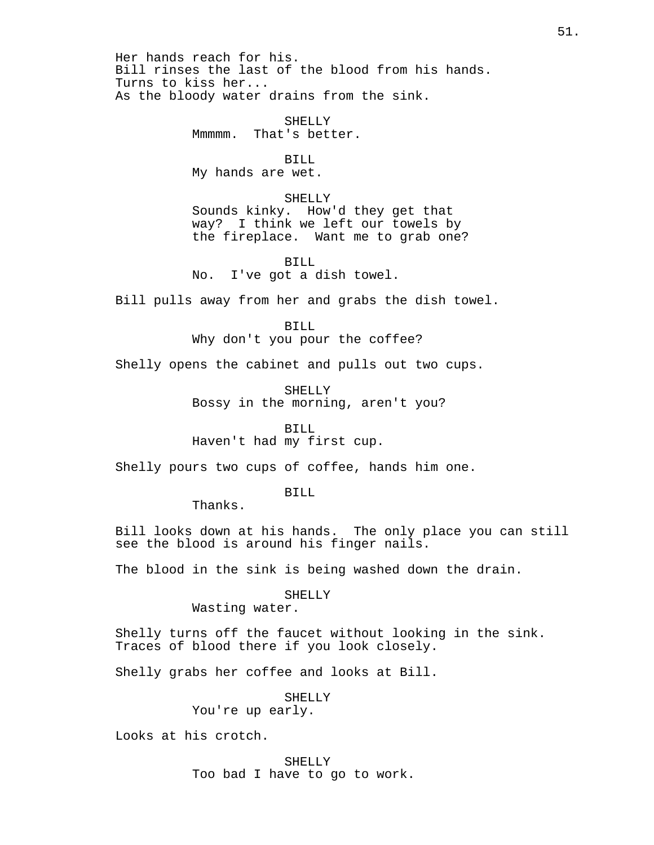Her hands reach for his. Bill rinses the last of the blood from his hands. Turns to kiss her... As the bloody water drains from the sink.

> SHELLY Mmmmm. That's better.

BILL My hands are wet.

SHELLY Sounds kinky. How'd they get that way? I think we left our towels by the fireplace. Want me to grab one?

BILL No. I've got a dish towel.

Bill pulls away from her and grabs the dish towel.

BILL

Why don't you pour the coffee?

Shelly opens the cabinet and pulls out two cups.

SHELLY Bossy in the morning, aren't you?

BILL

Haven't had my first cup.

Shelly pours two cups of coffee, hands him one.

BILL

Thanks.

Bill looks down at his hands. The only place you can still see the blood is around his finger nails.

The blood in the sink is being washed down the drain.

SHELLY

Wasting water.

Shelly turns off the faucet without looking in the sink. Traces of blood there if you look closely.

Shelly grabs her coffee and looks at Bill.

SHELLY

You're up early.

Looks at his crotch.

SHELLY Too bad I have to go to work.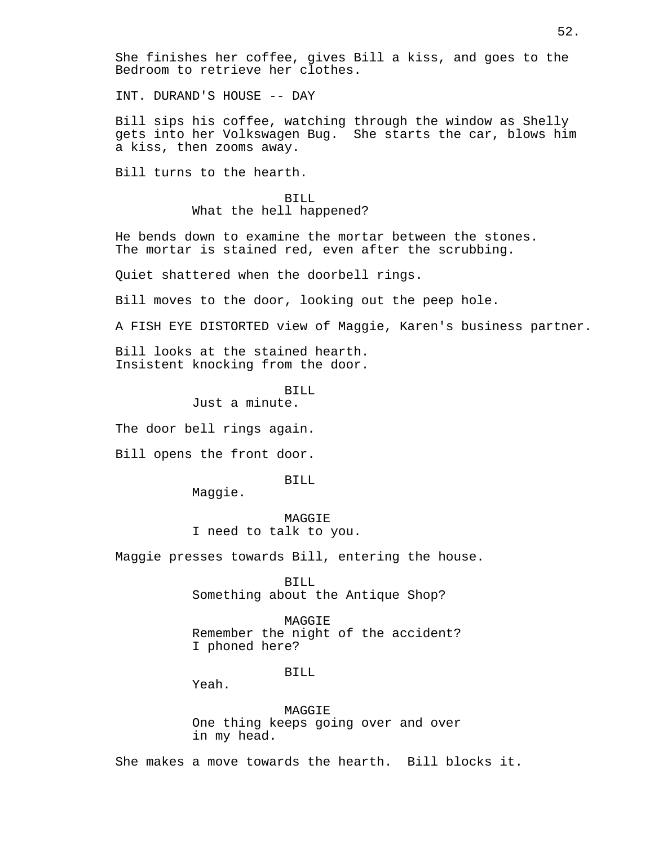She finishes her coffee, gives Bill a kiss, and goes to the Bedroom to retrieve her clothes.

INT. DURAND'S HOUSE -- DAY

Bill sips his coffee, watching through the window as Shelly gets into her Volkswagen Bug. She starts the car, blows him a kiss, then zooms away.

Bill turns to the hearth.

BILL What the hell happened?

He bends down to examine the mortar between the stones. The mortar is stained red, even after the scrubbing.

Quiet shattered when the doorbell rings.

Bill moves to the door, looking out the peep hole.

A FISH EYE DISTORTED view of Maggie, Karen's business partner.

Bill looks at the stained hearth. Insistent knocking from the door.

> BILL Just a minute.

The door bell rings again.

Bill opens the front door.

BILL

Maggie.

**MAGGIE** I need to talk to you.

Maggie presses towards Bill, entering the house.

BILL Something about the Antique Shop?

MAGGIE Remember the night of the accident? I phoned here?

#### BILL

Yeah.

MAGGIE One thing keeps going over and over in my head.

She makes a move towards the hearth. Bill blocks it.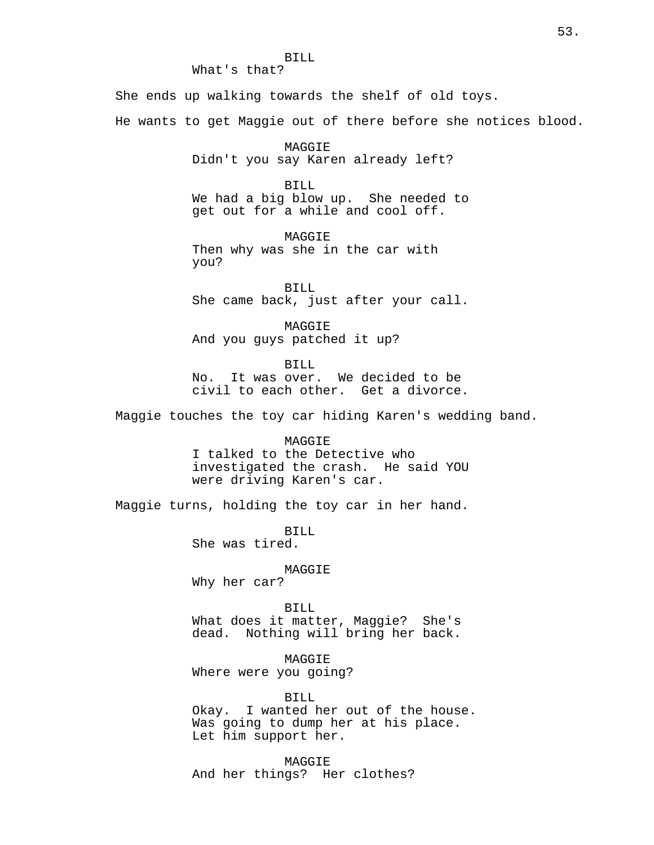BILL What's that? She ends up walking towards the shelf of old toys. He wants to get Maggie out of there before she notices blood. MAGGIE Didn't you say Karen already left? BILL We had a big blow up. She needed to get out for a while and cool off. **MAGGIE** Then why was she in the car with you? BILL She came back, just after your call. MAGGIE And you guys patched it up? BILL No. It was over. We decided to be civil to each other. Get a divorce. Maggie touches the toy car hiding Karen's wedding band. MAGGIE I talked to the Detective who investigated the crash. He said YOU were driving Karen's car. Maggie turns, holding the toy car in her hand. BILL She was tired. MAGGIE Why her car? BILL What does it matter, Maggie? She's dead. Nothing will bring her back. MAGGIE Where were you going? BILL Okay. I wanted her out of the house.

> Was going to dump her at his place. Let him support her.

MAGGIE And her things? Her clothes?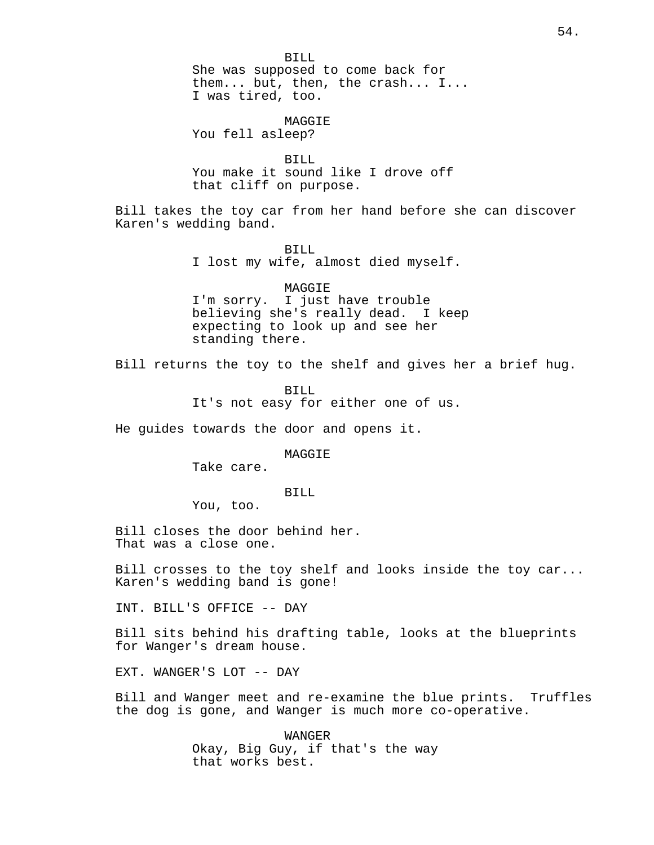BILL She was supposed to come back for them... but, then, the crash... I... I was tired, too. MAGGIE

You fell asleep?

BILL You make it sound like I drove off that cliff on purpose.

Bill takes the toy car from her hand before she can discover Karen's wedding band.

> BILL I lost my wife, almost died myself.

MAGGIE I'm sorry. I just have trouble believing she's really dead. I keep expecting to look up and see her standing there.

Bill returns the toy to the shelf and gives her a brief hug.

BILL It's not easy for either one of us.

He guides towards the door and opens it.

**MAGGTE** 

Take care.

BILL

You, too.

Bill closes the door behind her. That was a close one.

Bill crosses to the toy shelf and looks inside the toy car... Karen's wedding band is gone!

INT. BILL'S OFFICE -- DAY

Bill sits behind his drafting table, looks at the blueprints for Wanger's dream house.

EXT. WANGER'S LOT -- DAY

Bill and Wanger meet and re-examine the blue prints. Truffles the dog is gone, and Wanger is much more co-operative.

> WANGER Okay, Big Guy, if that's the way that works best.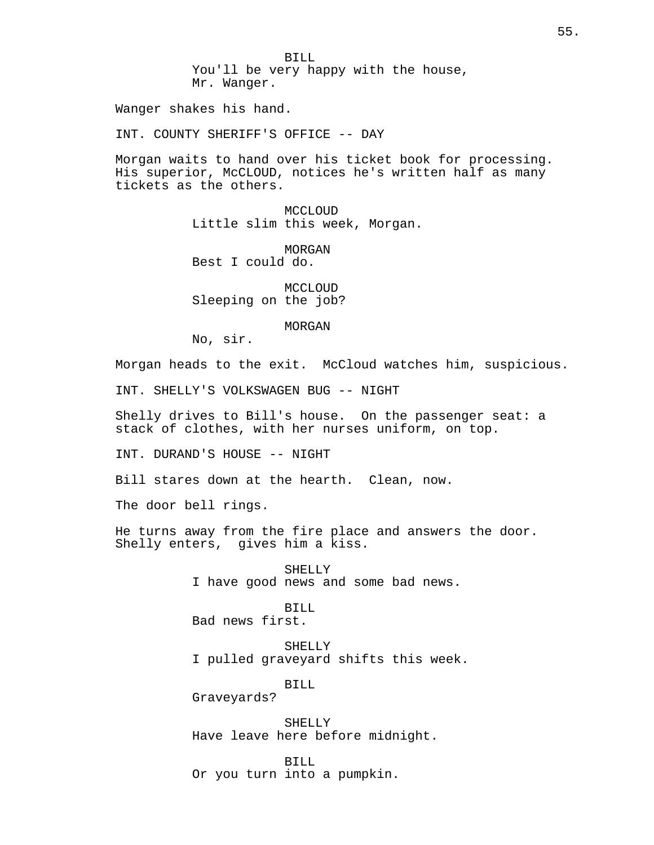BILL You'll be very happy with the house, Mr. Wanger.

Wanger shakes his hand.

INT. COUNTY SHERIFF'S OFFICE -- DAY

Morgan waits to hand over his ticket book for processing. His superior, McCLOUD, notices he's written half as many tickets as the others.

> MCCLOUD Little slim this week, Morgan.

MORGAN Best I could do.

MCCLOUD Sleeping on the job?

MORGAN

No, sir.

Morgan heads to the exit. McCloud watches him, suspicious.

INT. SHELLY'S VOLKSWAGEN BUG -- NIGHT

Shelly drives to Bill's house. On the passenger seat: a stack of clothes, with her nurses uniform, on top.

INT. DURAND'S HOUSE -- NIGHT

Bill stares down at the hearth. Clean, now.

The door bell rings.

He turns away from the fire place and answers the door. Shelly enters, gives him a kiss.

> SHELLY I have good news and some bad news.

BILL Bad news first.

SHELLY I pulled graveyard shifts this week.

BILL

Graveyards?

SHELLY Have leave here before midnight.

BILL Or you turn into a pumpkin.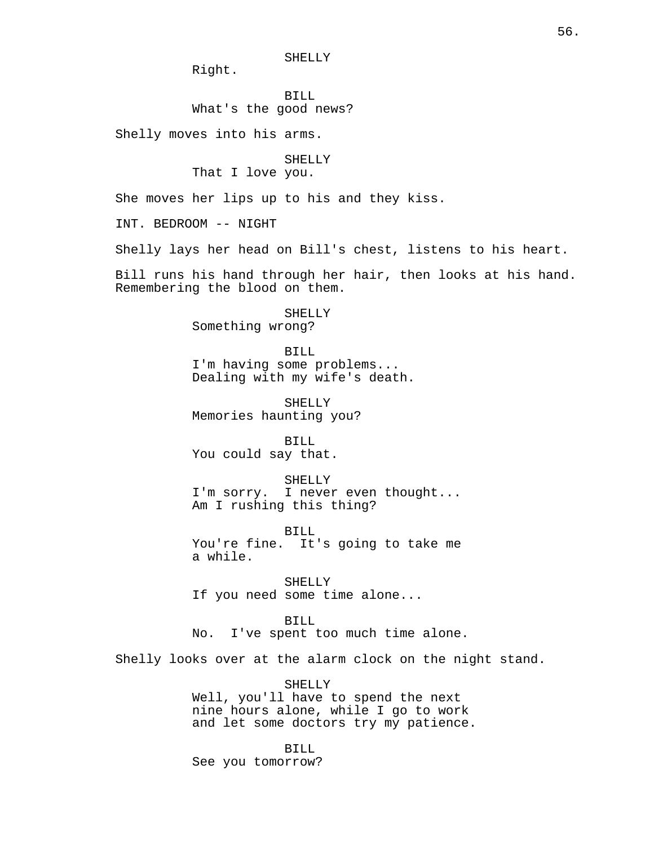SHELLY

Right.

BILL What's the good news?

Shelly moves into his arms.

SHELLY

That I love you.

She moves her lips up to his and they kiss.

INT. BEDROOM -- NIGHT

Shelly lays her head on Bill's chest, listens to his heart.

Bill runs his hand through her hair, then looks at his hand. Remembering the blood on them.

> SHELLY Something wrong?

BILL I'm having some problems... Dealing with my wife's death.

SHELLY Memories haunting you?

BILL You could say that.

SHELLY I'm sorry. I never even thought... Am I rushing this thing?

BILL You're fine. It's going to take me a while.

SHELLY If you need some time alone...

BILL No. I've spent too much time alone.

Shelly looks over at the alarm clock on the night stand.

SHELLY Well, you'll have to spend the next nine hours alone, while I go to work and let some doctors try my patience.

BILL See you tomorrow?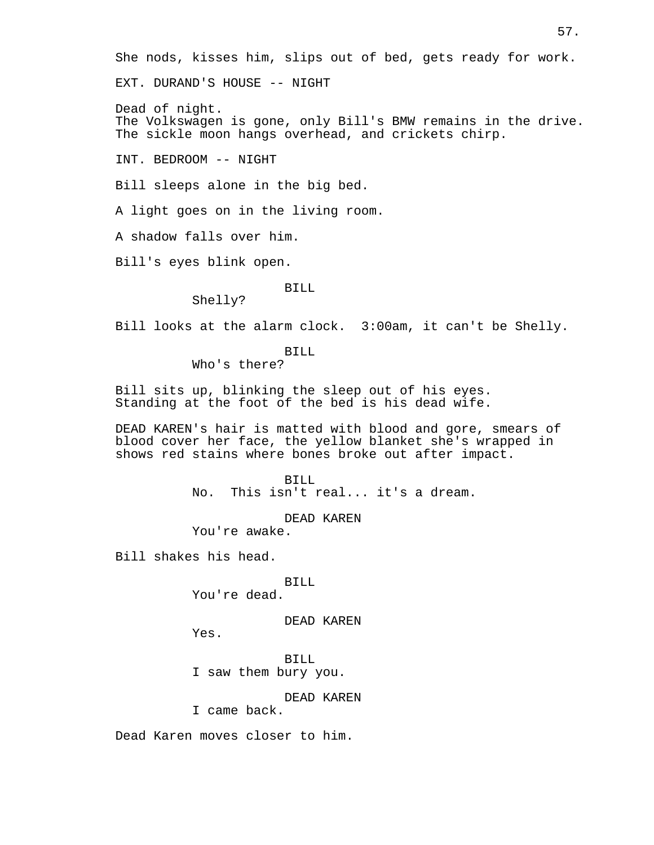She nods, kisses him, slips out of bed, gets ready for work.

EXT. DURAND'S HOUSE -- NIGHT

Dead of night. The Volkswagen is gone, only Bill's BMW remains in the drive. The sickle moon hangs overhead, and crickets chirp.

INT. BEDROOM -- NIGHT

Bill sleeps alone in the big bed.

A light goes on in the living room.

A shadow falls over him.

Bill's eyes blink open.

## BILL

Shelly?

Bill looks at the alarm clock. 3:00am, it can't be Shelly.

BILL

Who's there?

Bill sits up, blinking the sleep out of his eyes. Standing at the foot of the bed is his dead wife.

DEAD KAREN's hair is matted with blood and gore, smears of blood cover her face, the yellow blanket she's wrapped in shows red stains where bones broke out after impact.

> BILL No. This isn't real... it's a dream.

> > DEAD KAREN

You're awake.

Bill shakes his head.

BILL

You're dead.

DEAD KAREN

Yes.

BILL I saw them bury you.

DEAD KAREN

I came back.

Dead Karen moves closer to him.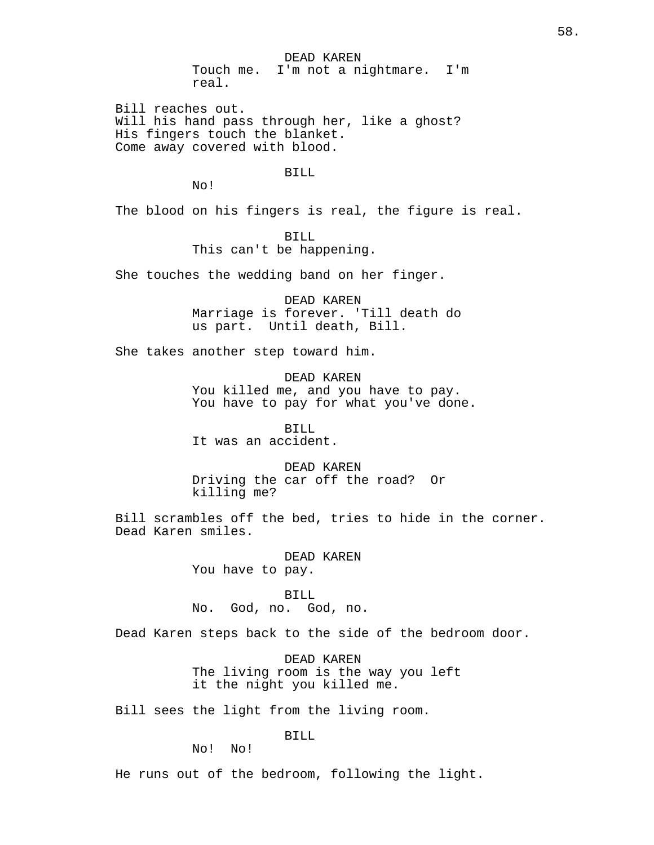DEAD KAREN Touch me. I'm not a nightmare. I'm real.

Bill reaches out. Will his hand pass through her, like a ghost? His fingers touch the blanket. Come away covered with blood.

BILL

No!

The blood on his fingers is real, the figure is real.

BILL This can't be happening.

She touches the wedding band on her finger.

DEAD KAREN Marriage is forever. 'Till death do us part. Until death, Bill.

She takes another step toward him.

DEAD KAREN You killed me, and you have to pay. You have to pay for what you've done.

BILL It was an accident.

DEAD KAREN Driving the car off the road? Or killing me?

Bill scrambles off the bed, tries to hide in the corner. Dead Karen smiles.

> DEAD KAREN You have to pay.

BILL No. God, no. God, no.

Dead Karen steps back to the side of the bedroom door.

DEAD KAREN The living room is the way you left it the night you killed me.

Bill sees the light from the living room.

BILL

No! No!

He runs out of the bedroom, following the light.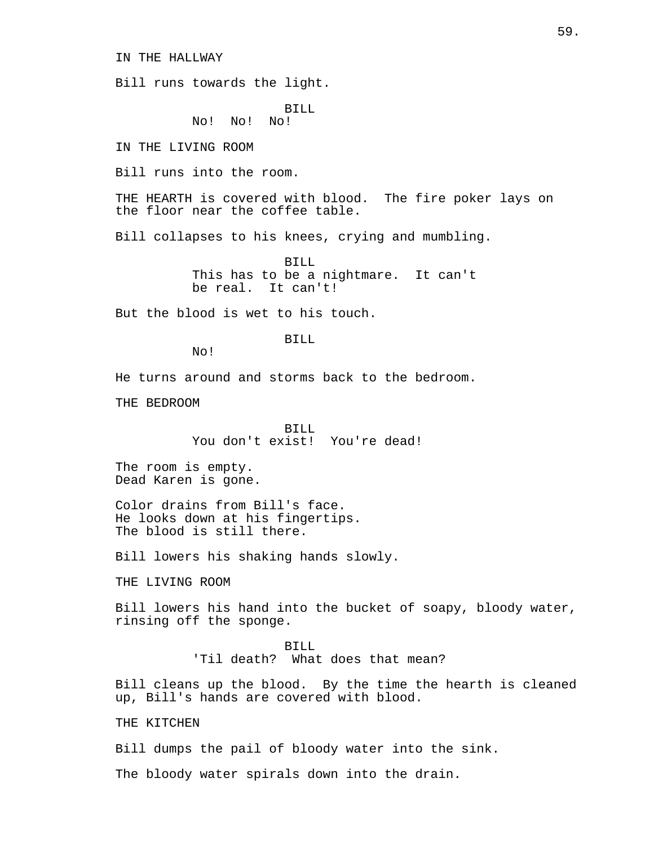IN THE HALLWAY

Bill runs towards the light.

BILL No! No! No!

IN THE LIVING ROOM

Bill runs into the room.

THE HEARTH is covered with blood. The fire poker lays on the floor near the coffee table.

Bill collapses to his knees, crying and mumbling.

BILL This has to be a nightmare. It can't be real. It can't!

But the blood is wet to his touch.

BILL

No!

He turns around and storms back to the bedroom.

THE BEDROOM

BILL You don't exist! You're dead!

The room is empty. Dead Karen is gone.

Color drains from Bill's face. He looks down at his fingertips. The blood is still there.

Bill lowers his shaking hands slowly.

THE LIVING ROOM

Bill lowers his hand into the bucket of soapy, bloody water, rinsing off the sponge.

> BILL 'Til death? What does that mean?

Bill cleans up the blood. By the time the hearth is cleaned up, Bill's hands are covered with blood.

THE KITCHEN

Bill dumps the pail of bloody water into the sink.

The bloody water spirals down into the drain.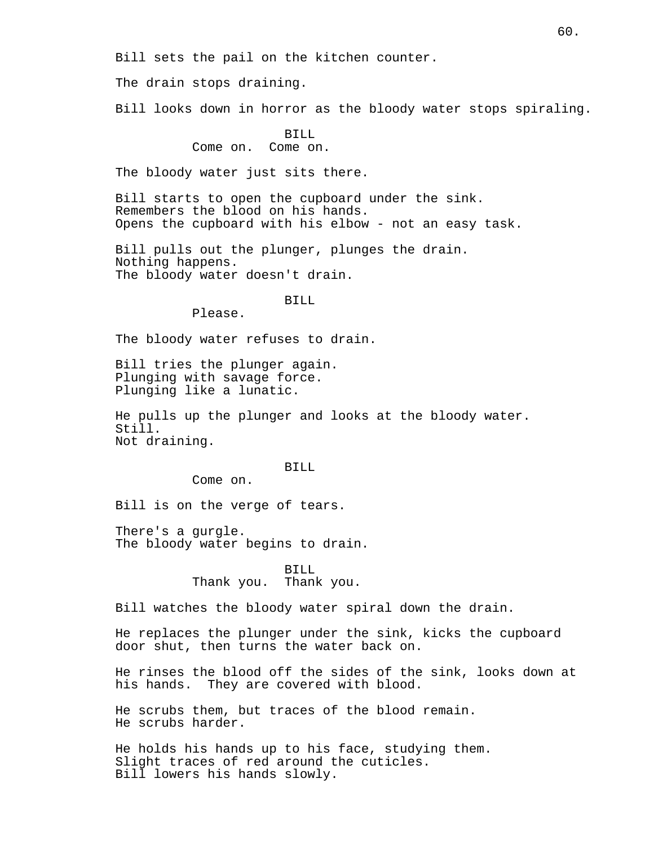Bill sets the pail on the kitchen counter.

The drain stops draining.

Bill looks down in horror as the bloody water stops spiraling.

BILL

Come on. Come on.

The bloody water just sits there.

Bill starts to open the cupboard under the sink. Remembers the blood on his hands. Opens the cupboard with his elbow - not an easy task.

Bill pulls out the plunger, plunges the drain. Nothing happens. The bloody water doesn't drain.

BILL

Please.

The bloody water refuses to drain.

Bill tries the plunger again. Plunging with savage force. Plunging like a lunatic.

He pulls up the plunger and looks at the bloody water. Still. Not draining.

BILL

Come on.

Bill is on the verge of tears.

There's a gurgle. The bloody water begins to drain.

> BILL Thank you. Thank you.

Bill watches the bloody water spiral down the drain.

He replaces the plunger under the sink, kicks the cupboard door shut, then turns the water back on.

He rinses the blood off the sides of the sink, looks down at his hands. They are covered with blood.

He scrubs them, but traces of the blood remain. He scrubs harder.

He holds his hands up to his face, studying them. Slight traces of red around the cuticles. Bill lowers his hands slowly.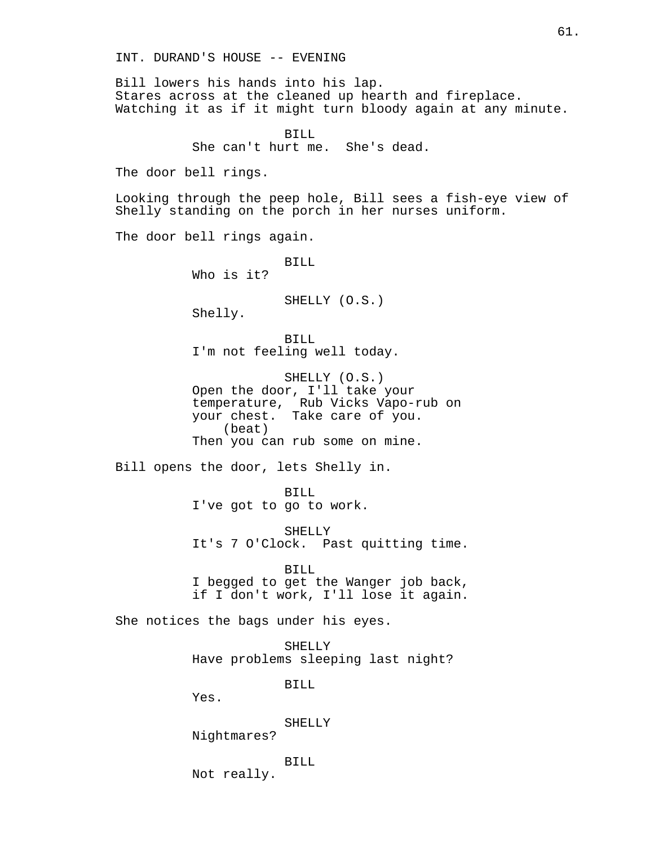Bill lowers his hands into his lap. Stares across at the cleaned up hearth and fireplace. Watching it as if it might turn bloody again at any minute.

> BILL She can't hurt me. She's dead.

The door bell rings.

Looking through the peep hole, Bill sees a fish-eye view of Shelly standing on the porch in her nurses uniform.

The door bell rings again.

BILL Who is it?

SHELLY (O.S.)

Shelly.

BILL I'm not feeling well today.

SHELLY (O.S.) Open the door, I'll take your temperature, Rub Vicks Vapo-rub on your chest. Take care of you. (beat) Then you can rub some on mine.

Bill opens the door, lets Shelly in.

BILL I've got to go to work.

SHELLY It's 7 O'Clock. Past quitting time.

BILL I begged to get the Wanger job back, if I don't work, I'll lose it again.

She notices the bags under his eyes.

SHELLY Have problems sleeping last night?

BILL

Yes.

SHELLY

Nightmares?

BILL

Not really.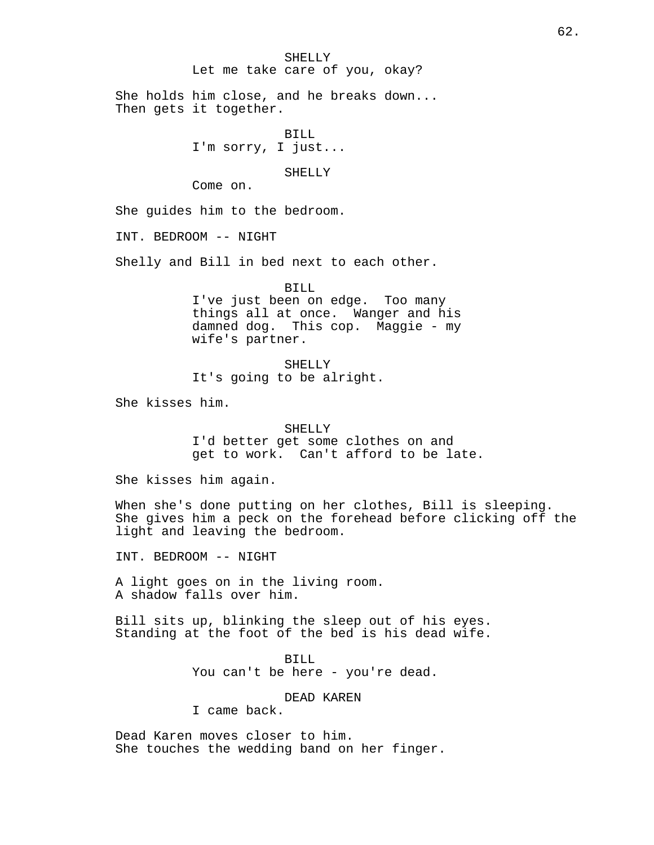#### SHELLY

# Let me take care of you, okay?

She holds him close, and he breaks down... Then gets it together.

> BILL I'm sorry, I just...

> > SHELLY

Come on.

She guides him to the bedroom.

INT. BEDROOM -- NIGHT

Shelly and Bill in bed next to each other.

BILL

I've just been on edge. Too many things all at once. Wanger and his damned dog. This cop. Maggie - my wife's partner.

SHELLY It's going to be alright.

She kisses him.

### SHELLY

I'd better get some clothes on and get to work. Can't afford to be late.

She kisses him again.

When she's done putting on her clothes, Bill is sleeping. She gives him a peck on the forehead before clicking off the light and leaving the bedroom.

INT. BEDROOM -- NIGHT

A light goes on in the living room. A shadow falls over him.

Bill sits up, blinking the sleep out of his eyes. Standing at the foot of the bed is his dead wife.

> BILL You can't be here - you're dead.

# DEAD KAREN

I came back.

Dead Karen moves closer to him. She touches the wedding band on her finger.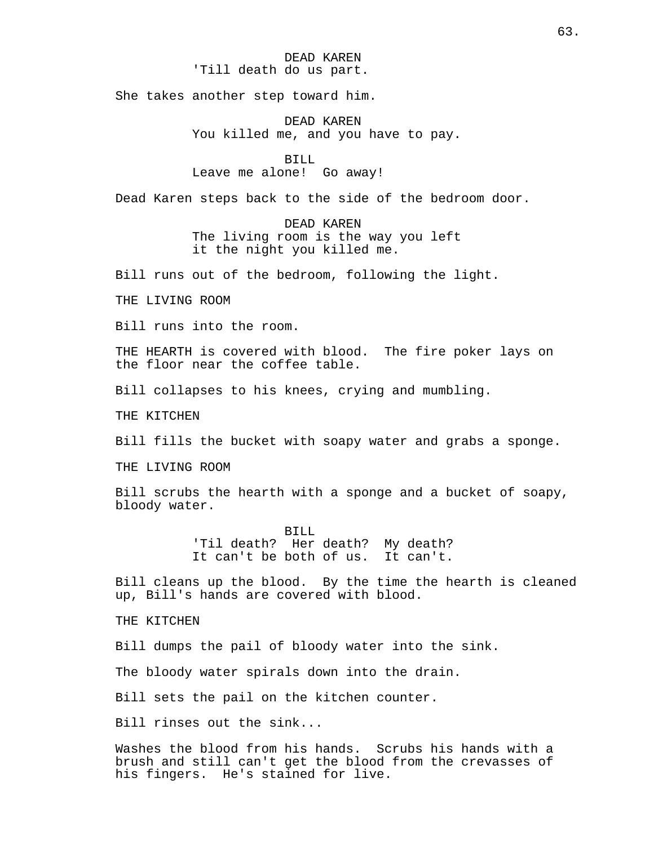# DEAD KAREN 'Till death do us part.

She takes another step toward him.

DEAD KAREN You killed me, and you have to pay.

BILL Leave me alone! Go away!

Dead Karen steps back to the side of the bedroom door.

DEAD KAREN The living room is the way you left it the night you killed me.

Bill runs out of the bedroom, following the light.

THE LIVING ROOM

Bill runs into the room.

THE HEARTH is covered with blood. The fire poker lays on the floor near the coffee table.

Bill collapses to his knees, crying and mumbling.

THE KITCHEN

Bill fills the bucket with soapy water and grabs a sponge.

THE LIVING ROOM

Bill scrubs the hearth with a sponge and a bucket of soapy, bloody water.

> BILL 'Til death? Her death? My death? It can't be both of us. It can't.

Bill cleans up the blood. By the time the hearth is cleaned up, Bill's hands are covered with blood.

THE KITCHEN

Bill dumps the pail of bloody water into the sink.

The bloody water spirals down into the drain.

Bill sets the pail on the kitchen counter.

Bill rinses out the sink...

Washes the blood from his hands. Scrubs his hands with a brush and still can't get the blood from the crevasses of his fingers. He's stained for live.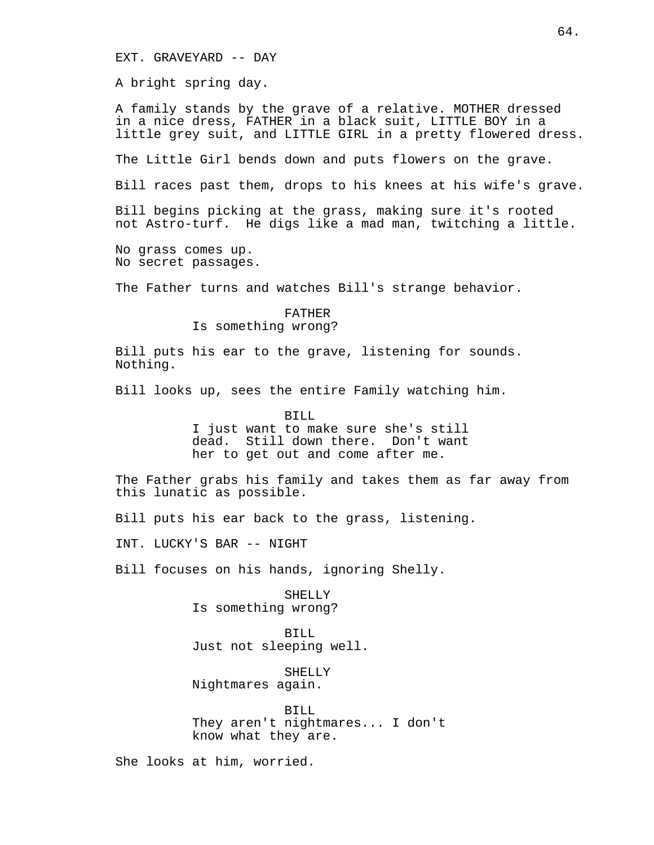EXT. GRAVEYARD -- DAY

A bright spring day.

A family stands by the grave of a relative. MOTHER dressed in a nice dress, FATHER in a black suit, LITTLE BOY in a little grey suit, and LITTLE GIRL in a pretty flowered dress.

The Little Girl bends down and puts flowers on the grave.

Bill races past them, drops to his knees at his wife's grave.

Bill begins picking at the grass, making sure it's rooted not Astro-turf. He digs like a mad man, twitching a little.

No grass comes up. No secret passages.

The Father turns and watches Bill's strange behavior.

## FATHER Is something wrong?

Bill puts his ear to the grave, listening for sounds. Nothing.

Bill looks up, sees the entire Family watching him.

BILL

I just want to make sure she's still dead. Still down there. Don't want her to get out and come after me.

The Father grabs his family and takes them as far away from this lunatic as possible.

Bill puts his ear back to the grass, listening.

INT. LUCKY'S BAR -- NIGHT

Bill focuses on his hands, ignoring Shelly.

SHELLY Is something wrong?

BILL Just not sleeping well.

SHELLY Nightmares again.

BILL They aren't nightmares... I don't know what they are.

She looks at him, worried.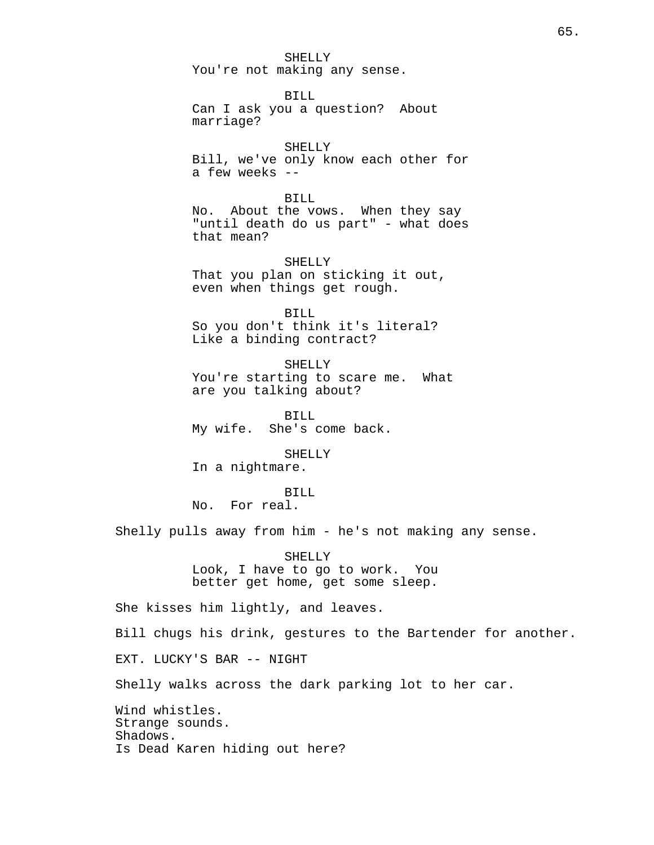SHELLY You're not making any sense.

BILL Can I ask you a question? About marriage?

SHELLY Bill, we've only know each other for a few weeks --

BILL No. About the vows. When they say "until death do us part" - what does that mean?

SHELLY That you plan on sticking it out, even when things get rough.

BILL So you don't think it's literal? Like a binding contract?

SHELLY You're starting to scare me. What are you talking about?

BILL My wife. She's come back.

SHELLY In a nightmare.

BILL No. For real.

Shelly pulls away from him - he's not making any sense.

SHELLY Look, I have to go to work. You better get home, get some sleep.

She kisses him lightly, and leaves.

Bill chugs his drink, gestures to the Bartender for another.

EXT. LUCKY'S BAR -- NIGHT

Shelly walks across the dark parking lot to her car.

Wind whistles. Strange sounds. Shadows. Is Dead Karen hiding out here?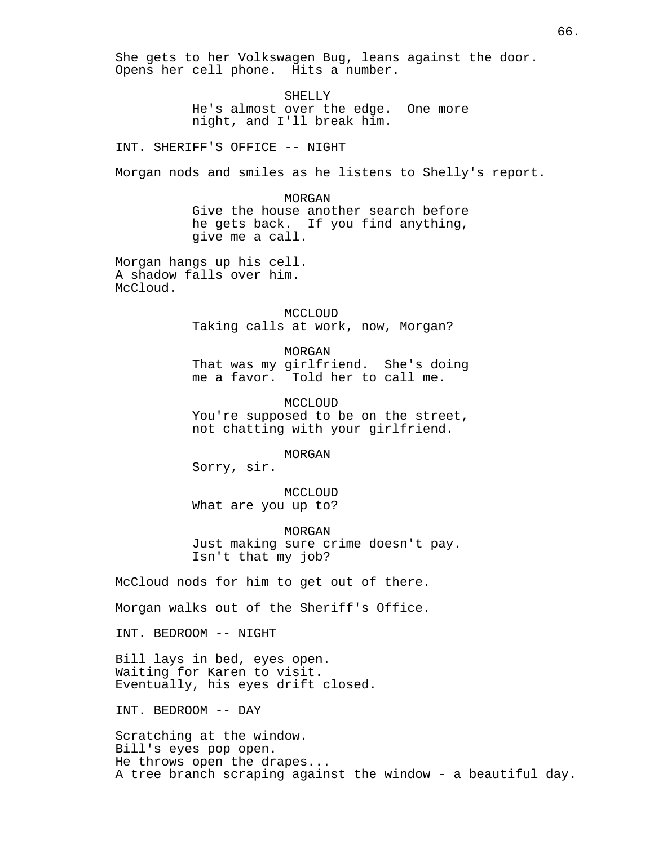She gets to her Volkswagen Bug, leans against the door. Opens her cell phone. Hits a number.

> SHELLY He's almost over the edge. One more night, and I'll break him.

INT. SHERIFF'S OFFICE -- NIGHT

Morgan nods and smiles as he listens to Shelly's report.

MORGAN Give the house another search before he gets back. If you find anything, give me a call.

Morgan hangs up his cell. A shadow falls over him. McCloud.

> MCCLOUD Taking calls at work, now, Morgan?

MORGAN That was my girlfriend. She's doing me a favor. Told her to call me.

MCCLOUD You're supposed to be on the street, not chatting with your girlfriend.

MORGAN

Sorry, sir.

MCCLOUD What are you up to?

MORGAN Just making sure crime doesn't pay. Isn't that my job?

McCloud nods for him to get out of there.

Morgan walks out of the Sheriff's Office.

INT. BEDROOM -- NIGHT

Bill lays in bed, eyes open. Waiting for Karen to visit. Eventually, his eyes drift closed.

INT. BEDROOM -- DAY

Scratching at the window. Bill's eyes pop open. He throws open the drapes... A tree branch scraping against the window - a beautiful day.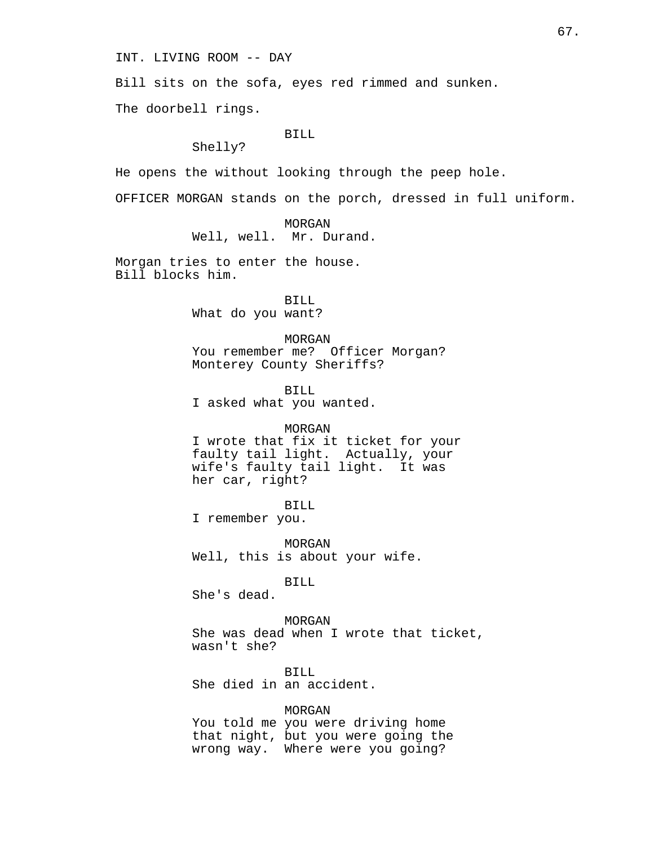INT. LIVING ROOM -- DAY

Bill sits on the sofa, eyes red rimmed and sunken.

The doorbell rings.

#### BILL

Shelly?

He opens the without looking through the peep hole.

OFFICER MORGAN stands on the porch, dressed in full uniform.

MORGAN Well, well. Mr. Durand.

Morgan tries to enter the house. Bill blocks him.

> BILL What do you want?

MORGAN You remember me? Officer Morgan? Monterey County Sheriffs?

BILL I asked what you wanted.

#### MORGAN

I wrote that fix it ticket for your faulty tail light. Actually, your wife's faulty tail light. It was her car, right?

BILL

I remember you.

MORGAN Well, this is about your wife.

BILL

She's dead.

MORGAN She was dead when I wrote that ticket, wasn't she?

BILL She died in an accident.

### MORGAN

You told me you were driving home that night, but you were going the wrong way. Where were you going?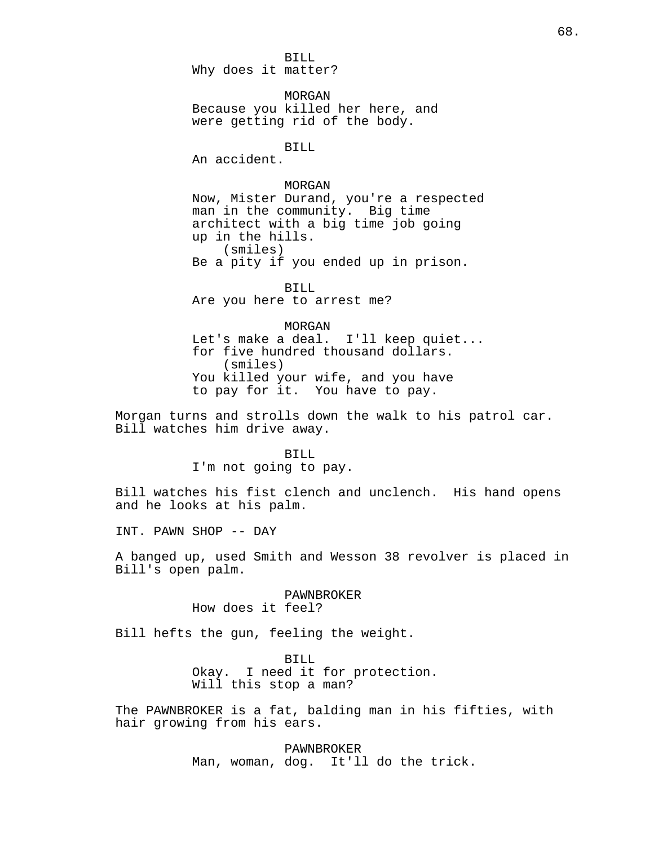BILL Why does it matter?

MORGAN Because you killed her here, and were getting rid of the body.

BILL

An accident.

### MORGAN

Now, Mister Durand, you're a respected man in the community. Big time architect with a big time job going up in the hills. (smiles) Be a pity if you ended up in prison.

BILL Are you here to arrest me?

MORGAN Let's make a deal. I'll keep quiet... for five hundred thousand dollars. (smiles) You killed your wife, and you have to pay for it. You have to pay.

Morgan turns and strolls down the walk to his patrol car. Bill watches him drive away.

## BILL

I'm not going to pay.

Bill watches his fist clench and unclench. His hand opens and he looks at his palm.

INT. PAWN SHOP -- DAY

A banged up, used Smith and Wesson 38 revolver is placed in Bill's open palm.

> PAWNBROKER How does it feel?

Bill hefts the gun, feeling the weight.

BILL Okay. I need it for protection. Will this stop a man?

The PAWNBROKER is a fat, balding man in his fifties, with hair growing from his ears.

> PAWNBROKER Man, woman, dog. It'll do the trick.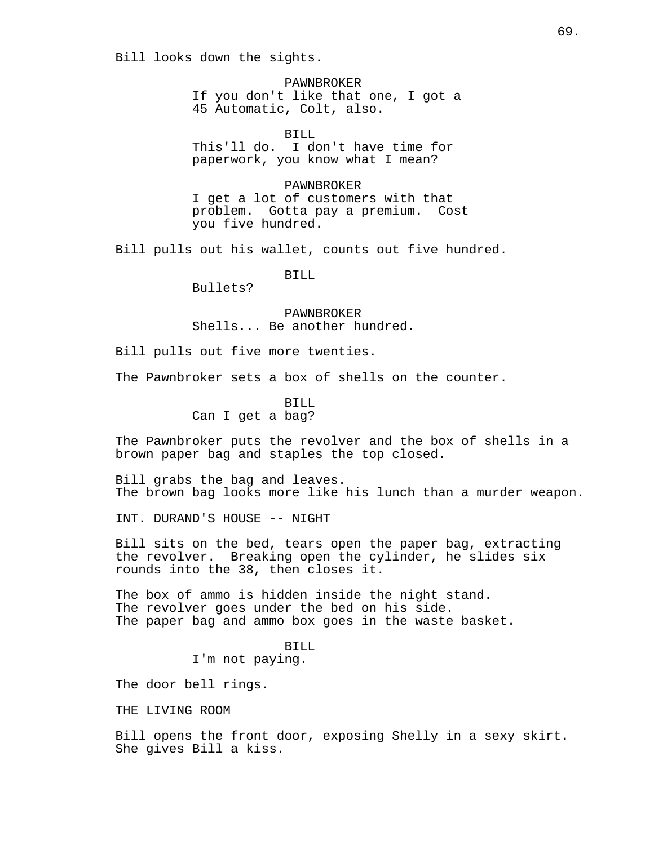Bill looks down the sights.

PAWNBROKER If you don't like that one, I got a 45 Automatic, Colt, also.

BILL This'll do. I don't have time for paperwork, you know what I mean?

PAWNBROKER I get a lot of customers with that problem. Gotta pay a premium. Cost you five hundred.

Bill pulls out his wallet, counts out five hundred.

BILL

Bullets?

PAWNBROKER Shells... Be another hundred.

Bill pulls out five more twenties.

The Pawnbroker sets a box of shells on the counter.

BILL Can I get a bag?

The Pawnbroker puts the revolver and the box of shells in a brown paper bag and staples the top closed.

Bill grabs the bag and leaves. The brown bag looks more like his lunch than a murder weapon.

INT. DURAND'S HOUSE -- NIGHT

Bill sits on the bed, tears open the paper bag, extracting the revolver. Breaking open the cylinder, he slides six rounds into the 38, then closes it.

The box of ammo is hidden inside the night stand. The revolver goes under the bed on his side. The paper bag and ammo box goes in the waste basket.

> BILL I'm not paying.

The door bell rings.

THE LIVING ROOM

Bill opens the front door, exposing Shelly in a sexy skirt. She gives Bill a kiss.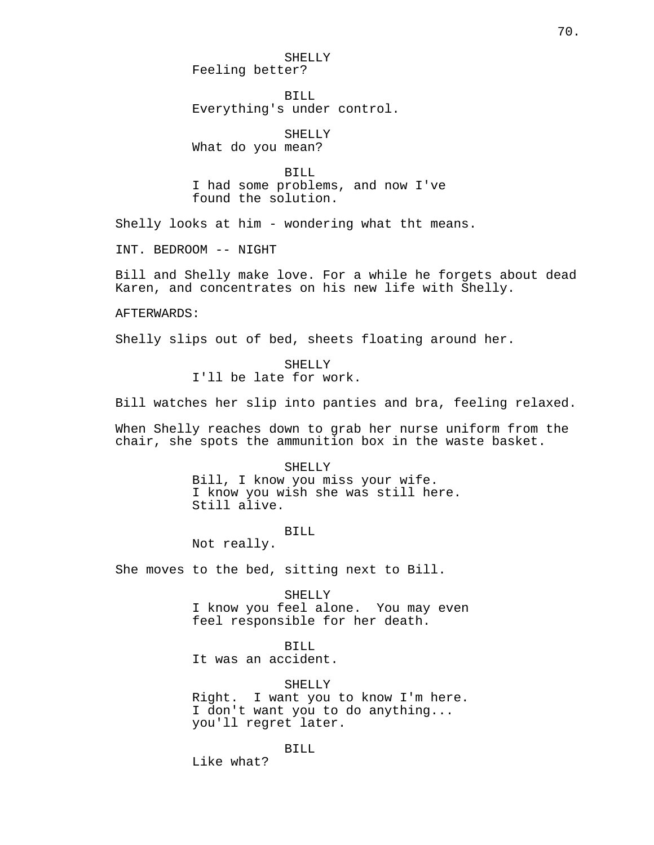SHELLY Feeling better?

BILL Everything's under control.

SHELLY What do you mean?

BILL I had some problems, and now I've found the solution.

Shelly looks at him - wondering what tht means.

INT. BEDROOM -- NIGHT

Bill and Shelly make love. For a while he forgets about dead Karen, and concentrates on his new life with Shelly.

AFTERWARDS:

Shelly slips out of bed, sheets floating around her.

SHELLY I'll be late for work.

Bill watches her slip into panties and bra, feeling relaxed.

When Shelly reaches down to grab her nurse uniform from the chair, she spots the ammunition box in the waste basket.

> SHELLY Bill, I know you miss your wife. I know you wish she was still here. Still alive.

> > BILL

Not really.

She moves to the bed, sitting next to Bill.

SHELLY I know you feel alone. You may even feel responsible for her death.

BILL

It was an accident.

SHELLY

Right. I want you to know I'm here. I don't want you to do anything... you'll regret later.

BILL

Like what?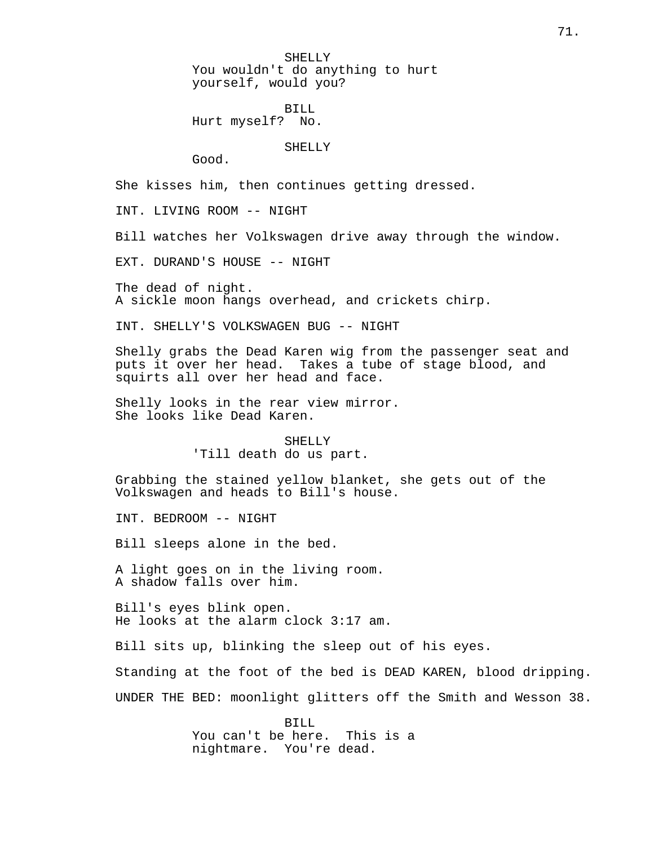SHELLY You wouldn't do anything to hurt yourself, would you?

BILL Hurt myself? No.

## SHELLY

Good.

She kisses him, then continues getting dressed.

INT. LIVING ROOM -- NIGHT

Bill watches her Volkswagen drive away through the window.

EXT. DURAND'S HOUSE -- NIGHT

The dead of night. A sickle moon hangs overhead, and crickets chirp.

INT. SHELLY'S VOLKSWAGEN BUG -- NIGHT

Shelly grabs the Dead Karen wig from the passenger seat and puts it over her head. Takes a tube of stage blood, and squirts all over her head and face.

Shelly looks in the rear view mirror. She looks like Dead Karen.

> SHELLY 'Till death do us part.

Grabbing the stained yellow blanket, she gets out of the Volkswagen and heads to Bill's house.

INT. BEDROOM -- NIGHT

Bill sleeps alone in the bed.

A light goes on in the living room. A shadow falls over him.

Bill's eyes blink open. He looks at the alarm clock 3:17 am.

Bill sits up, blinking the sleep out of his eyes.

Standing at the foot of the bed is DEAD KAREN, blood dripping.

UNDER THE BED: moonlight glitters off the Smith and Wesson 38.

BILL You can't be here. This is a nightmare. You're dead.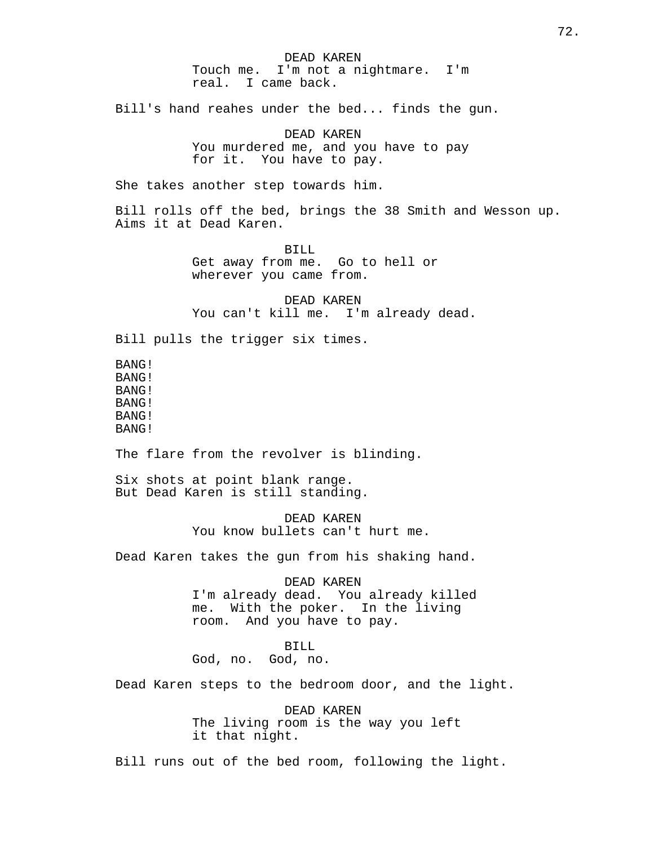DEAD KAREN Touch me. I'm not a nightmare. I'm real. I came back. Bill's hand reahes under the bed... finds the gun. DEAD KAREN You murdered me, and you have to pay for it. You have to pay. She takes another step towards him. Bill rolls off the bed, brings the 38 Smith and Wesson up. Aims it at Dead Karen. BILL Get away from me. Go to hell or wherever you came from. DEAD KAREN You can't kill me. I'm already dead. Bill pulls the trigger six times. BANG! BANG! BANG! BANG! BANG! BANG! The flare from the revolver is blinding. Six shots at point blank range. But Dead Karen is still standing. DEAD KAREN You know bullets can't hurt me. Dead Karen takes the gun from his shaking hand. DEAD KAREN I'm already dead. You already killed me. With the poker. In the living room. And you have to pay. BILL God, no. God, no. Dead Karen steps to the bedroom door, and the light. DEAD KAREN The living room is the way you left it that night. Bill runs out of the bed room, following the light.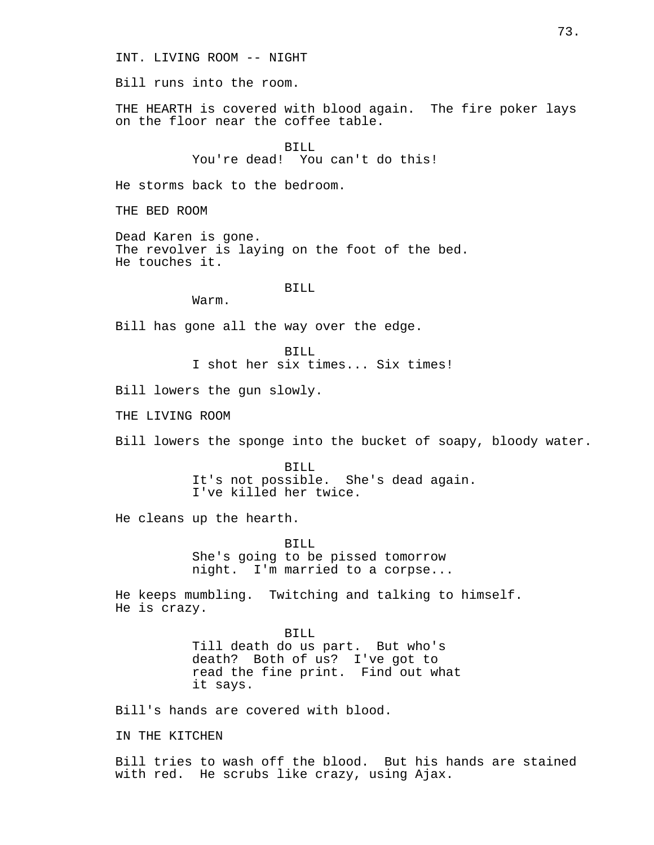INT. LIVING ROOM -- NIGHT

Bill runs into the room.

THE HEARTH is covered with blood again. The fire poker lays on the floor near the coffee table.

> BILL You're dead! You can't do this!

He storms back to the bedroom.

THE BED ROOM

Dead Karen is gone. The revolver is laying on the foot of the bed. He touches it.

## BILL

Warm.

Bill has gone all the way over the edge.

BILL I shot her six times... Six times!

Bill lowers the gun slowly.

THE LIVING ROOM

Bill lowers the sponge into the bucket of soapy, bloody water.

BILL It's not possible. She's dead again. I've killed her twice.

He cleans up the hearth.

BILL She's going to be pissed tomorrow night. I'm married to a corpse...

He keeps mumbling. Twitching and talking to himself. He is crazy.

> BILL Till death do us part. But who's death? Both of us? I've got to read the fine print. Find out what it says.

Bill's hands are covered with blood.

IN THE KITCHEN

Bill tries to wash off the blood. But his hands are stained with red. He scrubs like crazy, using Ajax.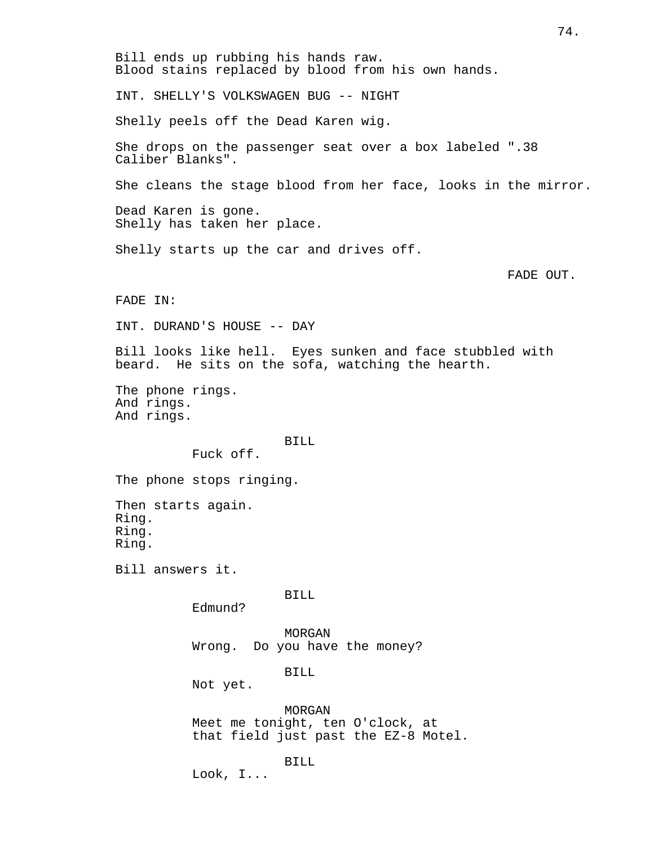Bill ends up rubbing his hands raw. Blood stains replaced by blood from his own hands. INT. SHELLY'S VOLKSWAGEN BUG -- NIGHT Shelly peels off the Dead Karen wig. She drops on the passenger seat over a box labeled ".38 Caliber Blanks". She cleans the stage blood from her face, looks in the mirror. Dead Karen is gone. Shelly has taken her place. Shelly starts up the car and drives off. FADE OUT. FADE IN: INT. DURAND'S HOUSE -- DAY Bill looks like hell. Eyes sunken and face stubbled with beard. He sits on the sofa, watching the hearth. The phone rings. And rings. And rings. BILL Fuck off. The phone stops ringing. Then starts again. Ring. Ring. Ring. Bill answers it. BILL Edmund? MORGAN Wrong. Do you have the money? BILL Not yet. MORGAN Meet me tonight, ten O'clock, at that field just past the EZ-8 Motel. BILL Look, I...

74.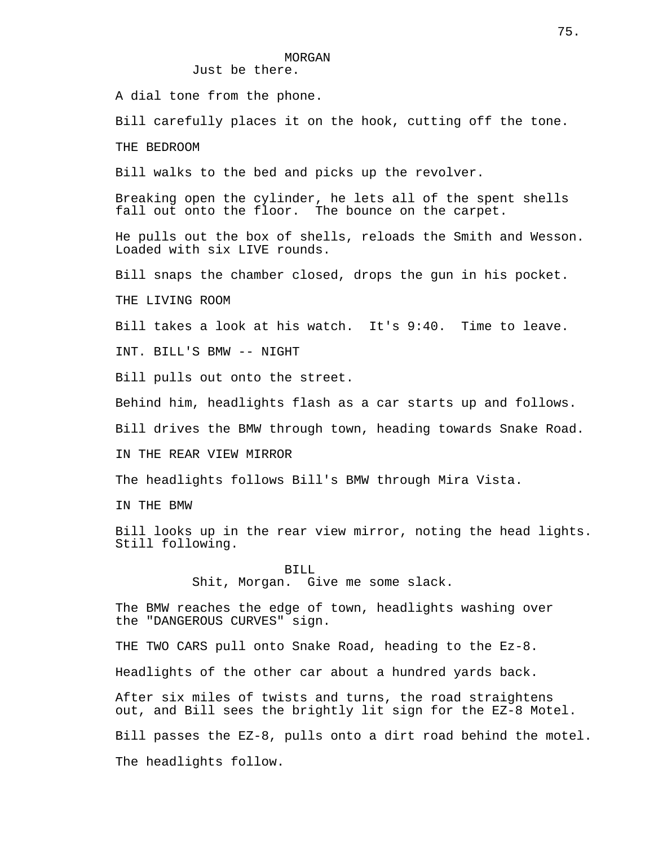#### MORGAN

Just be there.

A dial tone from the phone.

Bill carefully places it on the hook, cutting off the tone.

THE BEDROOM

Bill walks to the bed and picks up the revolver.

Breaking open the cylinder, he lets all of the spent shells fall out onto the floor. The bounce on the carpet.

He pulls out the box of shells, reloads the Smith and Wesson. Loaded with six LIVE rounds.

Bill snaps the chamber closed, drops the gun in his pocket.

THE LIVING ROOM

Bill takes a look at his watch. It's 9:40. Time to leave.

INT. BILL'S BMW -- NIGHT

Bill pulls out onto the street.

Behind him, headlights flash as a car starts up and follows.

Bill drives the BMW through town, heading towards Snake Road.

IN THE REAR VIEW MIRROR

The headlights follows Bill's BMW through Mira Vista.

IN THE BMW

Bill looks up in the rear view mirror, noting the head lights. Still following.

> BILL Shit, Morgan. Give me some slack.

The BMW reaches the edge of town, headlights washing over the "DANGEROUS CURVES" sign.

THE TWO CARS pull onto Snake Road, heading to the Ez-8.

Headlights of the other car about a hundred yards back.

After six miles of twists and turns, the road straightens out, and Bill sees the brightly lit sign for the EZ-8 Motel. Bill passes the EZ-8, pulls onto a dirt road behind the motel. The headlights follow.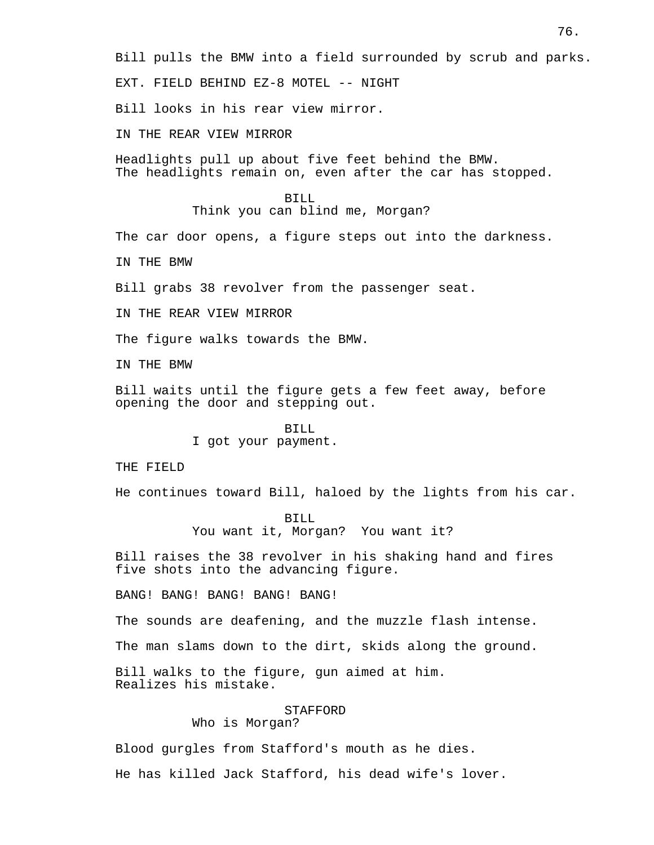Bill pulls the BMW into a field surrounded by scrub and parks.

EXT. FIELD BEHIND EZ-8 MOTEL -- NIGHT

Bill looks in his rear view mirror.

IN THE REAR VIEW MIRROR

Headlights pull up about five feet behind the BMW. The headlights remain on, even after the car has stopped.

> BILL Think you can blind me, Morgan?

The car door opens, a figure steps out into the darkness.

IN THE BMW

Bill grabs 38 revolver from the passenger seat.

IN THE REAR VIEW MIRROR

The figure walks towards the BMW.

IN THE BMW

Bill waits until the figure gets a few feet away, before opening the door and stepping out.

BILL

I got your payment.

THE FIELD

He continues toward Bill, haloed by the lights from his car.

BILL You want it, Morgan? You want it?

Bill raises the 38 revolver in his shaking hand and fires five shots into the advancing figure.

BANG! BANG! BANG! BANG! BANG!

The sounds are deafening, and the muzzle flash intense.

The man slams down to the dirt, skids along the ground.

Bill walks to the figure, gun aimed at him. Realizes his mistake.

## STAFFORD

Who is Morgan?

Blood gurgles from Stafford's mouth as he dies.

He has killed Jack Stafford, his dead wife's lover.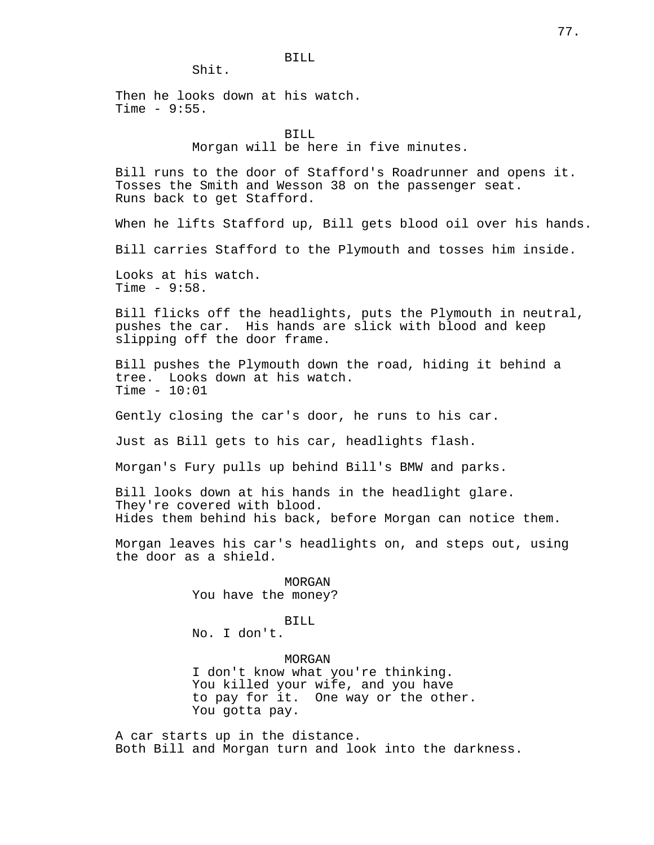Shit.

Then he looks down at his watch. Time  $-9:55$ .

## BILL Morgan will be here in five minutes.

Bill runs to the door of Stafford's Roadrunner and opens it. Tosses the Smith and Wesson 38 on the passenger seat. Runs back to get Stafford.

When he lifts Stafford up, Bill gets blood oil over his hands.

Bill carries Stafford to the Plymouth and tosses him inside.

Looks at his watch. Time  $-9:58$ .

Bill flicks off the headlights, puts the Plymouth in neutral, pushes the car. His hands are slick with blood and keep slipping off the door frame.

Bill pushes the Plymouth down the road, hiding it behind a tree. Looks down at his watch. Time  $-10:01$ 

Gently closing the car's door, he runs to his car.

Just as Bill gets to his car, headlights flash.

Morgan's Fury pulls up behind Bill's BMW and parks.

Bill looks down at his hands in the headlight glare. They're covered with blood. Hides them behind his back, before Morgan can notice them.

Morgan leaves his car's headlights on, and steps out, using the door as a shield.

> MORGAN You have the money?

> > BILL

No. I don't.

MORGAN

I don't know what you're thinking. You killed your wife, and you have to pay for it. One way or the other. You gotta pay.

A car starts up in the distance. Both Bill and Morgan turn and look into the darkness.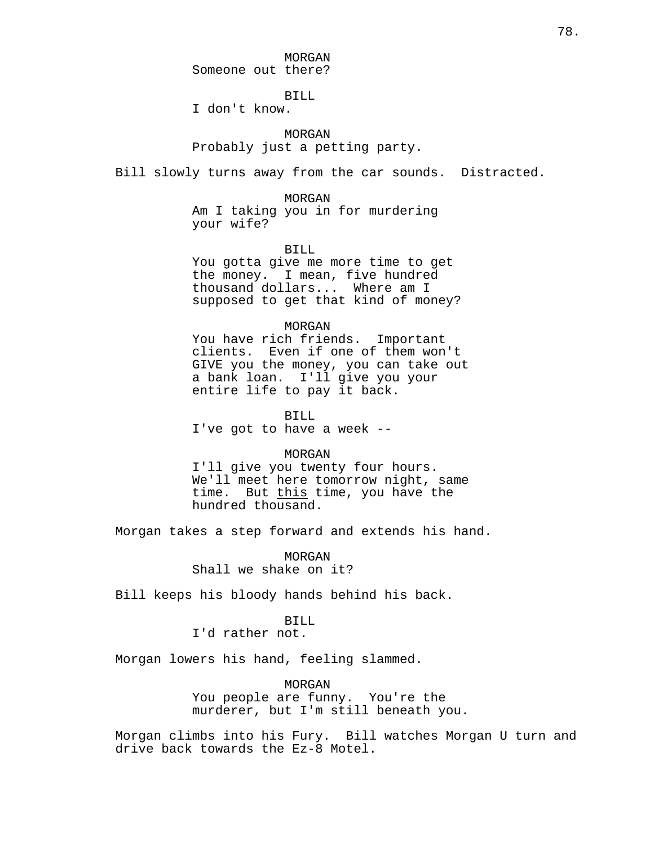MORGAN Someone out there?

BILL

I don't know.

MORGAN Probably just a petting party.

Bill slowly turns away from the car sounds. Distracted.

MORGAN Am I taking you in for murdering your wife?

BILL You gotta give me more time to get the money. I mean, five hundred thousand dollars... Where am I supposed to get that kind of money?

#### MORGAN

You have rich friends. Important clients. Even if one of them won't GIVE you the money, you can take out a bank loan. I'll give you your entire life to pay it back.

BILL

I've got to have a week --

### MORGAN

I'll give you twenty four hours. We'll meet here tomorrow night, same time. But this time, you have the hundred thousand.

Morgan takes a step forward and extends his hand.

MORGAN Shall we shake on it?

Bill keeps his bloody hands behind his back.

BILL

I'd rather not.

Morgan lowers his hand, feeling slammed.

MORGAN You people are funny. You're the murderer, but I'm still beneath you.

Morgan climbs into his Fury. Bill watches Morgan U turn and drive back towards the Ez-8 Motel.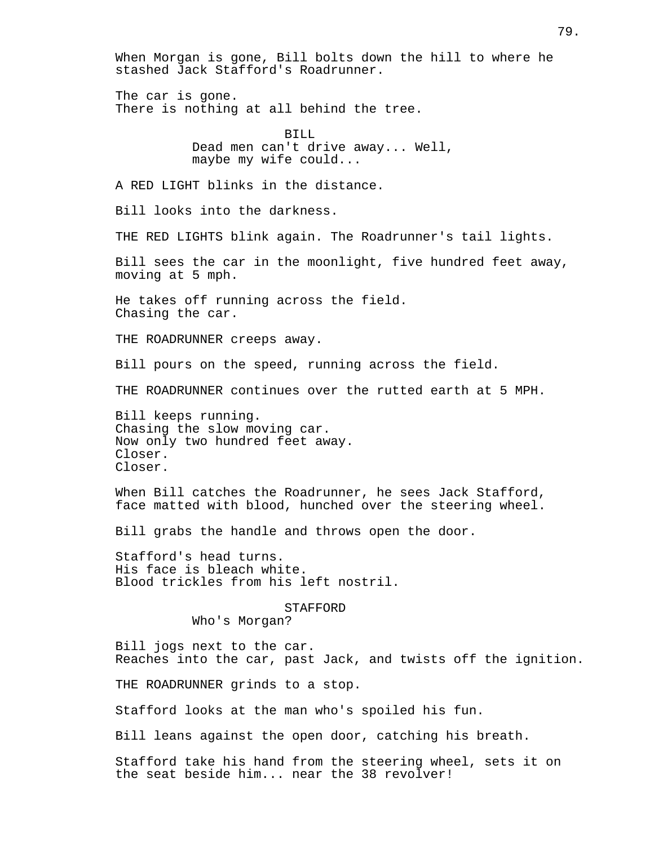When Morgan is gone, Bill bolts down the hill to where he stashed Jack Stafford's Roadrunner. The car is gone. There is nothing at all behind the tree. BILL Dead men can't drive away... Well, maybe my wife could... A RED LIGHT blinks in the distance. Bill looks into the darkness. THE RED LIGHTS blink again. The Roadrunner's tail lights. Bill sees the car in the moonlight, five hundred feet away, moving at 5 mph. He takes off running across the field. Chasing the car. THE ROADRUNNER creeps away. Bill pours on the speed, running across the field. THE ROADRUNNER continues over the rutted earth at 5 MPH. Bill keeps running. Chasing the slow moving car. Now only two hundred feet away. Closer. Closer. When Bill catches the Roadrunner, he sees Jack Stafford, face matted with blood, hunched over the steering wheel. Bill grabs the handle and throws open the door. Stafford's head turns. His face is bleach white. Blood trickles from his left nostril. STAFFORD Who's Morgan? Bill jogs next to the car. Reaches into the car, past Jack, and twists off the ignition. THE ROADRUNNER grinds to a stop. Stafford looks at the man who's spoiled his fun. Bill leans against the open door, catching his breath. Stafford take his hand from the steering wheel, sets it on the seat beside him... near the 38 revolver!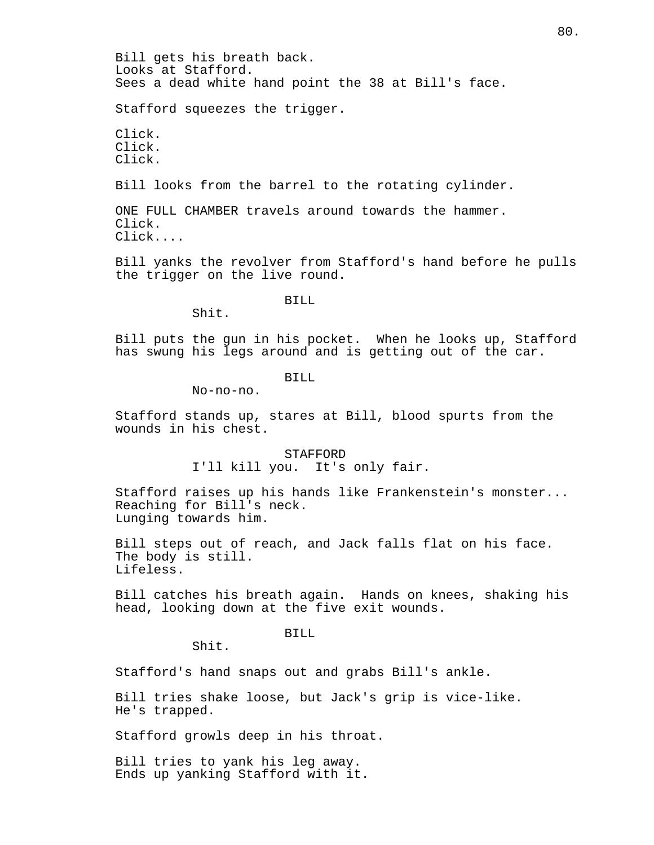Bill gets his breath back. Looks at Stafford. Sees a dead white hand point the 38 at Bill's face.

Stafford squeezes the trigger.

Click. Click. Click.

Bill looks from the barrel to the rotating cylinder.

ONE FULL CHAMBER travels around towards the hammer. Click. Click....

Bill yanks the revolver from Stafford's hand before he pulls the trigger on the live round.

BILL

Shit.

Bill puts the gun in his pocket. When he looks up, Stafford has swung his legs around and is getting out of the car.

BILL

No-no-no.

Stafford stands up, stares at Bill, blood spurts from the wounds in his chest.

> STAFFORD I'll kill you. It's only fair.

Stafford raises up his hands like Frankenstein's monster... Reaching for Bill's neck. Lunging towards him.

Bill steps out of reach, and Jack falls flat on his face. The body is still. Lifeless.

Bill catches his breath again. Hands on knees, shaking his head, looking down at the five exit wounds.

BILL

Shit.

Stafford's hand snaps out and grabs Bill's ankle.

Bill tries shake loose, but Jack's grip is vice-like. He's trapped.

Stafford growls deep in his throat.

Bill tries to yank his leg away. Ends up yanking Stafford with it.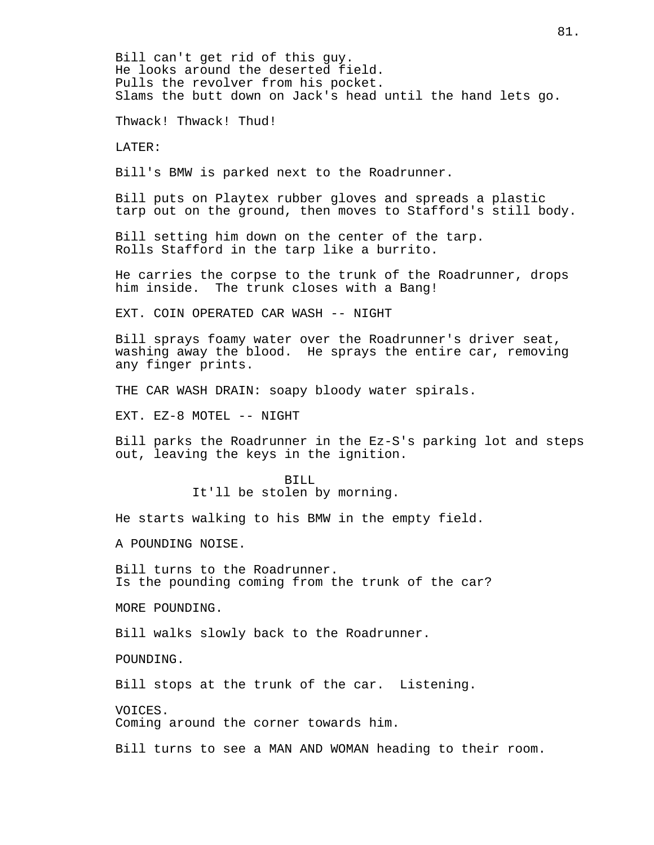Bill can't get rid of this guy. He looks around the deserted field. Pulls the revolver from his pocket. Slams the butt down on Jack's head until the hand lets go.

Thwack! Thwack! Thud!

LATER:

Bill's BMW is parked next to the Roadrunner.

Bill puts on Playtex rubber gloves and spreads a plastic tarp out on the ground, then moves to Stafford's still body.

Bill setting him down on the center of the tarp. Rolls Stafford in the tarp like a burrito.

He carries the corpse to the trunk of the Roadrunner, drops him inside. The trunk closes with a Bang!

EXT. COIN OPERATED CAR WASH -- NIGHT

Bill sprays foamy water over the Roadrunner's driver seat, washing away the blood. He sprays the entire car, removing any finger prints.

THE CAR WASH DRAIN: soapy bloody water spirals.

EXT. EZ-8 MOTEL -- NIGHT

Bill parks the Roadrunner in the Ez-S's parking lot and steps out, leaving the keys in the ignition.

> BILL It'll be stolen by morning.

He starts walking to his BMW in the empty field.

A POUNDING NOISE.

Bill turns to the Roadrunner. Is the pounding coming from the trunk of the car?

MORE POUNDING.

Bill walks slowly back to the Roadrunner.

POUNDING.

Bill stops at the trunk of the car. Listening.

VOICES.

Coming around the corner towards him.

Bill turns to see a MAN AND WOMAN heading to their room.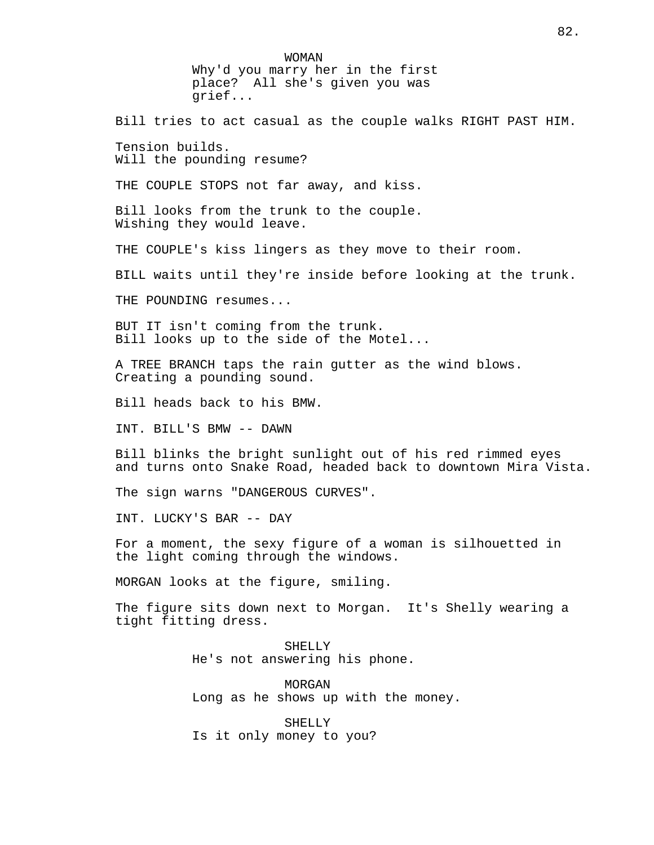WOMAN Why'd you marry her in the first place? All she's given you was grief... Bill tries to act casual as the couple walks RIGHT PAST HIM. Tension builds. Will the pounding resume? THE COUPLE STOPS not far away, and kiss. Bill looks from the trunk to the couple. Wishing they would leave. THE COUPLE's kiss lingers as they move to their room. BILL waits until they're inside before looking at the trunk. THE POUNDING resumes... BUT IT isn't coming from the trunk. Bill looks up to the side of the Motel... A TREE BRANCH taps the rain gutter as the wind blows. Creating a pounding sound. Bill heads back to his BMW. INT. BILL'S BMW -- DAWN Bill blinks the bright sunlight out of his red rimmed eyes and turns onto Snake Road, headed back to downtown Mira Vista. The sign warns "DANGEROUS CURVES". INT. LUCKY'S BAR -- DAY For a moment, the sexy figure of a woman is silhouetted in the light coming through the windows. MORGAN looks at the figure, smiling. The figure sits down next to Morgan. It's Shelly wearing a tight fitting dress. SHELLY He's not answering his phone. MORGAN Long as he shows up with the money. SHELLY Is it only money to you?

82.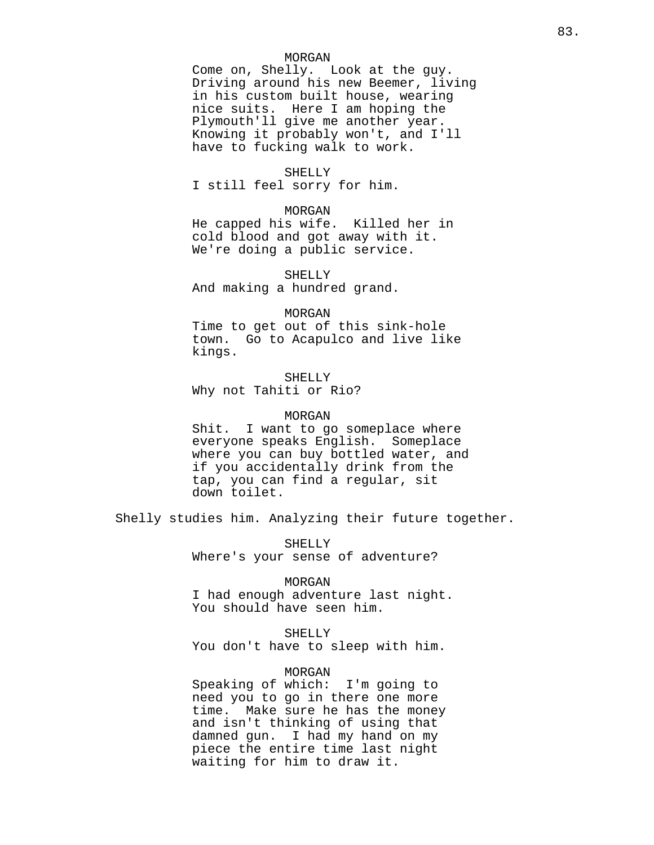### MORGAN

Come on, Shelly. Look at the guy. Driving around his new Beemer, living in his custom built house, wearing nice suits. Here I am hoping the Plymouth'll give me another year. Knowing it probably won't, and I'll have to fucking walk to work.

#### SHELLY

I still feel sorry for him.

## MORGAN

He capped his wife. Killed her in cold blood and got away with it. We're doing a public service.

SHELLY And making a hundred grand.

#### MORGAN

Time to get out of this sink-hole town. Go to Acapulco and live like kings.

SHELLY Why not Tahiti or Rio?

### MORGAN

Shit. I want to go someplace where everyone speaks English. Someplace where you can buy bottled water, and if you accidentally drink from the tap, you can find a regular, sit down toilet.

Shelly studies him. Analyzing their future together.

SHELLY Where's your sense of adventure?

#### MORGAN

I had enough adventure last night. You should have seen him.

#### SHELLY

You don't have to sleep with him.

## MORGAN

Speaking of which: I'm going to need you to go in there one more time. Make sure he has the money and isn't thinking of using that damned gun. I had my hand on my piece the entire time last night waiting for him to draw it.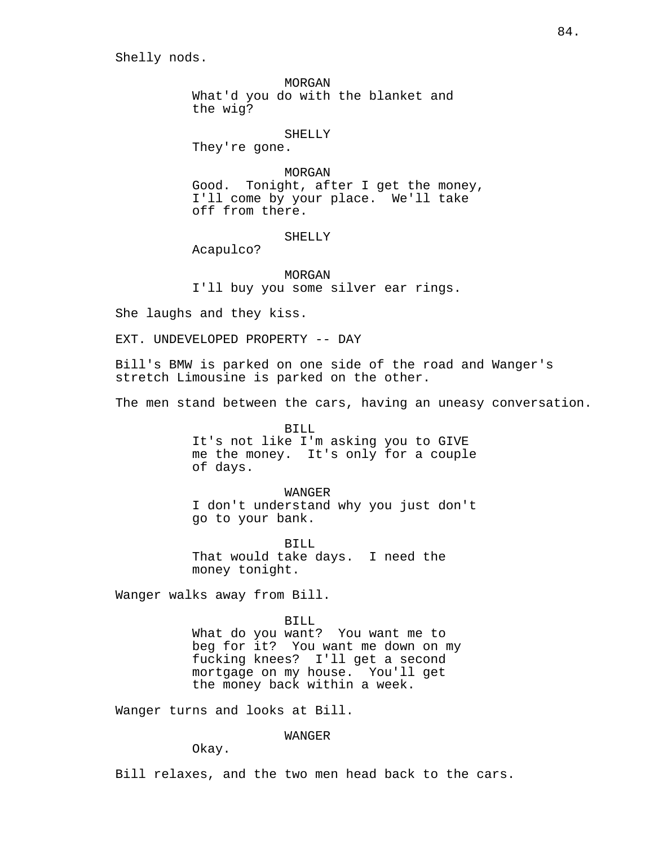Shelly nods.

MORGAN What'd you do with the blanket and the wig?

SHELLY

They're gone.

MORGAN Good. Tonight, after I get the money, I'll come by your place. We'll take off from there.

### SHELLY

Acapulco?

MORGAN I'll buy you some silver ear rings.

She laughs and they kiss.

EXT. UNDEVELOPED PROPERTY -- DAY

Bill's BMW is parked on one side of the road and Wanger's stretch Limousine is parked on the other.

The men stand between the cars, having an uneasy conversation.

BILL It's not like I'm asking you to GIVE me the money. It's only for a couple of days.

WANGER I don't understand why you just don't go to your bank.

BILL That would take days. I need the money tonight.

Wanger walks away from Bill.

BILL What do you want? You want me to beg for it? You want me down on my fucking knees? I'll get a second mortgage on my house. You'll get the money back within a week.

Wanger turns and looks at Bill.

WANGER

Okay.

Bill relaxes, and the two men head back to the cars.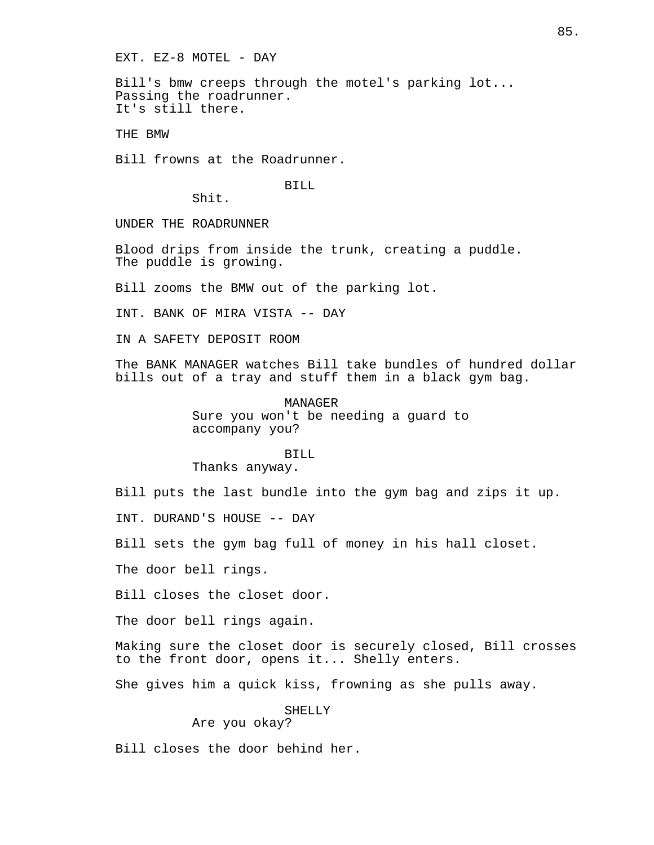EXT. EZ-8 MOTEL - DAY

Bill's bmw creeps through the motel's parking lot... Passing the roadrunner. It's still there.

THE BMW

Bill frowns at the Roadrunner.

BILL

Shit.

UNDER THE ROADRUNNER

Blood drips from inside the trunk, creating a puddle. The puddle is growing.

Bill zooms the BMW out of the parking lot.

INT. BANK OF MIRA VISTA -- DAY

IN A SAFETY DEPOSIT ROOM

The BANK MANAGER watches Bill take bundles of hundred dollar bills out of a tray and stuff them in a black gym bag.

> MANAGER Sure you won't be needing a guard to accompany you?

> > BILL

Thanks anyway.

Bill puts the last bundle into the gym bag and zips it up.

INT. DURAND'S HOUSE -- DAY

Bill sets the gym bag full of money in his hall closet.

The door bell rings.

Bill closes the closet door.

The door bell rings again.

Making sure the closet door is securely closed, Bill crosses to the front door, opens it... Shelly enters.

She gives him a quick kiss, frowning as she pulls away.

SHELLY

Are you okay?

Bill closes the door behind her.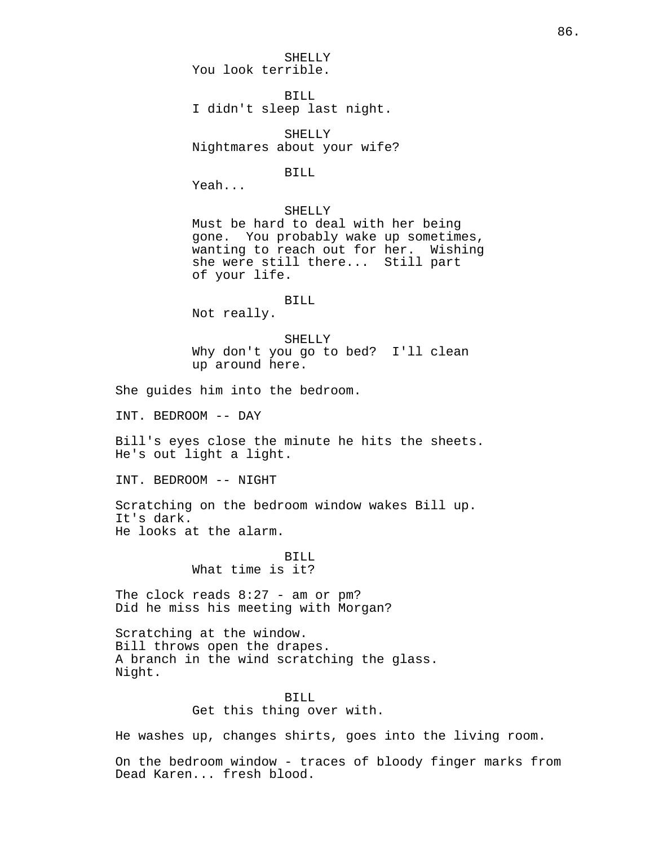SHELLY You look terrible.

BILL I didn't sleep last night.

SHELLY Nightmares about your wife?

BILL

Yeah...

## SHELLY

Must be hard to deal with her being gone. You probably wake up sometimes, wanting to reach out for her. Wishing she were still there... Still part of your life.

#### BILL

Not really.

SHELLY Why don't you go to bed? I'll clean up around here.

She guides him into the bedroom.

INT. BEDROOM -- DAY

Bill's eyes close the minute he hits the sheets. He's out light a light.

INT. BEDROOM -- NIGHT

Scratching on the bedroom window wakes Bill up. It's dark. He looks at the alarm.

# BILL

What time is it?

The clock reads 8:27 - am or pm? Did he miss his meeting with Morgan?

Scratching at the window. Bill throws open the drapes. A branch in the wind scratching the glass. Night.

## BILL Get this thing over with.

He washes up, changes shirts, goes into the living room.

On the bedroom window - traces of bloody finger marks from Dead Karen... fresh blood.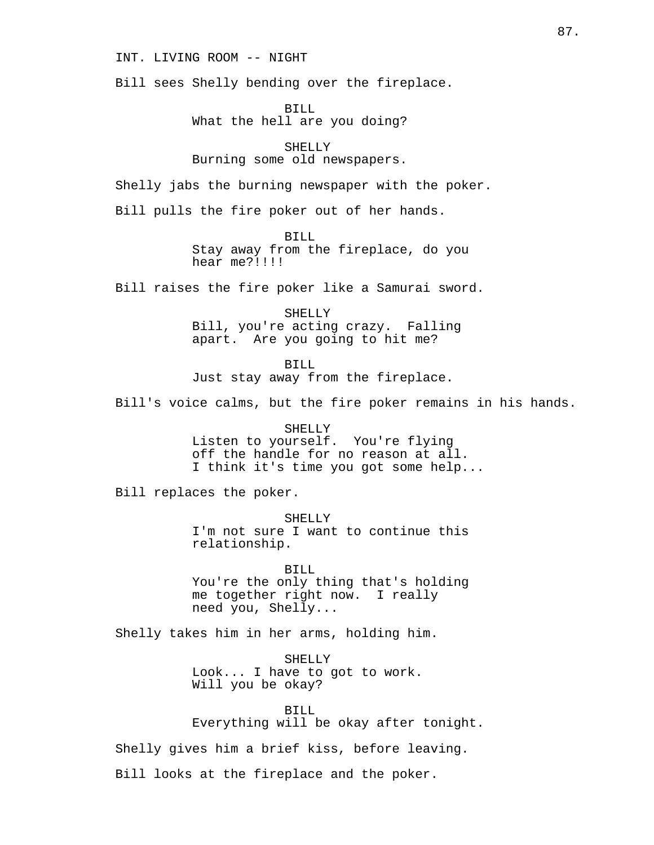INT. LIVING ROOM -- NIGHT

Bill sees Shelly bending over the fireplace.

BILL What the hell are you doing?

SHELLY Burning some old newspapers.

Shelly jabs the burning newspaper with the poker.

Bill pulls the fire poker out of her hands.

BILL Stay away from the fireplace, do you hear me?!!!!

Bill raises the fire poker like a Samurai sword.

SHELLY Bill, you're acting crazy. Falling apart. Are you going to hit me?

BILL

Just stay away from the fireplace.

Bill's voice calms, but the fire poker remains in his hands.

SHELLY Listen to yourself. You're flying off the handle for no reason at all. I think it's time you got some help...

Bill replaces the poker.

SHELLY I'm not sure I want to continue this relationship.

BILL You're the only thing that's holding me together right now. I really need you, Shelly...

Shelly takes him in her arms, holding him.

SHELLY Look... I have to got to work. Will you be okay?

BILL

Everything will be okay after tonight.

Shelly gives him a brief kiss, before leaving.

Bill looks at the fireplace and the poker.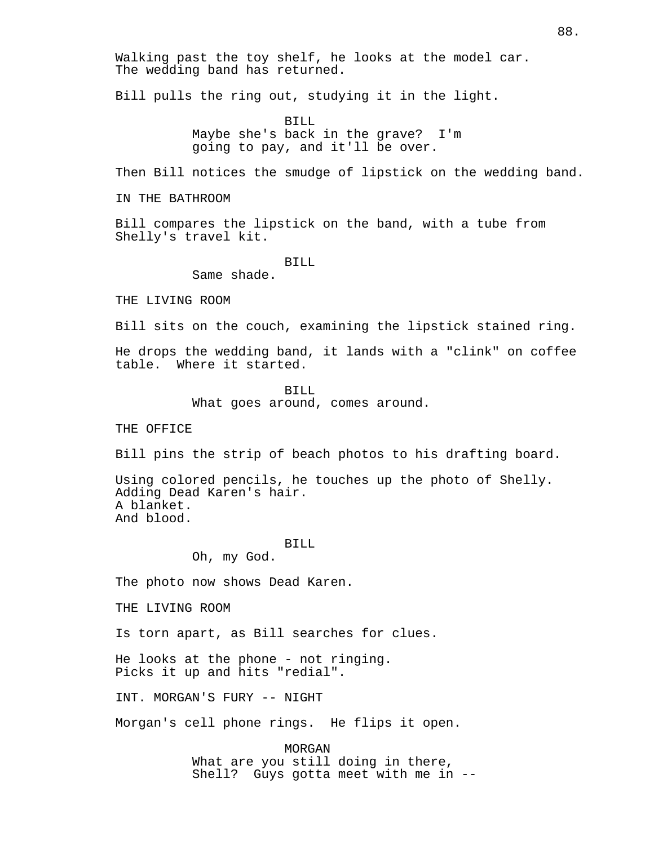Walking past the toy shelf, he looks at the model car. The wedding band has returned.

Bill pulls the ring out, studying it in the light.

BILL Maybe she's back in the grave? I'm going to pay, and it'll be over.

Then Bill notices the smudge of lipstick on the wedding band.

IN THE BATHROOM

Bill compares the lipstick on the band, with a tube from Shelly's travel kit.

BILL

Same shade.

THE LIVING ROOM

Bill sits on the couch, examining the lipstick stained ring.

He drops the wedding band, it lands with a "clink" on coffee table. Where it started.

> BILL What goes around, comes around.

THE OFFICE

Bill pins the strip of beach photos to his drafting board.

Using colored pencils, he touches up the photo of Shelly. Adding Dead Karen's hair. A blanket. And blood.

BILL

Oh, my God.

The photo now shows Dead Karen.

THE LIVING ROOM

Is torn apart, as Bill searches for clues.

He looks at the phone - not ringing. Picks it up and hits "redial".

INT. MORGAN'S FURY -- NIGHT

Morgan's cell phone rings. He flips it open.

MORGAN What are you still doing in there, Shell? Guys gotta meet with me in --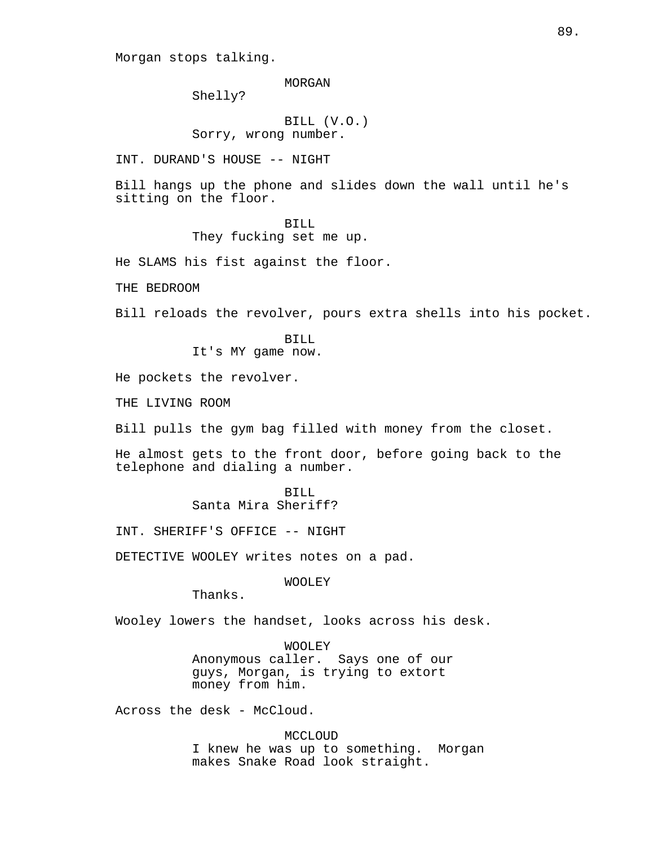Morgan stops talking.

MORGAN

Shelly?

BILL (V.O.) Sorry, wrong number.

INT. DURAND'S HOUSE -- NIGHT

Bill hangs up the phone and slides down the wall until he's sitting on the floor.

### BILL

They fucking set me up.

He SLAMS his fist against the floor.

THE BEDROOM

Bill reloads the revolver, pours extra shells into his pocket.

BILL It's MY game now.

He pockets the revolver.

THE LIVING ROOM

Bill pulls the gym bag filled with money from the closet.

He almost gets to the front door, before going back to the telephone and dialing a number.

> BILL Santa Mira Sheriff?

INT. SHERIFF'S OFFICE -- NIGHT

DETECTIVE WOOLEY writes notes on a pad.

WOOLEY

Thanks.

Wooley lowers the handset, looks across his desk.

WOOLEY Anonymous caller. Says one of our guys, Morgan, is trying to extort money from him.

Across the desk - McCloud.

MCCLOUD I knew he was up to something. Morgan makes Snake Road look straight.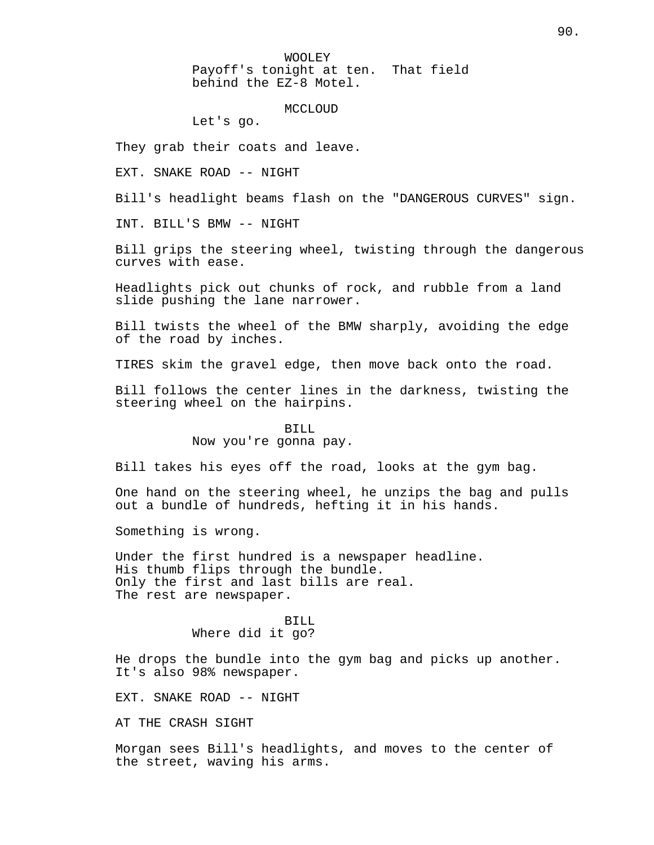WOOLEY Payoff's tonight at ten. That field behind the EZ-8 Motel.

MCCLOUD

Let's go.

They grab their coats and leave.

EXT. SNAKE ROAD -- NIGHT

Bill's headlight beams flash on the "DANGEROUS CURVES" sign.

INT. BILL'S BMW -- NIGHT

Bill grips the steering wheel, twisting through the dangerous curves with ease.

Headlights pick out chunks of rock, and rubble from a land slide pushing the lane narrower.

Bill twists the wheel of the BMW sharply, avoiding the edge of the road by inches.

TIRES skim the gravel edge, then move back onto the road.

Bill follows the center lines in the darkness, twisting the steering wheel on the hairpins.

#### BILL

### Now you're gonna pay.

Bill takes his eyes off the road, looks at the gym bag.

One hand on the steering wheel, he unzips the bag and pulls out a bundle of hundreds, hefting it in his hands.

Something is wrong.

Under the first hundred is a newspaper headline. His thumb flips through the bundle. Only the first and last bills are real. The rest are newspaper.

> BILL Where did it go?

He drops the bundle into the gym bag and picks up another. It's also 98% newspaper.

EXT. SNAKE ROAD -- NIGHT

AT THE CRASH SIGHT

Morgan sees Bill's headlights, and moves to the center of the street, waving his arms.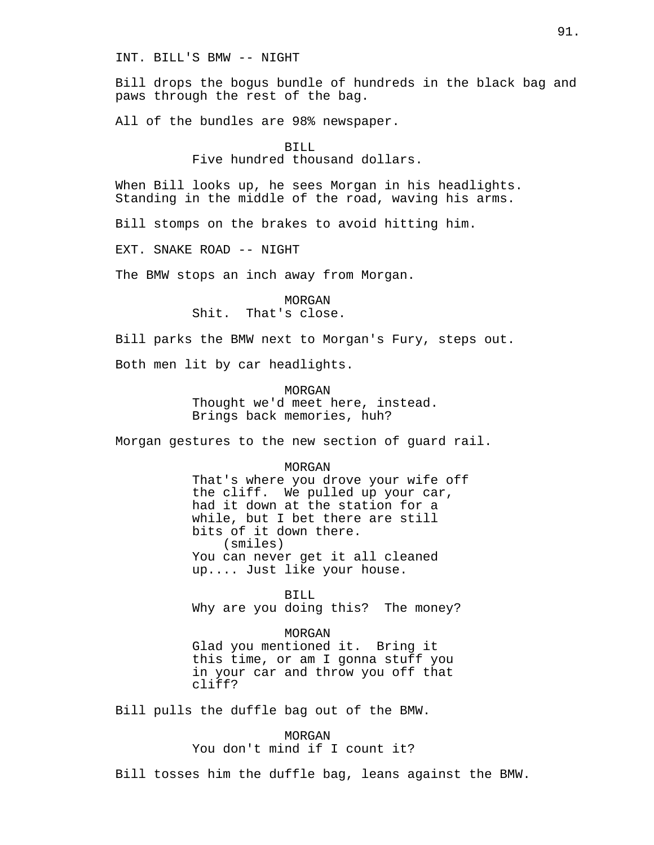INT. BILL'S BMW -- NIGHT

Bill drops the bogus bundle of hundreds in the black bag and paws through the rest of the bag.

All of the bundles are 98% newspaper.

## BILL

Five hundred thousand dollars.

When Bill looks up, he sees Morgan in his headlights. Standing in the middle of the road, waving his arms.

Bill stomps on the brakes to avoid hitting him.

EXT. SNAKE ROAD -- NIGHT

The BMW stops an inch away from Morgan.

MORGAN Shit. That's close.

Bill parks the BMW next to Morgan's Fury, steps out.

Both men lit by car headlights.

MORGAN Thought we'd meet here, instead. Brings back memories, huh?

Morgan gestures to the new section of guard rail.

#### MORGAN

That's where you drove your wife off the cliff. We pulled up your car, had it down at the station for a while, but I bet there are still bits of it down there. (smiles) You can never get it all cleaned up.... Just like your house.

BILL Why are you doing this? The money?

MORGAN Glad you mentioned it. Bring it this time, or am I gonna stuff you in your car and throw you off that cliff?

Bill pulls the duffle bag out of the BMW.

MORGAN You don't mind if I count it?

Bill tosses him the duffle bag, leans against the BMW.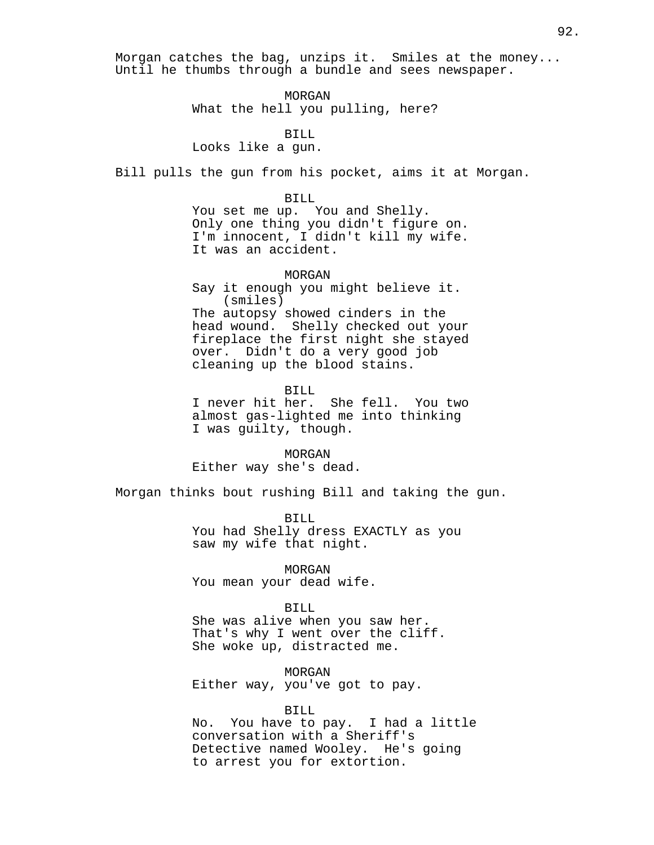Morgan catches the bag, unzips it. Smiles at the money... Until he thumbs through a bundle and sees newspaper.

> MORGAN What the hell you pulling, here?

> > BILL

Looks like a gun.

Bill pulls the gun from his pocket, aims it at Morgan.

BILL

You set me up. You and Shelly. Only one thing you didn't figure on. I'm innocent, I didn't kill my wife. It was an accident.

MORGAN Say it enough you might believe it. (smiles) The autopsy showed cinders in the head wound. Shelly checked out your fireplace the first night she stayed over. Didn't do a very good job cleaning up the blood stains.

BILL I never hit her. She fell. You two almost gas-lighted me into thinking I was guilty, though.

MORGAN Either way she's dead.

Morgan thinks bout rushing Bill and taking the gun.

BILL You had Shelly dress EXACTLY as you saw my wife that night.

MORGAN You mean your dead wife.

BILL

She was alive when you saw her. That's why I went over the cliff. She woke up, distracted me.

MORGAN Either way, you've got to pay.

BILL

No. You have to pay. I had a little conversation with a Sheriff's Detective named Wooley. He's going to arrest you for extortion.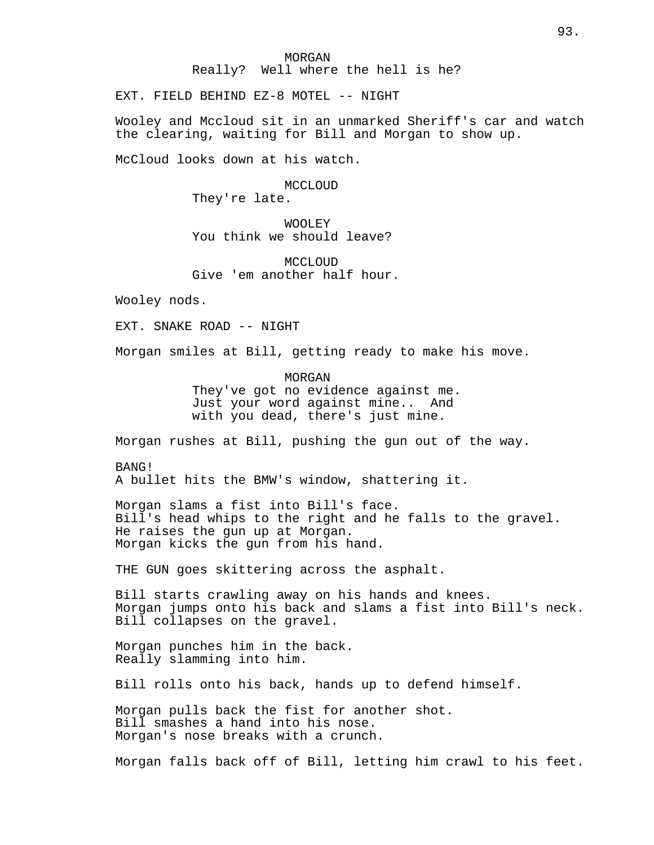### MORGAN Really? Well where the hell is he?

EXT. FIELD BEHIND EZ-8 MOTEL -- NIGHT

Wooley and Mccloud sit in an unmarked Sheriff's car and watch the clearing, waiting for Bill and Morgan to show up.

McCloud looks down at his watch.

MCCLOUD They're late.

WOOLEY You think we should leave?

MCCLOUD Give 'em another half hour.

Wooley nods.

EXT. SNAKE ROAD -- NIGHT

Morgan smiles at Bill, getting ready to make his move.

MORGAN They've got no evidence against me. Just your word against mine.. And with you dead, there's just mine.

Morgan rushes at Bill, pushing the gun out of the way.

BANG! A bullet hits the BMW's window, shattering it.

Morgan slams a fist into Bill's face. Bill's head whips to the right and he falls to the gravel. He raises the gun up at Morgan. Morgan kicks the gun from his hand.

THE GUN goes skittering across the asphalt.

Bill starts crawling away on his hands and knees. Morgan jumps onto his back and slams a fist into Bill's neck. Bill collapses on the gravel.

Morgan punches him in the back. Really slamming into him.

Bill rolls onto his back, hands up to defend himself.

Morgan pulls back the fist for another shot. Bill smashes a hand into his nose. Morgan's nose breaks with a crunch.

Morgan falls back off of Bill, letting him crawl to his feet.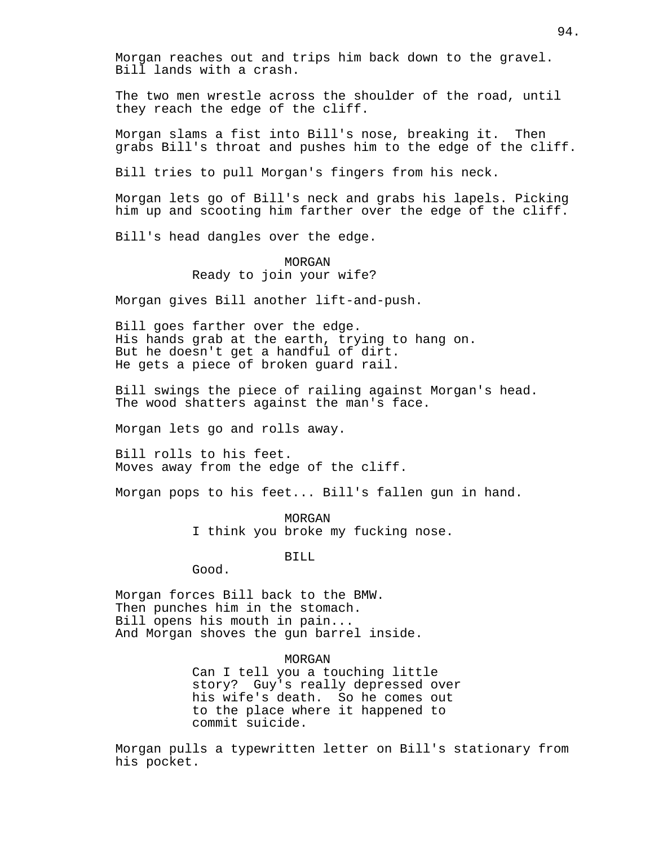Morgan reaches out and trips him back down to the gravel. Bill lands with a crash.

The two men wrestle across the shoulder of the road, until they reach the edge of the cliff.

Morgan slams a fist into Bill's nose, breaking it. Then grabs Bill's throat and pushes him to the edge of the cliff.

Bill tries to pull Morgan's fingers from his neck.

Morgan lets go of Bill's neck and grabs his lapels. Picking him up and scooting him farther over the edge of the cliff.

Bill's head dangles over the edge.

## MORGAN Ready to join your wife?

Morgan gives Bill another lift-and-push.

Bill goes farther over the edge. His hands grab at the earth, trying to hang on. But he doesn't get a handful of dirt. He gets a piece of broken guard rail.

Bill swings the piece of railing against Morgan's head. The wood shatters against the man's face.

Morgan lets go and rolls away.

Bill rolls to his feet. Moves away from the edge of the cliff.

Morgan pops to his feet... Bill's fallen gun in hand.

MORGAN I think you broke my fucking nose.

BILL

Good.

Morgan forces Bill back to the BMW. Then punches him in the stomach. Bill opens his mouth in pain... And Morgan shoves the gun barrel inside.

> MORGAN Can I tell you a touching little story? Guy's really depressed over his wife's death. So he comes out to the place where it happened to commit suicide.

Morgan pulls a typewritten letter on Bill's stationary from his pocket.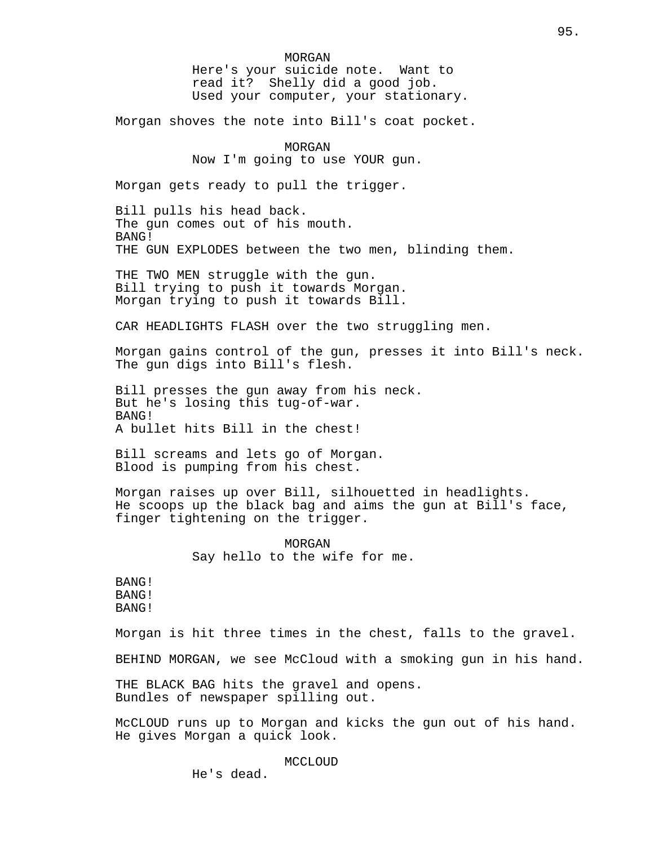MORGAN Here's your suicide note. Want to read it? Shelly did a good job. Used your computer, your stationary.

Morgan shoves the note into Bill's coat pocket.

MORGAN Now I'm going to use YOUR gun.

Morgan gets ready to pull the trigger.

Bill pulls his head back. The gun comes out of his mouth. BANG! THE GUN EXPLODES between the two men, blinding them.

THE TWO MEN struggle with the gun. Bill trying to push it towards Morgan. Morgan trying to push it towards Bill.

CAR HEADLIGHTS FLASH over the two struggling men.

Morgan gains control of the gun, presses it into Bill's neck. The gun digs into Bill's flesh.

Bill presses the gun away from his neck. But he's losing this tug-of-war. BANG! A bullet hits Bill in the chest!

Bill screams and lets go of Morgan. Blood is pumping from his chest.

Morgan raises up over Bill, silhouetted in headlights. He scoops up the black bag and aims the gun at Bill's face, finger tightening on the trigger.

> MORGAN Say hello to the wife for me.

BANG! BANG! BANG!

Morgan is hit three times in the chest, falls to the gravel.

BEHIND MORGAN, we see McCloud with a smoking gun in his hand.

THE BLACK BAG hits the gravel and opens. Bundles of newspaper spilling out.

McCLOUD runs up to Morgan and kicks the gun out of his hand. He gives Morgan a quick look.

MCCLOUD

He's dead.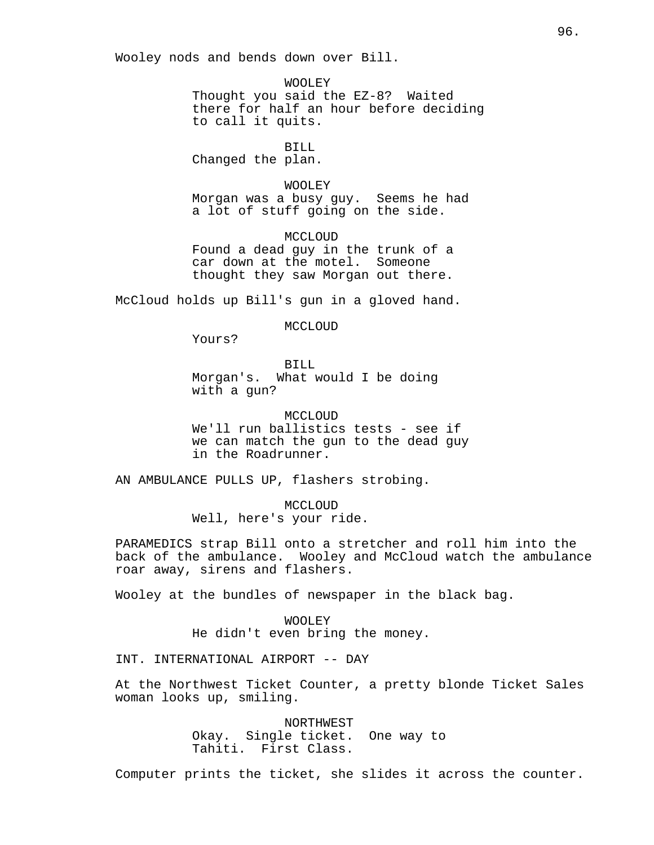Wooley nods and bends down over Bill.

WOOLEY Thought you said the EZ-8? Waited there for half an hour before deciding to call it quits.

BILL

Changed the plan.

WOOLEY

Morgan was a busy guy. Seems he had a lot of stuff going on the side.

MCCLOUD Found a dead guy in the trunk of a car down at the motel. Someone thought they saw Morgan out there.

McCloud holds up Bill's gun in a gloved hand.

MCCLOUD

Yours?

BILL Morgan's. What would I be doing with a gun?

MCCLOUD We'll run ballistics tests - see if we can match the gun to the dead guy in the Roadrunner.

AN AMBULANCE PULLS UP, flashers strobing.

MCCLOUD Well, here's your ride.

PARAMEDICS strap Bill onto a stretcher and roll him into the back of the ambulance. Wooley and McCloud watch the ambulance roar away, sirens and flashers.

Wooley at the bundles of newspaper in the black bag.

WOOLEY He didn't even bring the money.

INT. INTERNATIONAL AIRPORT -- DAY

At the Northwest Ticket Counter, a pretty blonde Ticket Sales woman looks up, smiling.

> NORTHWEST Okay. Single ticket. One way to Tahiti. First Class.

Computer prints the ticket, she slides it across the counter.